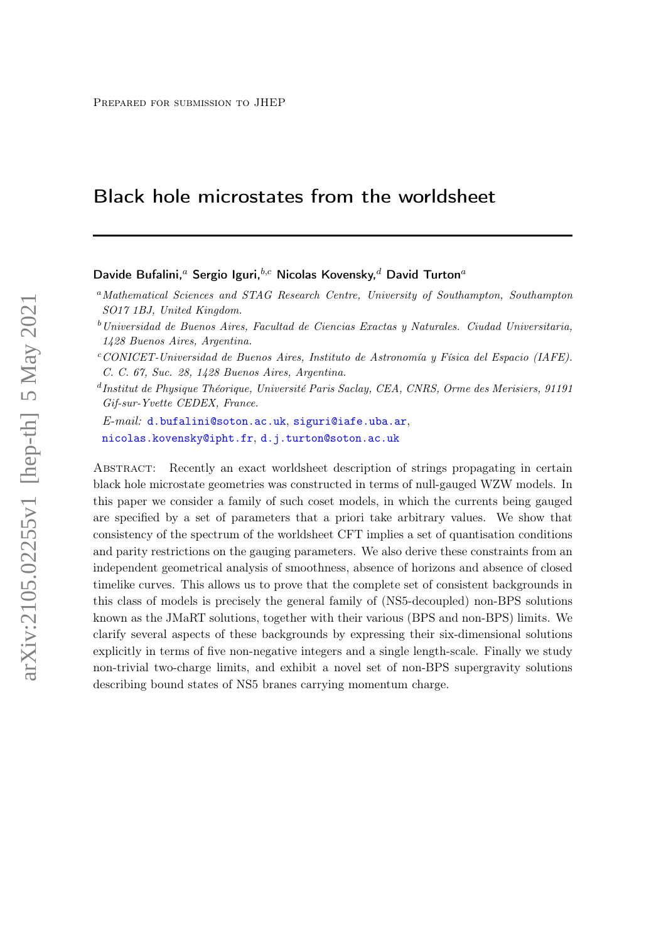# Black hole microstates from the worldsheet

Davide Bufalini,<sup>a</sup> Sergio Iguri,<sup>b,c</sup> Nicolas Kovensky,<sup>d</sup> David Turton<sup>a</sup>

E-mail: [d.bufalini@soton.ac.uk](mailto:d.bufalini@soton.ac.uk), [siguri@iafe.uba.ar](mailto:siguri@iafe.uba.ar), [nicolas.kovensky@ipht.fr](mailto:nicolas.kovensky@ipht.fr), [d.j.turton@soton.ac.uk](mailto:d.j.turton@soton.ac.uk)

Abstract: Recently an exact worldsheet description of strings propagating in certain black hole microstate geometries was constructed in terms of null-gauged WZW models. In this paper we consider a family of such coset models, in which the currents being gauged are specified by a set of parameters that a priori take arbitrary values. We show that consistency of the spectrum of the worldsheet CFT implies a set of quantisation conditions and parity restrictions on the gauging parameters. We also derive these constraints from an independent geometrical analysis of smoothness, absence of horizons and absence of closed timelike curves. This allows us to prove that the complete set of consistent backgrounds in this class of models is precisely the general family of (NS5-decoupled) non-BPS solutions known as the JMaRT solutions, together with their various (BPS and non-BPS) limits. We clarify several aspects of these backgrounds by expressing their six-dimensional solutions explicitly in terms of five non-negative integers and a single length-scale. Finally we study non-trivial two-charge limits, and exhibit a novel set of non-BPS supergravity solutions describing bound states of NS5 branes carrying momentum charge.

<sup>a</sup>Mathematical Sciences and STAG Research Centre, University of Southampton, Southampton SO17 1BJ, United Kingdom.

 $b$ Universidad de Buenos Aires, Facultad de Ciencias Exactas y Naturales. Ciudad Universitaria, 1428 Buenos Aires, Argentina.

 $c$ CONICET-Universidad de Buenos Aires, Instituto de Astronomía y Física del Espacio (IAFE). C. C. 67, Suc. 28, 1428 Buenos Aires, Argentina.

d Institut de Physique Théorique, Université Paris Saclay, CEA, CNRS, Orme des Merisiers, 91191 Gif-sur-Yvette CEDEX, France.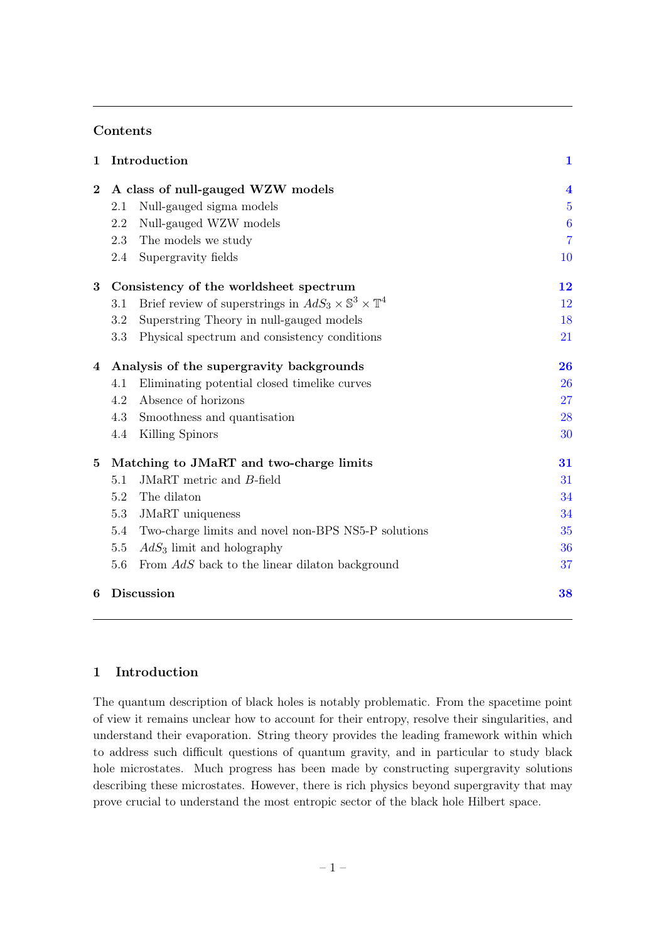## Contents

| $\mathbf{1}$   | Introduction                             | $\mathbf{1}$                                                                    |                         |
|----------------|------------------------------------------|---------------------------------------------------------------------------------|-------------------------|
| $\bf{2}$       |                                          | A class of null-gauged WZW models                                               | $\overline{\mathbf{4}}$ |
|                | 2.1                                      | Null-gauged sigma models                                                        | $\overline{5}$          |
|                | 2.2                                      | Null-gauged WZW models                                                          | $\boldsymbol{6}$        |
|                | 2.3                                      | The models we study                                                             | $\overline{7}$          |
|                | 2.4                                      | Supergravity fields                                                             | 10                      |
| 3              | Consistency of the worldsheet spectrum   |                                                                                 | 12                      |
|                | 3.1                                      | Brief review of superstrings in $AdS_3 \times \mathbb{S}^3 \times \mathbb{T}^4$ | 12                      |
|                | 3.2                                      | Superstring Theory in null-gauged models                                        | 18                      |
|                | 3.3                                      | Physical spectrum and consistency conditions                                    | 21                      |
| $\overline{4}$ | Analysis of the supergravity backgrounds |                                                                                 | 26                      |
|                | 4.1                                      | Eliminating potential closed timelike curves                                    | 26                      |
|                | 4.2                                      | Absence of horizons                                                             | 27                      |
|                | 4.3                                      | Smoothness and quantisation                                                     | 28                      |
|                | 4.4                                      | Killing Spinors                                                                 | 30                      |
| $\bf{5}$       | Matching to JMaRT and two-charge limits  |                                                                                 | 31                      |
|                | 5.1                                      | JMaRT metric and B-field                                                        | 31                      |
|                | 5.2                                      | The dilaton                                                                     | 34                      |
|                | 5.3                                      | <b>JMaRT</b> uniqueness                                                         | 34                      |
|                | 5.4                                      | Two-charge limits and novel non-BPS NS5-P solutions                             | 35                      |
|                | $5.5\,$                                  | $AdS3$ limit and holography                                                     | 36                      |
|                | 5.6                                      | From AdS back to the linear dilaton background                                  | 37                      |
| 6              | <b>Discussion</b>                        |                                                                                 | 38                      |

## <span id="page-1-0"></span>1 Introduction

The quantum description of black holes is notably problematic. From the spacetime point of view it remains unclear how to account for their entropy, resolve their singularities, and understand their evaporation. String theory provides the leading framework within which to address such difficult questions of quantum gravity, and in particular to study black hole microstates. Much progress has been made by constructing supergravity solutions describing these microstates. However, there is rich physics beyond supergravity that may prove crucial to understand the most entropic sector of the black hole Hilbert space.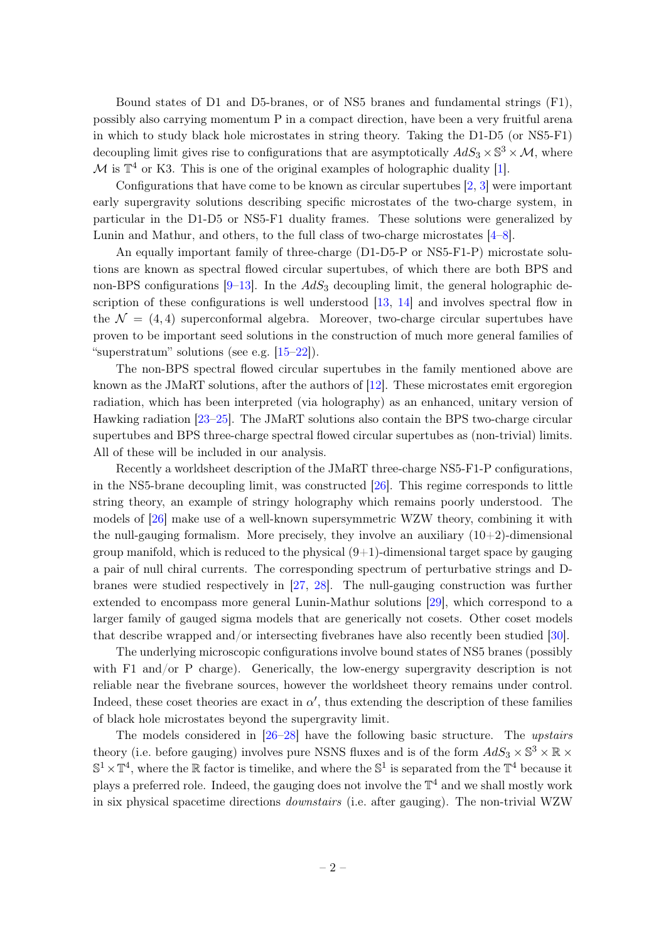Bound states of D1 and D5-branes, or of NS5 branes and fundamental strings (F1), possibly also carrying momentum P in a compact direction, have been a very fruitful arena in which to study black hole microstates in string theory. Taking the D1-D5 (or NS5-F1) decoupling limit gives rise to configurations that are asymptotically  $AdS_3 \times \mathbb{S}^3 \times \mathcal{M}$ , where M is  $\mathbb{T}^4$  or K3. This is one of the original examples of holographic duality [\[1\]](#page-40-0).

Configurations that have come to be known as circular supertubes [\[2,](#page-40-1) [3\]](#page-40-2) were important early supergravity solutions describing specific microstates of the two-charge system, in particular in the D1-D5 or NS5-F1 duality frames. These solutions were generalized by Lunin and Mathur, and others, to the full class of two-charge microstates [\[4–](#page-40-3)[8\]](#page-40-4).

An equally important family of three-charge (D1-D5-P or NS5-F1-P) microstate solutions are known as spectral flowed circular supertubes, of which there are both BPS and non-BPS configurations  $[9-13]$  $[9-13]$ . In the  $AdS_3$  decoupling limit, the general holographic de-scription of these configurations is well understood [\[13,](#page-40-6) [14\]](#page-40-7) and involves spectral flow in the  $\mathcal{N} = (4, 4)$  superconformal algebra. Moreover, two-charge circular supertubes have proven to be important seed solutions in the construction of much more general families of "superstratum" solutions (see e.g.  $[15-22]$  $[15-22]$ ).

The non-BPS spectral flowed circular supertubes in the family mentioned above are known as the JMaRT solutions, after the authors of [\[12\]](#page-40-9). These microstates emit ergoregion radiation, which has been interpreted (via holography) as an enhanced, unitary version of Hawking radiation [\[23–](#page-41-1)[25\]](#page-41-2). The JMaRT solutions also contain the BPS two-charge circular supertubes and BPS three-charge spectral flowed circular supertubes as (non-trivial) limits. All of these will be included in our analysis.

Recently a worldsheet description of the JMaRT three-charge NS5-F1-P configurations, in the NS5-brane decoupling limit, was constructed [\[26\]](#page-41-3). This regime corresponds to little string theory, an example of stringy holography which remains poorly understood. The models of [\[26\]](#page-41-3) make use of a well-known supersymmetric WZW theory, combining it with the null-gauging formalism. More precisely, they involve an auxiliary  $(10+2)$ -dimensional group manifold, which is reduced to the physical  $(9+1)$ -dimensional target space by gauging a pair of null chiral currents. The corresponding spectrum of perturbative strings and Dbranes were studied respectively in [\[27,](#page-41-4) [28\]](#page-41-5). The null-gauging construction was further extended to encompass more general Lunin-Mathur solutions [\[29\]](#page-41-6), which correspond to a larger family of gauged sigma models that are generically not cosets. Other coset models that describe wrapped and/or intersecting fivebranes have also recently been studied [\[30\]](#page-41-7).

The underlying microscopic configurations involve bound states of NS5 branes (possibly with F1 and/or P charge). Generically, the low-energy supergravity description is not reliable near the fivebrane sources, however the worldsheet theory remains under control. Indeed, these coset theories are exact in  $\alpha'$ , thus extending the description of these families of black hole microstates beyond the supergravity limit.

The models considered in [\[26–](#page-41-3)[28\]](#page-41-5) have the following basic structure. The upstairs theory (i.e. before gauging) involves pure NSNS fluxes and is of the form  $AdS_3 \times \mathbb{S}^3 \times \mathbb{R} \times$  $\mathbb{S}^1 \times \mathbb{T}^4$ , where the R factor is timelike, and where the  $\mathbb{S}^1$  is separated from the  $\mathbb{T}^4$  because it plays a preferred role. Indeed, the gauging does not involve the  $\mathbb{T}^4$  and we shall mostly work in six physical spacetime directions downstairs (i.e. after gauging). The non-trivial WZW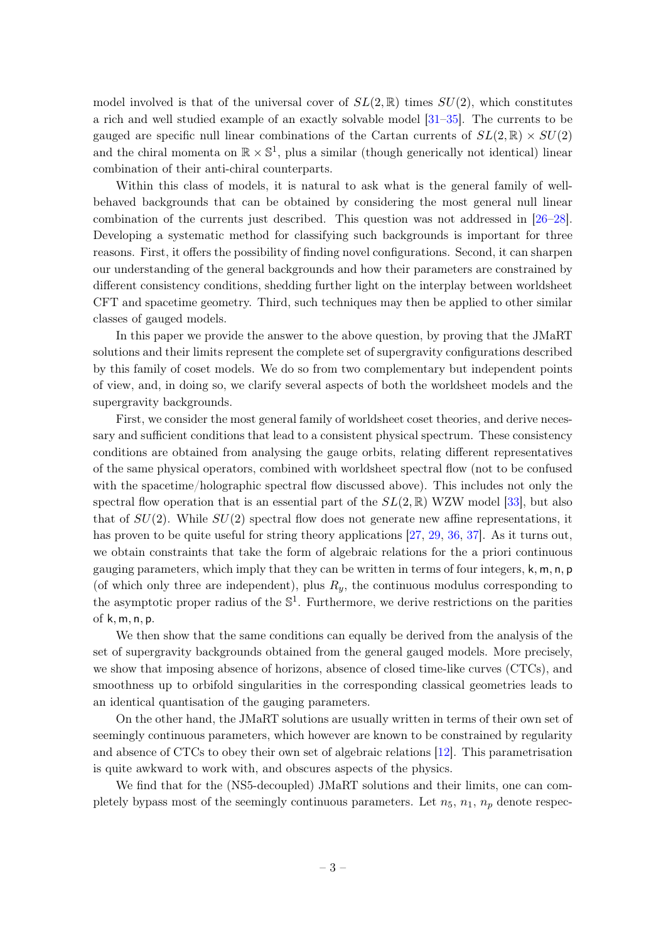model involved is that of the universal cover of  $SL(2,\mathbb{R})$  times  $SU(2)$ , which constitutes a rich and well studied example of an exactly solvable model [\[31–](#page-41-8)[35\]](#page-41-9). The currents to be gauged are specific null linear combinations of the Cartan currents of  $SL(2,\mathbb{R}) \times SU(2)$ and the chiral momenta on  $\mathbb{R} \times \mathbb{S}^1$ , plus a similar (though generically not identical) linear combination of their anti-chiral counterparts.

Within this class of models, it is natural to ask what is the general family of wellbehaved backgrounds that can be obtained by considering the most general null linear combination of the currents just described. This question was not addressed in [\[26–](#page-41-3)[28\]](#page-41-5). Developing a systematic method for classifying such backgrounds is important for three reasons. First, it offers the possibility of finding novel configurations. Second, it can sharpen our understanding of the general backgrounds and how their parameters are constrained by different consistency conditions, shedding further light on the interplay between worldsheet CFT and spacetime geometry. Third, such techniques may then be applied to other similar classes of gauged models.

In this paper we provide the answer to the above question, by proving that the JMaRT solutions and their limits represent the complete set of supergravity configurations described by this family of coset models. We do so from two complementary but independent points of view, and, in doing so, we clarify several aspects of both the worldsheet models and the supergravity backgrounds.

First, we consider the most general family of worldsheet coset theories, and derive necessary and sufficient conditions that lead to a consistent physical spectrum. These consistency conditions are obtained from analysing the gauge orbits, relating different representatives of the same physical operators, combined with worldsheet spectral flow (not to be confused with the spacetime/holographic spectral flow discussed above). This includes not only the spectral flow operation that is an essential part of the  $SL(2,\mathbb{R})$  WZW model [\[33\]](#page-41-10), but also that of  $SU(2)$ . While  $SU(2)$  spectral flow does not generate new affine representations, it has proven to be quite useful for string theory applications [\[27,](#page-41-4) [29,](#page-41-6) [36,](#page-41-11) [37\]](#page-41-12). As it turns out, we obtain constraints that take the form of algebraic relations for the a priori continuous gauging parameters, which imply that they can be written in terms of four integers,  $k, m, n, p$ (of which only three are independent), plus  $R_y$ , the continuous modulus corresponding to the asymptotic proper radius of the  $\mathbb{S}^1$ . Furthermore, we derive restrictions on the parities of k, m, n, p.

We then show that the same conditions can equally be derived from the analysis of the set of supergravity backgrounds obtained from the general gauged models. More precisely, we show that imposing absence of horizons, absence of closed time-like curves (CTCs), and smoothness up to orbifold singularities in the corresponding classical geometries leads to an identical quantisation of the gauging parameters.

On the other hand, the JMaRT solutions are usually written in terms of their own set of seemingly continuous parameters, which however are known to be constrained by regularity and absence of CTCs to obey their own set of algebraic relations [\[12\]](#page-40-9). This parametrisation is quite awkward to work with, and obscures aspects of the physics.

We find that for the (NS5-decoupled) JMaRT solutions and their limits, one can completely bypass most of the seemingly continuous parameters. Let  $n_5$ ,  $n_1$ ,  $n_p$  denote respec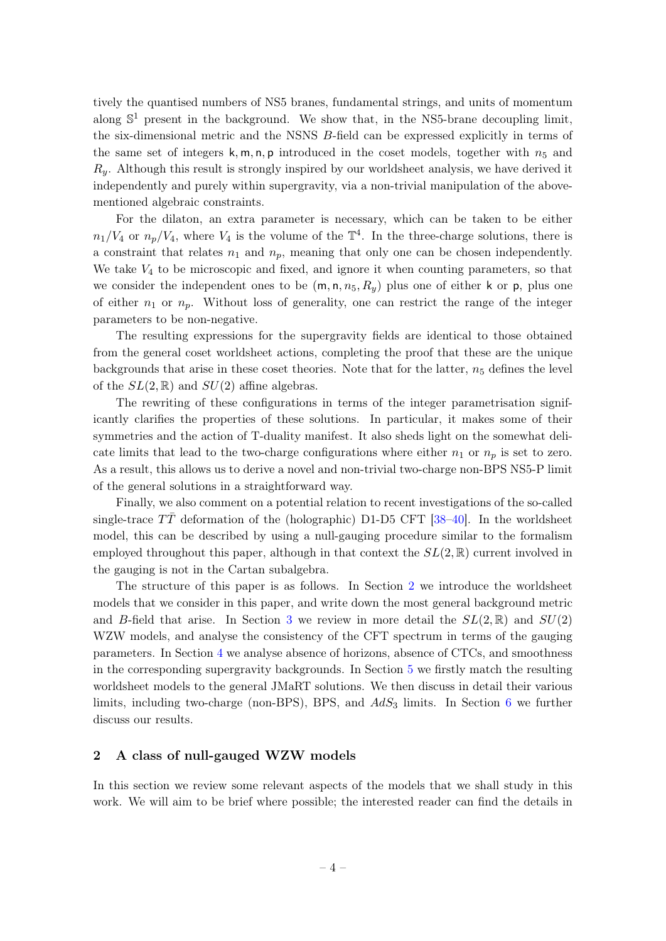tively the quantised numbers of NS5 branes, fundamental strings, and units of momentum along  $\mathbb{S}^1$  present in the background. We show that, in the NS5-brane decoupling limit, the six-dimensional metric and the NSNS B-field can be expressed explicitly in terms of the same set of integers  $k, m, n, p$  introduced in the coset models, together with  $n_5$  and  $R_y$ . Although this result is strongly inspired by our worldsheet analysis, we have derived it independently and purely within supergravity, via a non-trivial manipulation of the abovementioned algebraic constraints.

For the dilaton, an extra parameter is necessary, which can be taken to be either  $n_1/V_4$  or  $n_p/V_4$ , where  $V_4$  is the volume of the  $\mathbb{T}^4$ . In the three-charge solutions, there is a constraint that relates  $n_1$  and  $n_p$ , meaning that only one can be chosen independently. We take  $V_4$  to be microscopic and fixed, and ignore it when counting parameters, so that we consider the independent ones to be  $(m, n, n_5, R_y)$  plus one of either k or p, plus one of either  $n_1$  or  $n_p$ . Without loss of generality, one can restrict the range of the integer parameters to be non-negative.

The resulting expressions for the supergravity fields are identical to those obtained from the general coset worldsheet actions, completing the proof that these are the unique backgrounds that arise in these coset theories. Note that for the latter,  $n<sub>5</sub>$  defines the level of the  $SL(2,\mathbb{R})$  and  $SU(2)$  affine algebras.

The rewriting of these configurations in terms of the integer parametrisation significantly clarifies the properties of these solutions. In particular, it makes some of their symmetries and the action of T-duality manifest. It also sheds light on the somewhat delicate limits that lead to the two-charge configurations where either  $n_1$  or  $n_p$  is set to zero. As a result, this allows us to derive a novel and non-trivial two-charge non-BPS NS5-P limit of the general solutions in a straightforward way.

Finally, we also comment on a potential relation to recent investigations of the so-called single-trace  $T\bar{T}$  deformation of the (holographic) D1-D5 CFT [\[38–](#page-41-13)[40\]](#page-41-14). In the worldsheet model, this can be described by using a null-gauging procedure similar to the formalism employed throughout this paper, although in that context the  $SL(2,\mathbb{R})$  current involved in the gauging is not in the Cartan subalgebra.

The structure of this paper is as follows. In Section [2](#page-4-0) we introduce the worldsheet models that we consider in this paper, and write down the most general background metric and B-field that arise. In Section [3](#page-12-0) we review in more detail the  $SL(2,\mathbb{R})$  and  $SU(2)$ WZW models, and analyse the consistency of the CFT spectrum in terms of the gauging parameters. In Section [4](#page-26-0) we analyse absence of horizons, absence of CTCs, and smoothness in the corresponding supergravity backgrounds. In Section [5](#page-31-0) we firstly match the resulting worldsheet models to the general JMaRT solutions. We then discuss in detail their various limits, including two-charge (non-BPS), BPS, and  $AdS_3$  limits. In Section [6](#page-38-0) we further discuss our results.

#### <span id="page-4-0"></span>2 A class of null-gauged WZW models

In this section we review some relevant aspects of the models that we shall study in this work. We will aim to be brief where possible; the interested reader can find the details in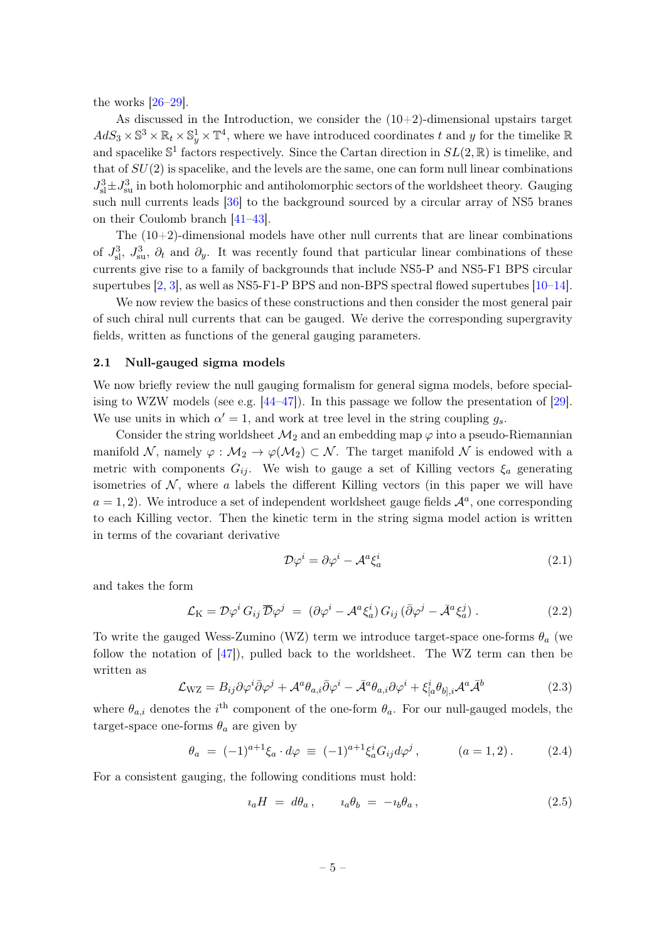the works  $[26-29]$  $[26-29]$ .

As discussed in the Introduction, we consider the  $(10+2)$ -dimensional upstairs target  $AdS_3 \times \mathbb{S}^3 \times \mathbb{R}_t \times \mathbb{S}_y^1 \times \mathbb{T}^4$ , where we have introduced coordinates t and y for the timelike  $\mathbb{R}$ and spacelike  $\mathbb{S}^1$  factors respectively. Since the Cartan direction in  $SL(2,\mathbb{R})$  is timelike, and that of  $SU(2)$  is spacelike, and the levels are the same, one can form null linear combinations  $J_{\rm sl}^3 \pm J_{\rm su}^3$  in both holomorphic and antiholomorphic sectors of the worldsheet theory. Gauging such null currents leads [\[36\]](#page-41-11) to the background sourced by a circular array of NS5 branes on their Coulomb branch [\[41–](#page-42-0)[43\]](#page-42-1).

The (10+2)-dimensional models have other null currents that are linear combinations of  $J_{\rm sl}^3$ ,  $J_{\rm su}^3$ ,  $\partial_t$  and  $\partial_y$ . It was recently found that particular linear combinations of these currents give rise to a family of backgrounds that include NS5-P and NS5-F1 BPS circular supertubes  $[2, 3]$  $[2, 3]$  $[2, 3]$ , as well as NS5-F1-P BPS and non-BPS spectral flowed supertubes  $[10-14]$  $[10-14]$ .

We now review the basics of these constructions and then consider the most general pair of such chiral null currents that can be gauged. We derive the corresponding supergravity fields, written as functions of the general gauging parameters.

#### <span id="page-5-0"></span>2.1 Null-gauged sigma models

We now briefly review the null gauging formalism for general sigma models, before specialising to WZW models (see e.g.  $[44-47]$  $[44-47]$ ). In this passage we follow the presentation of  $[29]$ . We use units in which  $\alpha' = 1$ , and work at tree level in the string coupling  $g_s$ .

Consider the string worldsheet  $\mathcal{M}_2$  and an embedding map  $\varphi$  into a pseudo-Riemannian manifold N, namely  $\varphi : \mathcal{M}_2 \to \varphi(\mathcal{M}_2) \subset \mathcal{N}$ . The target manifold N is endowed with a metric with components  $G_{ij}$ . We wish to gauge a set of Killing vectors  $\xi_a$  generating isometries of  $\mathcal N$ , where a labels the different Killing vectors (in this paper we will have  $a = 1, 2$ ). We introduce a set of independent worldsheet gauge fields  $\mathcal{A}^a$ , one corresponding to each Killing vector. Then the kinetic term in the string sigma model action is written in terms of the covariant derivative

<span id="page-5-3"></span>
$$
\mathcal{D}\varphi^i = \partial\varphi^i - \mathcal{A}^a \xi_a^i \tag{2.1}
$$

and takes the form

$$
\mathcal{L}_{\mathrm{K}} = \mathcal{D}\varphi^{i} G_{ij} \overline{\mathcal{D}}\varphi^{j} = (\partial \varphi^{i} - \mathcal{A}^{a} \xi_{a}^{i}) G_{ij} (\overline{\partial} \varphi^{j} - \overline{\mathcal{A}}^{a} \xi_{a}^{j}). \qquad (2.2)
$$

To write the gauged Wess-Zumino (WZ) term we introduce target-space one-forms  $\theta_a$  (we follow the notation of  $[47]$ , pulled back to the worldsheet. The WZ term can then be written as

<span id="page-5-2"></span>
$$
\mathcal{L}_{\rm WZ} = B_{ij}\partial\varphi^i\bar{\partial}\varphi^j + \mathcal{A}^a\theta_{a,i}\bar{\partial}\varphi^i - \bar{\mathcal{A}}^a\theta_{a,i}\partial\varphi^i + \xi^i_{[a}\theta_{b],i}\mathcal{A}^a\bar{\mathcal{A}}^b
$$
(2.3)

where  $\theta_{a,i}$  denotes the *i*<sup>th</sup> component of the one-form  $\theta_a$ . For our null-gauged models, the target-space one-forms  $\theta_a$  are given by

<span id="page-5-1"></span>
$$
\theta_a = (-1)^{a+1} \xi_a \cdot d\varphi \equiv (-1)^{a+1} \xi_a^i G_{ij} d\varphi^j, \qquad (a = 1, 2). \tag{2.4}
$$

For a consistent gauging, the following conditions must hold:

$$
i_a H = d\theta_a, \qquad i_a \theta_b = -i_b \theta_a, \qquad (2.5)
$$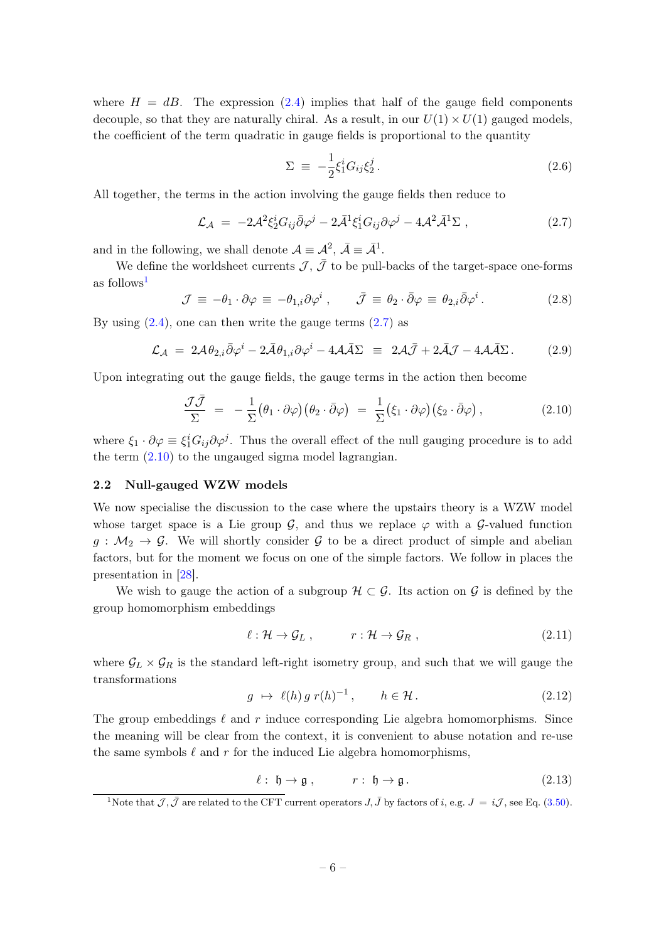where  $H = dB$ . The expression [\(2.4\)](#page-5-1) implies that half of the gauge field components decouple, so that they are naturally chiral. As a result, in our  $U(1) \times U(1)$  gauged models, the coefficient of the term quadratic in gauge fields is proportional to the quantity

<span id="page-6-5"></span>
$$
\Sigma \equiv -\frac{1}{2}\xi_1^i G_{ij}\xi_2^j. \tag{2.6}
$$

All together, the terms in the action involving the gauge fields then reduce to

<span id="page-6-2"></span>
$$
\mathcal{L}_{\mathcal{A}} = -2\mathcal{A}^2 \xi_2^i G_{ij} \bar{\partial} \varphi^j - 2\bar{\mathcal{A}}^1 \xi_1^i G_{ij} \partial \varphi^j - 4\mathcal{A}^2 \bar{\mathcal{A}}^1 \Sigma , \qquad (2.7)
$$

and in the following, we shall denote  $\mathcal{A} \equiv \mathcal{A}^2$ ,  $\bar{\mathcal{A}} \equiv \bar{\mathcal{A}}^1$ .

We define the worldsheet currents  $\bar{J}$ ,  $\bar{J}$  to be pull-backs of the target-space one-forms as follows<sup>[1](#page-6-1)</sup>

$$
\mathcal{J} \equiv -\theta_1 \cdot \partial \varphi \equiv -\theta_{1,i} \partial \varphi^i \,, \qquad \bar{\mathcal{J}} \equiv \theta_2 \cdot \bar{\partial} \varphi \equiv \theta_{2,i} \bar{\partial} \varphi^i \,. \tag{2.8}
$$

By using  $(2.4)$ , one can then write the gauge terms  $(2.7)$  as

$$
\mathcal{L}_{\mathcal{A}} = 2\mathcal{A}\theta_{2,i}\bar{\partial}\varphi^{i} - 2\bar{\mathcal{A}}\theta_{1,i}\partial\varphi^{i} - 4\mathcal{A}\bar{\mathcal{A}}\Sigma \equiv 2\mathcal{A}\bar{\mathcal{J}} + 2\bar{\mathcal{A}}\mathcal{J} - 4\mathcal{A}\bar{\mathcal{A}}\Sigma. \tag{2.9}
$$

Upon integrating out the gauge fields, the gauge terms in the action then become

<span id="page-6-3"></span>
$$
\frac{\mathcal{J}\bar{\mathcal{J}}}{\Sigma} = -\frac{1}{\Sigma} \big(\theta_1 \cdot \partial \varphi\big) \big(\theta_2 \cdot \bar{\partial} \varphi\big) = \frac{1}{\Sigma} \big(\xi_1 \cdot \partial \varphi\big) \big(\xi_2 \cdot \bar{\partial} \varphi\big) ,\tag{2.10}
$$

where  $\xi_1 \cdot \partial \varphi \equiv \xi_1^i G_{ij} \partial \varphi^j$ . Thus the overall effect of the null gauging procedure is to add the term [\(2.10\)](#page-6-3) to the ungauged sigma model lagrangian.

## <span id="page-6-0"></span>2.2 Null-gauged WZW models

We now specialise the discussion to the case where the upstairs theory is a WZW model whose target space is a Lie group  $\mathcal{G}$ , and thus we replace  $\varphi$  with a  $\mathcal{G}$ -valued function  $g : \mathcal{M}_2 \to \mathcal{G}$ . We will shortly consider  $\mathcal{G}$  to be a direct product of simple and abelian factors, but for the moment we focus on one of the simple factors. We follow in places the presentation in [\[28\]](#page-41-5).

We wish to gauge the action of a subgroup  $\mathcal{H} \subset \mathcal{G}$ . Its action on  $\mathcal{G}$  is defined by the group homomorphism embeddings

$$
\ell: \mathcal{H} \to \mathcal{G}_L , \qquad r: \mathcal{H} \to \mathcal{G}_R , \qquad (2.11)
$$

where  $\mathcal{G}_L \times \mathcal{G}_R$  is the standard left-right isometry group, and such that we will gauge the transformations

<span id="page-6-4"></span>
$$
g \mapsto \ell(h) \, g \, r(h)^{-1}, \qquad h \in \mathcal{H} \, . \tag{2.12}
$$

The group embeddings  $\ell$  and r induce corresponding Lie algebra homomorphisms. Since the meaning will be clear from the context, it is convenient to abuse notation and re-use the same symbols  $\ell$  and r for the induced Lie algebra homomorphisms,

 $\ell : \mathfrak{h} \to \mathfrak{g}$ ,  $r : \mathfrak{h} \to \mathfrak{g}$ . (2.13)

<span id="page-6-1"></span><sup>&</sup>lt;sup>1</sup>Note that  $\mathcal{J}, \bar{\mathcal{J}}$  are related to the CFT current operators  $J, \bar{J}$  by factors of i, e.g.  $J = i\mathcal{J}$ , see Eq. [\(3.50\)](#page-20-0).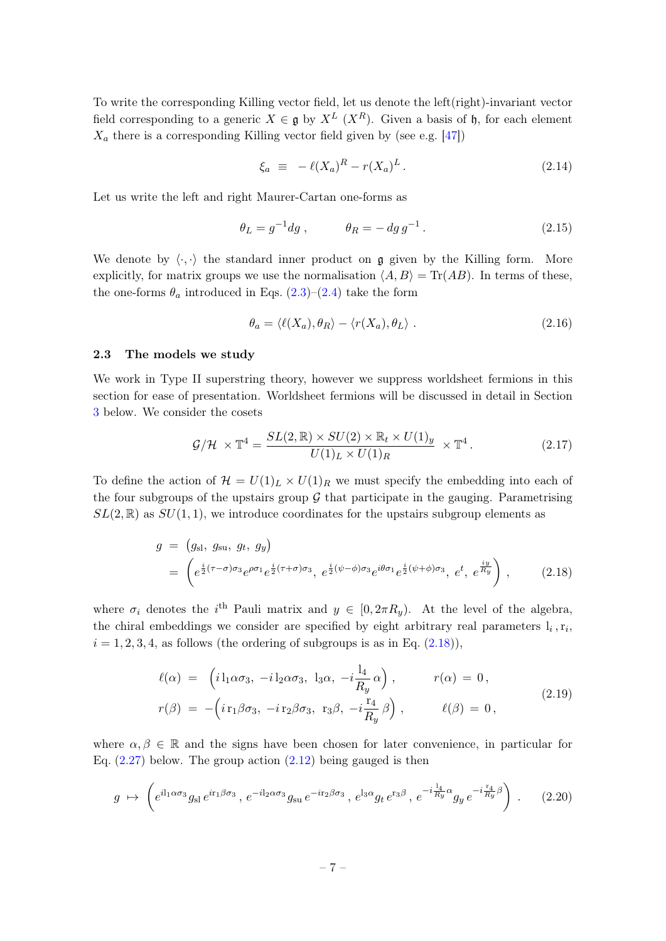To write the corresponding Killing vector field, let us denote the left(right)-invariant vector field corresponding to a generic  $X \in \mathfrak{g}$  by  $X^L$  ( $X^R$ ). Given a basis of  $\mathfrak{h}$ , for each element  $X_a$  there is a corresponding Killing vector field given by (see e.g. [\[47\]](#page-42-3))

$$
\xi_a \equiv -\ell(X_a)^R - r(X_a)^L. \tag{2.14}
$$

Let us write the left and right Maurer-Cartan one-forms as

$$
\theta_L = g^{-1} dg , \qquad \theta_R = -\,dg\,g^{-1} . \tag{2.15}
$$

We denote by  $\langle \cdot, \cdot \rangle$  the standard inner product on g given by the Killing form. More explicitly, for matrix groups we use the normalisation  $\langle A, B \rangle = \text{Tr}(AB)$ . In terms of these, the one-forms  $\theta_a$  introduced in Eqs. [\(2.3\)](#page-5-2)–[\(2.4\)](#page-5-1) take the form

$$
\theta_a = \langle \ell(X_a), \theta_R \rangle - \langle r(X_a), \theta_L \rangle \tag{2.16}
$$

## <span id="page-7-0"></span>2.3 The models we study

We work in Type II superstring theory, however we suppress worldsheet fermions in this section for ease of presentation. Worldsheet fermions will be discussed in detail in Section [3](#page-12-0) below. We consider the cosets

<span id="page-7-1"></span>
$$
\mathcal{G}/\mathcal{H} \times \mathbb{T}^4 = \frac{SL(2,\mathbb{R}) \times SU(2) \times \mathbb{R}_t \times U(1)_y}{U(1)_L \times U(1)_R} \times \mathbb{T}^4.
$$
 (2.17)

To define the action of  $\mathcal{H} = U(1)_L \times U(1)_R$  we must specify the embedding into each of the four subgroups of the upstairs group  $G$  that participate in the gauging. Parametrising  $SL(2,\mathbb{R})$  as  $SU(1,1)$ , we introduce coordinates for the upstairs subgroup elements as

$$
g = (g_{\rm sl}, g_{\rm su}, g_t, g_y)
$$
  
=  $\left(e^{\frac{i}{2}(\tau-\sigma)\sigma_3}e^{\rho\sigma_1}e^{\frac{i}{2}(\tau+\sigma)\sigma_3}, e^{\frac{i}{2}(\psi-\phi)\sigma_3}e^{i\theta\sigma_1}e^{\frac{i}{2}(\psi+\phi)\sigma_3}, e^t, e^{\frac{iy}{R_y}}\right)$ , (2.18)

where  $\sigma_i$  denotes the i<sup>th</sup> Pauli matrix and  $y \in [0, 2\pi R_y)$ . At the level of the algebra, the chiral embeddings we consider are specified by eight arbitrary real parameters  $l_i, r_i$ ,  $i = 1, 2, 3, 4$ , as follows (the ordering of subgroups is as in Eq.  $(2.18)$ ),

<span id="page-7-2"></span>
$$
\ell(\alpha) = \left( i \mathbb{1}_{1} \alpha \sigma_{3}, -i \mathbb{1}_{2} \alpha \sigma_{3}, \mathbb{1}_{3} \alpha, -i \frac{\mathbb{1}_{4}}{R_{y}} \alpha \right), \qquad r(\alpha) = 0,
$$
  

$$
r(\beta) = -\left( i \mathbb{1}_{1} \beta \sigma_{3}, -i \mathbb{1}_{2} \beta \sigma_{3}, \mathbb{1}_{3} \beta, -i \frac{\mathbb{1}_{4}}{R_{y}} \beta \right), \qquad \ell(\beta) = 0,
$$
 (2.19)

where  $\alpha, \beta \in \mathbb{R}$  and the signs have been chosen for later convenience, in particular for Eq.  $(2.27)$  below. The group action  $(2.12)$  being gauged is then

$$
g \mapsto \left(e^{i\ln\alpha\sigma_3}g_{\rm sl}\,e^{i\tau_1\beta\sigma_3}\,,\,e^{-i\ln\alpha\sigma_3}g_{\rm su}\,e^{-i\tau_2\beta\sigma_3}\,,\,e^{\ln\alpha}g_t\,e^{\tau_3\beta}\,,\,e^{-i\frac{1_4}{R_y}\alpha}g_y\,e^{-i\frac{\tau_4}{R_y}\beta}\right) \,. \tag{2.20}
$$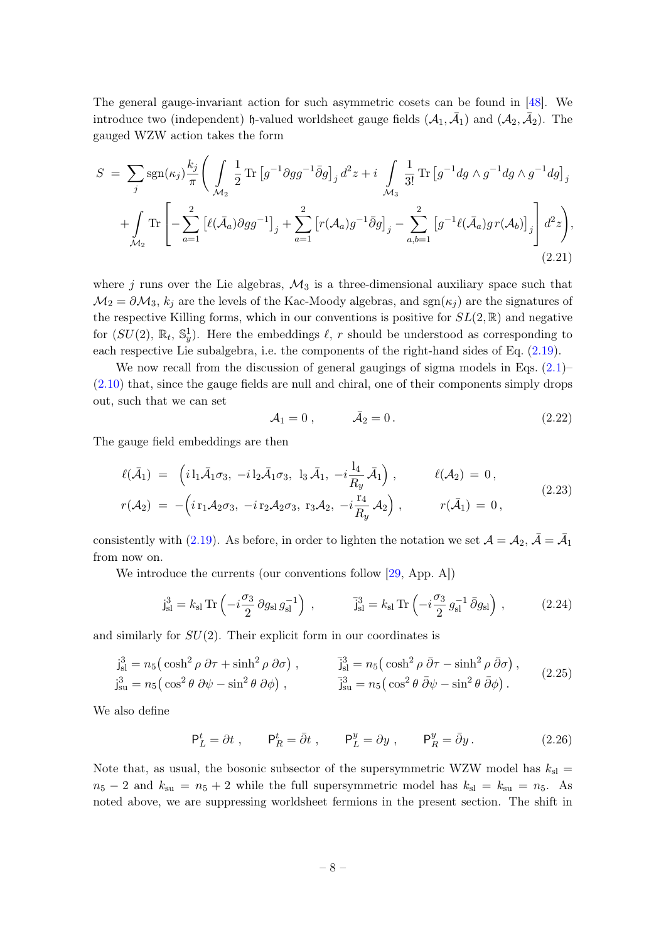The general gauge-invariant action for such asymmetric cosets can be found in [\[48\]](#page-42-4). We introduce two (independent)  $\mathfrak h$ -valued worldsheet gauge fields  $(\mathcal A_1, \bar{\mathcal A}_1)$  and  $(\mathcal A_2, \bar{\mathcal A}_2)$ . The gauged WZW action takes the form

$$
S = \sum_{j} sgn(\kappa_j) \frac{k_j}{\pi} \Bigg( \int_{\mathcal{M}_2} \frac{1}{2} \text{Tr} \left[ g^{-1} \partial g g^{-1} \bar{\partial} g \right]_j d^2 z + i \int_{\mathcal{M}_3} \frac{1}{3!} \text{Tr} \left[ g^{-1} dg \wedge g^{-1} dg \wedge g^{-1} dg \right]_j + \int_{\mathcal{M}_2} \text{Tr} \left[ - \sum_{a=1}^2 \left[ \ell(\bar{\mathcal{A}}_a) \partial g g^{-1} \right]_j + \sum_{a=1}^2 \left[ r(\mathcal{A}_a) g^{-1} \bar{\partial} g \right]_j - \sum_{a,b=1}^2 \left[ g^{-1} \ell(\bar{\mathcal{A}}_a) g r(\mathcal{A}_b) \right]_j \Bigg] d^2 z \Bigg),
$$
(2.21)

where j runs over the Lie algebras,  $\mathcal{M}_3$  is a three-dimensional auxiliary space such that  $\mathcal{M}_2 = \partial \mathcal{M}_3$ ,  $k_j$  are the levels of the Kac-Moody algebras, and sgn $(\kappa_j)$  are the signatures of the respective Killing forms, which in our conventions is positive for  $SL(2,\mathbb{R})$  and negative for  $(SU(2), \mathbb{R}_t, \mathbb{S}^1_y)$ . Here the embeddings  $\ell$ , r should be understood as corresponding to each respective Lie subalgebra, i.e. the components of the right-hand sides of Eq. [\(2.19\)](#page-7-2).

We now recall from the discussion of general gaugings of sigma models in Eqs.  $(2.1)$ – [\(2.10\)](#page-6-3) that, since the gauge fields are null and chiral, one of their components simply drops out, such that we can set

$$
A_1 = 0, \qquad \bar{A}_2 = 0. \tag{2.22}
$$

The gauge field embeddings are then

$$
\ell(\bar{A}_1) = (i1_1\bar{A}_1\sigma_3, -i1_2\bar{A}_1\sigma_3, 1_3\bar{A}_1, -i\frac{1_4}{R_y}\bar{A}_1), \qquad \ell(A_2) = 0, \nr(A_2) = -(i1_1A_2\sigma_3, -i1_2A_2\sigma_3, 1_3A_2, -i\frac{1_4}{R_y}\bar{A}_2), \qquad r(\bar{A}_1) = 0,
$$
\n(2.23)

consistently with [\(2.19\)](#page-7-2). As before, in order to lighten the notation we set  $\mathcal{A} = \mathcal{A}_2$ ,  $\bar{\mathcal{A}} = \bar{\mathcal{A}}_1$ from now on.

We introduce the currents (our conventions follow [\[29,](#page-41-6) App. A])

$$
j_{\rm sl}^3 = k_{\rm sl} \operatorname{Tr} \left( -i \frac{\sigma_3}{2} \partial g_{\rm sl} g_{\rm sl}^{-1} \right) , \qquad \qquad \bar{j}_{\rm sl}^3 = k_{\rm sl} \operatorname{Tr} \left( -i \frac{\sigma_3}{2} g_{\rm sl}^{-1} \bar{\partial} g_{\rm sl} \right) ,
$$
 (2.24)

and similarly for  $SU(2)$ . Their explicit form in our coordinates is

$$
\mathbf{j}_{\rm sl}^3 = n_5 \left( \cosh^2 \rho \, \partial \tau + \sinh^2 \rho \, \partial \sigma \right), \qquad \mathbf{\bar{j}}_{\rm sl}^3 = n_5 \left( \cosh^2 \rho \, \bar{\partial} \tau - \sinh^2 \rho \, \bar{\partial} \sigma \right),
$$
\n
$$
\mathbf{j}_{\rm su}^3 = n_5 \left( \cos^2 \theta \, \partial \psi - \sin^2 \theta \, \partial \phi \right), \qquad \mathbf{\bar{j}}_{\rm su}^3 = n_5 \left( \cos^2 \theta \, \bar{\partial} \psi - \sin^2 \theta \, \bar{\partial} \phi \right).
$$
\n(2.25)

We also define

$$
\mathsf{P}_L^t = \partial t \;, \qquad \mathsf{P}_R^t = \bar{\partial} t \;, \qquad \mathsf{P}_L^y = \partial y \;, \qquad \mathsf{P}_R^y = \bar{\partial} y \,. \tag{2.26}
$$

Note that, as usual, the bosonic subsector of the supersymmetric WZW model has  $k_{\rm sl}$  =  $n_5 - 2$  and  $k_{su} = n_5 + 2$  while the full supersymmetric model has  $k_{sl} = k_{su} = n_5$ . As noted above, we are suppressing worldsheet fermions in the present section. The shift in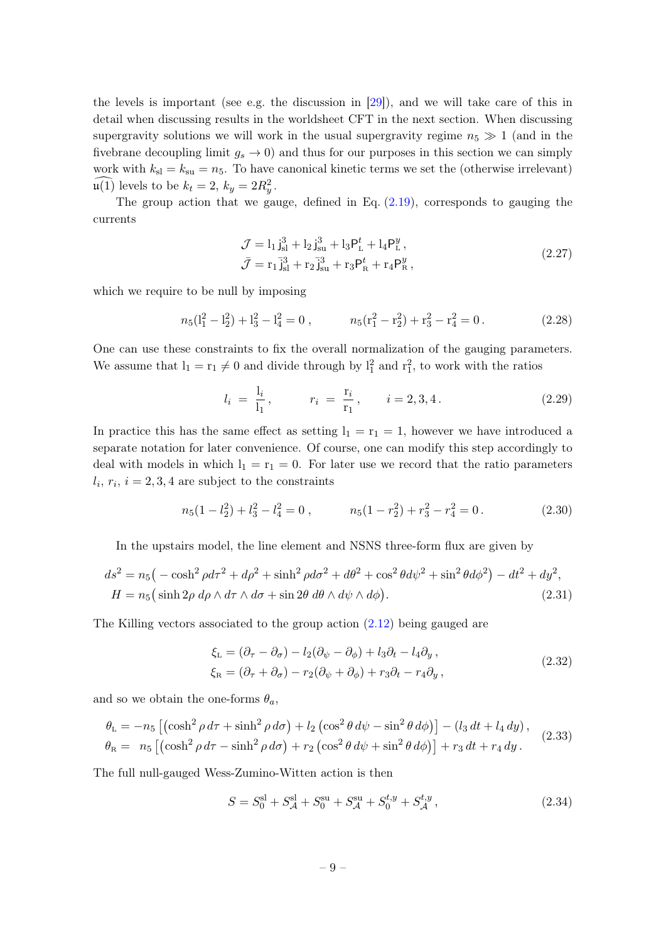the levels is important (see e.g. the discussion in [\[29\]](#page-41-6)), and we will take care of this in detail when discussing results in the worldsheet CFT in the next section. When discussing supergravity solutions we will work in the usual supergravity regime  $n_5 \gg 1$  (and in the fivebrane decoupling limit  $g_s \to 0$ ) and thus for our purposes in this section we can simply work with  $k_{\rm sl} = k_{\rm su} = n_5$ . To have canonical kinetic terms we set the (otherwise irrelevant)  $\mathfrak{u}(1)$  levels to be  $k_t = 2, k_y = 2R_y^2$ .

The group action that we gauge, defined in Eq.  $(2.19)$ , corresponds to gauging the currents

<span id="page-9-0"></span>
$$
\mathcal{J} = l_1 j_{\rm sl}^3 + l_2 j_{\rm su}^3 + l_3 P_{\rm L}^t + l_4 P_{\rm L}^y ,
$$
  
\n
$$
\bar{\mathcal{J}} = r_1 \bar{j}_{\rm sl}^3 + r_2 \bar{j}_{\rm su}^3 + r_3 P_{\rm R}^t + r_4 P_{\rm R}^y ,
$$
\n(2.27)

which we require to be null by imposing

<span id="page-9-2"></span>
$$
n_5\left(l_1^2 - l_2^2\right) + l_3^2 - l_4^2 = 0\,, \qquad n_5\left(r_1^2 - r_2^2\right) + r_3^2 - r_4^2 = 0\,. \tag{2.28}
$$

One can use these constraints to fix the overall normalization of the gauging parameters. We assume that  $l_1 = r_1 \neq 0$  and divide through by  $l_1^2$  and  $r_1^2$ , to work with the ratios

$$
l_i = \frac{l_i}{l_1}, \qquad r_i = \frac{r_i}{r_1}, \qquad i = 2, 3, 4. \tag{2.29}
$$

In practice this has the same effect as setting  $l_1 = r_1 = 1$ , however we have introduced a separate notation for later convenience. Of course, one can modify this step accordingly to deal with models in which  $l_1 = r_1 = 0$ . For later use we record that the ratio parameters  $l_i, r_i, i = 2, 3, 4$  are subject to the constraints

<span id="page-9-3"></span>
$$
n_5(1 - l_2^2) + l_3^2 - l_4^2 = 0 , \qquad n_5(1 - r_2^2) + r_3^2 - r_4^2 = 0 . \tag{2.30}
$$

In the upstairs model, the line element and NSNS three-form flux are given by

$$
ds^{2} = n_{5}(-\cosh^{2}\rho d\tau^{2} + d\rho^{2} + \sinh^{2}\rho d\sigma^{2} + d\theta^{2} + \cos^{2}\theta d\psi^{2} + \sin^{2}\theta d\phi^{2}) - dt^{2} + dy^{2},
$$
  
\n
$$
H = n_{5}(\sinh 2\rho \, d\rho \wedge d\tau \wedge d\sigma + \sin 2\theta \, d\theta \wedge d\psi \wedge d\phi).
$$
\n(2.31)

The Killing vectors associated to the group action [\(2.12\)](#page-6-4) being gauged are

<span id="page-9-1"></span>
$$
\xi_{\mathcal{L}} = (\partial_{\tau} - \partial_{\sigma}) - l_2(\partial_{\psi} - \partial_{\phi}) + l_3\partial_t - l_4\partial_y ,\n\xi_{\mathcal{R}} = (\partial_{\tau} + \partial_{\sigma}) - r_2(\partial_{\psi} + \partial_{\phi}) + r_3\partial_t - r_4\partial_y ,
$$
\n(2.32)

and so we obtain the one-forms  $\theta_a$ ,

$$
\theta_{\rm L} = -n_5 \left[ \left( \cosh^2 \rho \, d\tau + \sinh^2 \rho \, d\sigma \right) + l_2 \left( \cos^2 \theta \, d\psi - \sin^2 \theta \, d\phi \right) \right] - \left( l_3 \, dt + l_4 \, dy \right),
$$
\n
$$
\theta_{\rm R} = n_5 \left[ \left( \cosh^2 \rho \, d\tau - \sinh^2 \rho \, d\sigma \right) + r_2 \left( \cos^2 \theta \, d\psi + \sin^2 \theta \, d\phi \right) \right] + r_3 \, dt + r_4 \, dy.
$$
\n(2.33)

The full null-gauged Wess-Zumino-Witten action is then

$$
S = S_0^{\rm sl} + S_{\mathcal{A}}^{\rm sl} + S_0^{\rm su} + S_{\mathcal{A}}^{\rm su} + S_0^{t, y} + S_{\mathcal{A}}^{t, y}, \qquad (2.34)
$$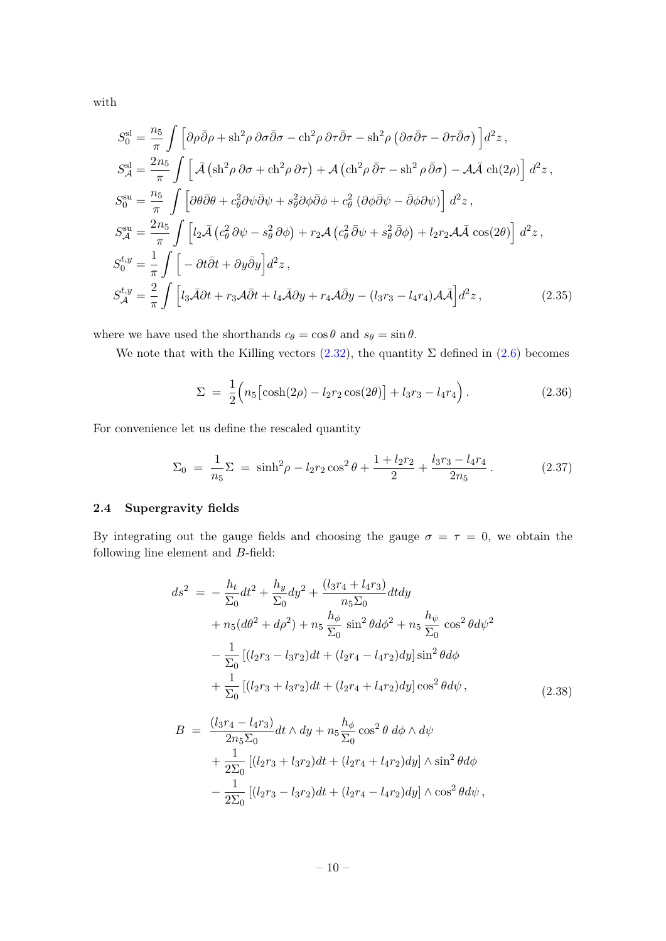with

$$
S_0^{\text{sl}} = \frac{n_5}{\pi} \int \left[ \partial \rho \bar{\partial} \rho + \text{sh}^2 \rho \partial \sigma \bar{\partial} \sigma - \text{ch}^2 \rho \partial \tau \bar{\partial} \tau - \text{sh}^2 \rho \left( \partial \sigma \bar{\partial} \tau - \partial \tau \bar{\partial} \sigma \right) \right] d^2 z ,
$$
  
\n
$$
S_A^{\text{sl}} = \frac{2n_5}{\pi} \int \left[ \bar{\mathcal{A}} \left( \text{sh}^2 \rho \partial \sigma + \text{ch}^2 \rho \partial \tau \right) + \mathcal{A} \left( \text{ch}^2 \rho \bar{\partial} \tau - \text{sh}^2 \rho \bar{\partial} \sigma \right) - \mathcal{A} \bar{\mathcal{A}} \left( \text{ch}^2 \rho \right) \right] d^2 z ,
$$
  
\n
$$
S_0^{\text{su}} = \frac{n_5}{\pi} \int \left[ \partial \theta \bar{\partial} \theta + c_\theta^2 \partial \psi \bar{\partial} \psi + s_\theta^2 \partial \phi \bar{\partial} \phi + c_\theta^2 \left( \partial \phi \bar{\partial} \psi - \bar{\partial} \phi \partial \psi \right) \right] d^2 z ,
$$
  
\n
$$
S_A^{\text{su}} = \frac{2n_5}{\pi} \int \left[ l_2 \bar{\mathcal{A}} \left( c_\theta^2 \partial \psi - s_\theta^2 \partial \phi \right) + r_2 \mathcal{A} \left( c_\theta^2 \bar{\partial} \psi + s_\theta^2 \bar{\partial} \phi \right) + l_2 r_2 \mathcal{A} \bar{\mathcal{A}} \cos(2\theta) \right] d^2 z ,
$$
  
\n
$$
S_0^{t,y} = \frac{1}{\pi} \int \left[ -\partial t \bar{\partial} t + \partial y \bar{\partial} y \right] d^2 z ,
$$
  
\n
$$
S_A^{t,y} = \frac{2}{\pi} \int \left[ l_3 \bar{\mathcal{A}} \partial t + r_3 \mathcal{A} \bar{\partial} t + l_4 \bar{\mathcal{A}} \partial y + r_4 \mathcal{A} \bar{\partial} y - (l_3 r_3 - l_4 r_4) \mathcal{A} \bar{\mathcal{A}} \right] d^2 z ,
$$
  
\n(

where we have used the shorthands  $c_{\theta} = \cos \theta$  and  $s_{\theta} = \sin \theta$ .

We note that with the Killing vectors  $(2.32)$ , the quantity  $\Sigma$  defined in  $(2.6)$  becomes

<span id="page-10-2"></span>
$$
\Sigma = \frac{1}{2} \Big( n_5 \big[ \cosh(2\rho) - l_2 r_2 \cos(2\theta) \big] + l_3 r_3 - l_4 r_4 \Big).
$$
 (2.36)

For convenience let us define the rescaled quantity

$$
\Sigma_0 = \frac{1}{n_5} \Sigma = \sinh^2 \rho - l_2 r_2 \cos^2 \theta + \frac{1 + l_2 r_2}{2} + \frac{l_3 r_3 - l_4 r_4}{2 n_5}.
$$
 (2.37)

## <span id="page-10-0"></span>2.4 Supergravity fields

By integrating out the gauge fields and choosing the gauge  $\sigma = \tau = 0$ , we obtain the following line element and B-field:

$$
ds^{2} = -\frac{h_{t}}{\Sigma_{0}}dt^{2} + \frac{h_{y}}{\Sigma_{0}}dy^{2} + \frac{(l_{3}r_{4} + l_{4}r_{3})}{n_{5}\Sigma_{0}}dtdy
$$
  
+  $n_{5}(d\theta^{2} + d\rho^{2}) + n_{5}\frac{h_{\phi}}{\Sigma_{0}}\sin^{2}\theta d\phi^{2} + n_{5}\frac{h_{\psi}}{\Sigma_{0}}\cos^{2}\theta d\psi^{2}$   
-  $\frac{1}{\Sigma_{0}}[(l_{2}r_{3} - l_{3}r_{2})dt + (l_{2}r_{4} - l_{4}r_{2})dy]\sin^{2}\theta d\phi$   
+  $\frac{1}{\Sigma_{0}}[(l_{2}r_{3} + l_{3}r_{2})dt + (l_{2}r_{4} + l_{4}r_{2})dy]\cos^{2}\theta d\psi,$  (2.38)

<span id="page-10-1"></span>
$$
B = \frac{(l_3r_4 - l_4r_3)}{2n_5\Sigma_0} dt \wedge dy + n_5 \frac{h_{\phi}}{\Sigma_0} \cos^2 \theta \, d\phi \wedge d\psi + \frac{1}{2\Sigma_0} [(l_2r_3 + l_3r_2)dt + (l_2r_4 + l_4r_2)dy] \wedge \sin^2 \theta d\phi - \frac{1}{2\Sigma_0} [(l_2r_3 - l_3r_2)dt + (l_2r_4 - l_4r_2)dy] \wedge \cos^2 \theta d\psi,
$$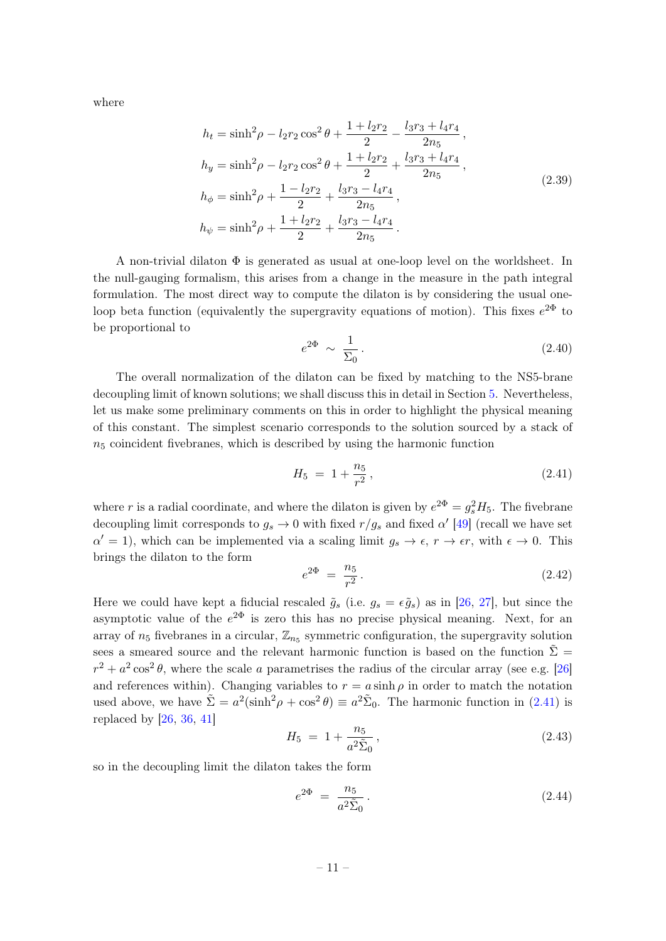where

$$
h_t = \sinh^2 \rho - l_2 r_2 \cos^2 \theta + \frac{1 + l_2 r_2}{2} - \frac{l_3 r_3 + l_4 r_4}{2r_5},
$$
  
\n
$$
h_y = \sinh^2 \rho - l_2 r_2 \cos^2 \theta + \frac{1 + l_2 r_2}{2} + \frac{l_3 r_3 + l_4 r_4}{2r_5},
$$
  
\n
$$
h_{\phi} = \sinh^2 \rho + \frac{1 - l_2 r_2}{2} + \frac{l_3 r_3 - l_4 r_4}{2r_5},
$$
  
\n
$$
h_{\psi} = \sinh^2 \rho + \frac{1 + l_2 r_2}{2} + \frac{l_3 r_3 - l_4 r_4}{2r_5}.
$$
\n(2.39)

A non-trivial dilaton  $\Phi$  is generated as usual at one-loop level on the worldsheet. In the null-gauging formalism, this arises from a change in the measure in the path integral formulation. The most direct way to compute the dilaton is by considering the usual oneloop beta function (equivalently the supergravity equations of motion). This fixes  $e^{2\Phi}$  to be proportional to

<span id="page-11-2"></span><span id="page-11-1"></span>
$$
e^{2\Phi} \sim \frac{1}{\Sigma_0} \,. \tag{2.40}
$$

The overall normalization of the dilaton can be fixed by matching to the NS5-brane decoupling limit of known solutions; we shall discuss this in detail in Section [5.](#page-31-0) Nevertheless, let us make some preliminary comments on this in order to highlight the physical meaning of this constant. The simplest scenario corresponds to the solution sourced by a stack of  $n<sub>5</sub>$  coincident fivebranes, which is described by using the harmonic function

<span id="page-11-0"></span>
$$
H_5 = 1 + \frac{n_5}{r^2},\tag{2.41}
$$

where r is a radial coordinate, and where the dilaton is given by  $e^{2\Phi} = g_s^2 H_5$ . The fivebrane decoupling limit corresponds to  $g_s \to 0$  with fixed  $r/g_s$  and fixed  $\alpha'$  [\[49\]](#page-42-5) (recall we have set  $\alpha' = 1$ , which can be implemented via a scaling limit  $g_s \to \epsilon$ ,  $r \to \epsilon r$ , with  $\epsilon \to 0$ . This brings the dilaton to the form

$$
e^{2\Phi} = \frac{n_5}{r^2} \,. \tag{2.42}
$$

Here we could have kept a fiducial rescaled  $\tilde{g}_s$  (i.e.  $g_s = \epsilon \tilde{g}_s$ ) as in [\[26,](#page-41-3) [27\]](#page-41-4), but since the asymptotic value of the  $e^{2\Phi}$  is zero this has no precise physical meaning. Next, for an array of  $n_5$  fivebranes in a circular,  $\mathbb{Z}_{n_5}$  symmetric configuration, the supergravity solution sees a smeared source and the relevant harmonic function is based on the function  $\Sigma =$  $r^2 + a^2 \cos^2 \theta$ , where the scale a parametrises the radius of the circular array (see e.g. [\[26\]](#page-41-3) and references within). Changing variables to  $r = a \sinh \rho$  in order to match the notation used above, we have  $\tilde{\Sigma} = a^2(\sinh^2 \rho + \cos^2 \theta) \equiv a^2 \tilde{\Sigma}_0$ . The harmonic function in [\(2.41\)](#page-11-0) is replaced by  $[26, 36, 41]$  $[26, 36, 41]$  $[26, 36, 41]$  $[26, 36, 41]$  $[26, 36, 41]$ 

$$
H_5 = 1 + \frac{n_5}{a^2 \tilde{\Sigma}_0},\tag{2.43}
$$

so in the decoupling limit the dilaton takes the form

$$
e^{2\Phi} = \frac{n_5}{a^2 \tilde{\Sigma}_0} \,. \tag{2.44}
$$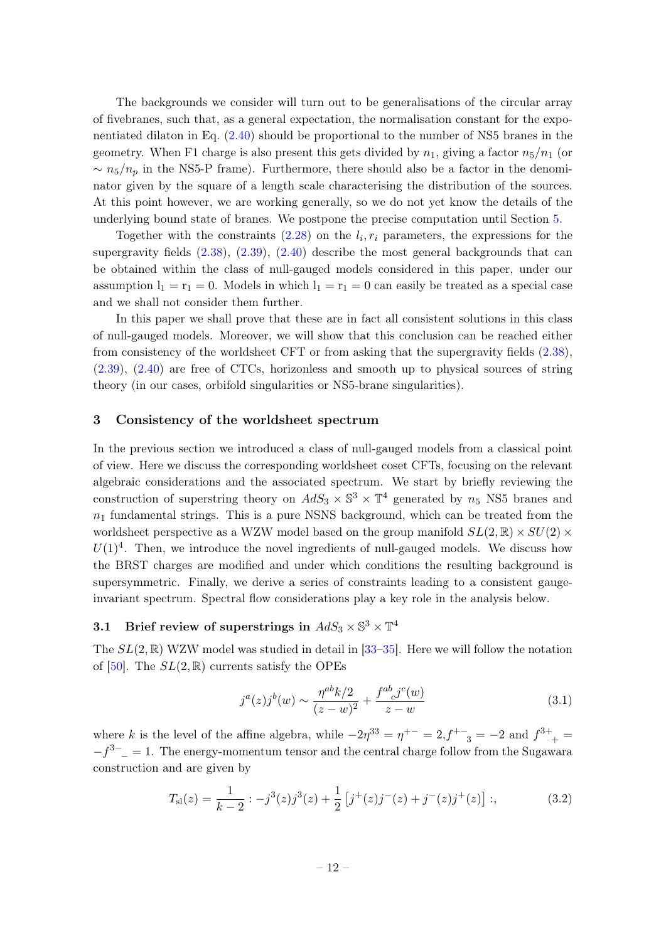The backgrounds we consider will turn out to be generalisations of the circular array of fivebranes, such that, as a general expectation, the normalisation constant for the exponentiated dilaton in Eq. [\(2.40\)](#page-11-1) should be proportional to the number of NS5 branes in the geometry. When F1 charge is also present this gets divided by  $n_1$ , giving a factor  $n_5/n_1$  (or  $\sim n_5/n_p$  in the NS5-P frame). Furthermore, there should also be a factor in the denominator given by the square of a length scale characterising the distribution of the sources. At this point however, we are working generally, so we do not yet know the details of the underlying bound state of branes. We postpone the precise computation until Section [5.](#page-31-0)

Together with the constraints  $(2.28)$  on the  $l_i, r_i$  parameters, the expressions for the supergravity fields  $(2.38)$ ,  $(2.39)$ ,  $(2.40)$  describe the most general backgrounds that can be obtained within the class of null-gauged models considered in this paper, under our assumption  $l_1 = r_1 = 0$ . Models in which  $l_1 = r_1 = 0$  can easily be treated as a special case and we shall not consider them further.

In this paper we shall prove that these are in fact all consistent solutions in this class of null-gauged models. Moreover, we will show that this conclusion can be reached either from consistency of the worldsheet CFT or from asking that the supergravity fields [\(2.38\)](#page-10-1), [\(2.39\)](#page-11-2), [\(2.40\)](#page-11-1) are free of CTCs, horizonless and smooth up to physical sources of string theory (in our cases, orbifold singularities or NS5-brane singularities).

## <span id="page-12-0"></span>3 Consistency of the worldsheet spectrum

In the previous section we introduced a class of null-gauged models from a classical point of view. Here we discuss the corresponding worldsheet coset CFTs, focusing on the relevant algebraic considerations and the associated spectrum. We start by briefly reviewing the construction of superstring theory on  $AdS_3 \times \mathbb{S}^3 \times \mathbb{T}^4$  generated by  $n_5$  NS5 branes and  $n_1$  fundamental strings. This is a pure NSNS background, which can be treated from the worldsheet perspective as a WZW model based on the group manifold  $SL(2,\mathbb{R})\times SU(2)\times$  $U(1)^4$ . Then, we introduce the novel ingredients of null-gauged models. We discuss how the BRST charges are modified and under which conditions the resulting background is supersymmetric. Finally, we derive a series of constraints leading to a consistent gaugeinvariant spectrum. Spectral flow considerations play a key role in the analysis below.

## <span id="page-12-1"></span>3.1 Brief review of superstrings in  $AdS_3 \times \mathbb{S}^3 \times \mathbb{T}^4$

The  $SL(2,\mathbb{R})$  WZW model was studied in detail in [\[33](#page-41-10)[–35\]](#page-41-9). Here we will follow the notation of [\[50\]](#page-42-6). The  $SL(2,\mathbb{R})$  currents satisfy the OPEs

<span id="page-12-3"></span>
$$
j^{a}(z)j^{b}(w) \sim \frac{\eta^{ab}k/2}{(z-w)^{2}} + \frac{f^{ab}_{c}j^{c}(w)}{z-w}
$$
\n(3.1)

where k is the level of the affine algebra, while  $-2\eta^{33} = \eta^{+-} = 2$ ,  $f^{+-}{}_{3} = -2$  and  $f^{3+}{}_{+} =$  $-f^{3-}$  = 1. The energy-momentum tensor and the central charge follow from the Sugawara construction and are given by

<span id="page-12-2"></span>
$$
T_{\rm sl}(z) = \frac{1}{k-2} : -j^3(z)j^3(z) + \frac{1}{2} \left[ j^+(z)j^-(z) + j^-(z)j^+(z) \right] ; \tag{3.2}
$$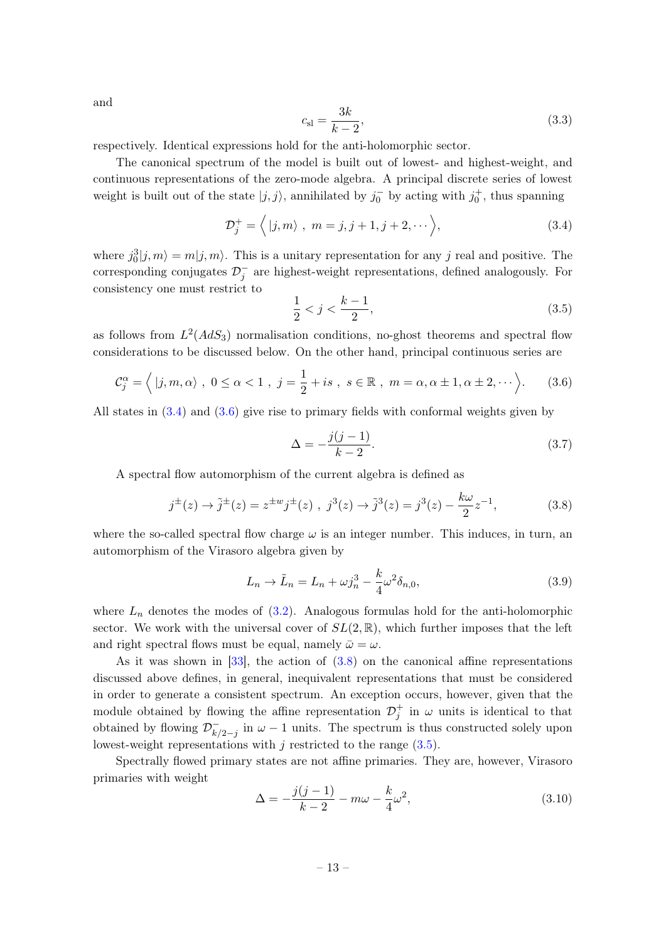and

$$
c_{\rm sl} = \frac{3k}{k - 2},\tag{3.3}
$$

respectively. Identical expressions hold for the anti-holomorphic sector.

The canonical spectrum of the model is built out of lowest- and highest-weight, and continuous representations of the zero-mode algebra. A principal discrete series of lowest weight is built out of the state  $|j, j\rangle$ , annihilated by  $j_0^-$  by acting with  $j_0^+$ , thus spanning

<span id="page-13-0"></span>
$$
\mathcal{D}_j^+ = \langle |j, m \rangle \ , \ m = j, j+1, j+2, \cdots \rangle,
$$
 (3.4)

where  $j_0^3|j,m\rangle = m|j,m\rangle$ . This is a unitary representation for any j real and positive. The corresponding conjugates  $\mathcal{D}_j^-$  are highest-weight representations, defined analogously. For consistency one must restrict to

<span id="page-13-3"></span>
$$
\frac{1}{2} < j < \frac{k-1}{2},\tag{3.5}
$$

as follows from  $L^2(AdS_3)$  normalisation conditions, no-ghost theorems and spectral flow considerations to be discussed below. On the other hand, principal continuous series are

<span id="page-13-1"></span>
$$
\mathcal{C}^{\alpha}_{j} = \left\langle \left| j, m, \alpha \right\rangle, \ 0 \leq \alpha < 1 \right., \ j = \frac{1}{2} + is \ , \ s \in \mathbb{R} \ , \ m = \alpha, \alpha \pm 1, \alpha \pm 2, \cdots \right\rangle. \tag{3.6}
$$

All states in [\(3.4\)](#page-13-0) and [\(3.6\)](#page-13-1) give rise to primary fields with conformal weights given by

$$
\Delta = -\frac{j(j-1)}{k-2}.\tag{3.7}
$$

A spectral flow automorphism of the current algebra is defined as

<span id="page-13-2"></span>
$$
j^{\pm}(z) \to \tilde{j}^{\pm}(z) = z^{\pm w} j^{\pm}(z) , j^3(z) \to \tilde{j}^3(z) = j^3(z) - \frac{k\omega}{2} z^{-1}, \tag{3.8}
$$

where the so-called spectral flow charge  $\omega$  is an integer number. This induces, in turn, an automorphism of the Virasoro algebra given by

<span id="page-13-4"></span>
$$
L_n \to \tilde{L}_n = L_n + \omega j_n^3 - \frac{k}{4} \omega^2 \delta_{n,0},\tag{3.9}
$$

where  $L_n$  denotes the modes of  $(3.2)$ . Analogous formulas hold for the anti-holomorphic sector. We work with the universal cover of  $SL(2,\mathbb{R})$ , which further imposes that the left and right spectral flows must be equal, namely  $\bar{\omega} = \omega$ .

As it was shown in  $[33]$ , the action of  $(3.8)$  on the canonical affine representations discussed above defines, in general, inequivalent representations that must be considered in order to generate a consistent spectrum. An exception occurs, however, given that the module obtained by flowing the affine representation  $\mathcal{D}_j^+$  in  $\omega$  units is identical to that obtained by flowing  $\mathcal{D}_k^ \overline{k}_{2-j}$  in  $\omega - 1$  units. The spectrum is thus constructed solely upon lowest-weight representations with  $j$  restricted to the range  $(3.5)$ .

Spectrally flowed primary states are not affine primaries. They are, however, Virasoro primaries with weight

$$
\Delta = -\frac{j(j-1)}{k-2} - m\omega - \frac{k}{4}\omega^2,\tag{3.10}
$$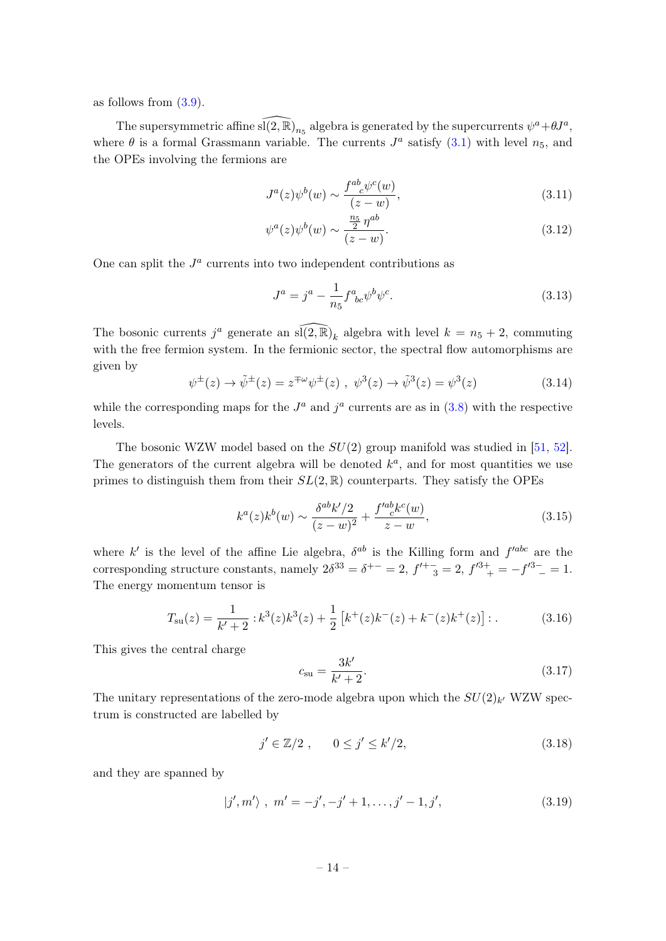as follows from [\(3.9\)](#page-13-4).

The supersymmetric affine  $\widehat{\mathfrak{sl}(2,\mathbb{R})}_{n_5}$  algebra is generated by the supercurrents  $\psi^a+\theta J^a,$ where  $\theta$  is a formal Grassmann variable. The currents  $J^a$  satisfy [\(3.1\)](#page-12-3) with level  $n_5$ , and the OPEs involving the fermions are

$$
J^{a}(z)\psi^{b}(w) \sim \frac{f^{ab}{}_{c}\psi^{c}(w)}{(z-w)},
$$
\n(3.11)

$$
\psi^{a}(z)\psi^{b}(w) \sim \frac{\frac{n_{5}}{2}\eta^{ab}}{(z-w)}.\tag{3.12}
$$

One can split the  $J^a$  currents into two independent contributions as

$$
J^{a} = j^{a} - \frac{1}{n_{5}} f^{a}_{\;bc} \psi^{b} \psi^{c}.
$$
 (3.13)

The bosonic currents  $j^a$  generate an  $\widehat{\mathfrak{sl}(2,\mathbb{R})}_k$  algebra with level  $k = n_5 + 2$ , commuting with the free fermion system. In the fermionic sector, the spectral flow automorphisms are given by

<span id="page-14-1"></span>
$$
\psi^{\pm}(z) \to \tilde{\psi}^{\pm}(z) = z^{\mp \omega} \psi^{\pm}(z) , \ \psi^3(z) \to \tilde{\psi}^3(z) = \psi^3(z)
$$
 (3.14)

while the corresponding maps for the  $J^a$  and  $j^a$  currents are as in [\(3.8\)](#page-13-2) with the respective levels.

The bosonic WZW model based on the  $SU(2)$  group manifold was studied in [\[51,](#page-42-7) [52\]](#page-42-8). The generators of the current algebra will be denoted  $k^a$ , and for most quantities we use primes to distinguish them from their  $SL(2,\mathbb{R})$  counterparts. They satisfy the OPEs

<span id="page-14-0"></span>
$$
k^{a}(z)k^{b}(w) \sim \frac{\delta^{ab}k'/2}{(z-w)^{2}} + \frac{f'^{ab}_{\ c}k^{c}(w)}{z-w},
$$
\n(3.15)

where k' is the level of the affine Lie algebra,  $\delta^{ab}$  is the Killing form and  $f'^{abc}$  are the corresponding structure constants, namely  $2\delta^{33} = \delta^{+-} = 2$ ,  $f'^{+-}{}_{3} = 2$ ,  $f'^{3+}{}_{+} = -f'^{3-} = 1$ . The energy momentum tensor is

$$
T_{\rm su}(z) = \frac{1}{k' + 2} : k^3(z)k^3(z) + \frac{1}{2} \left[ k^+(z)k^-(z) + k^-(z)k^+(z) \right] : . \tag{3.16}
$$

This gives the central charge

$$
c_{\rm su} = \frac{3k'}{k' + 2}.\tag{3.17}
$$

The unitary representations of the zero-mode algebra upon which the  $SU(2)_{k'}$  WZW spectrum is constructed are labelled by

$$
j' \in \mathbb{Z}/2 \;, \qquad 0 \le j' \le k'/2,\tag{3.18}
$$

and they are spanned by

$$
|j',m'\rangle, \ m' = -j', -j'+1,\dots, j'-1, j', \tag{3.19}
$$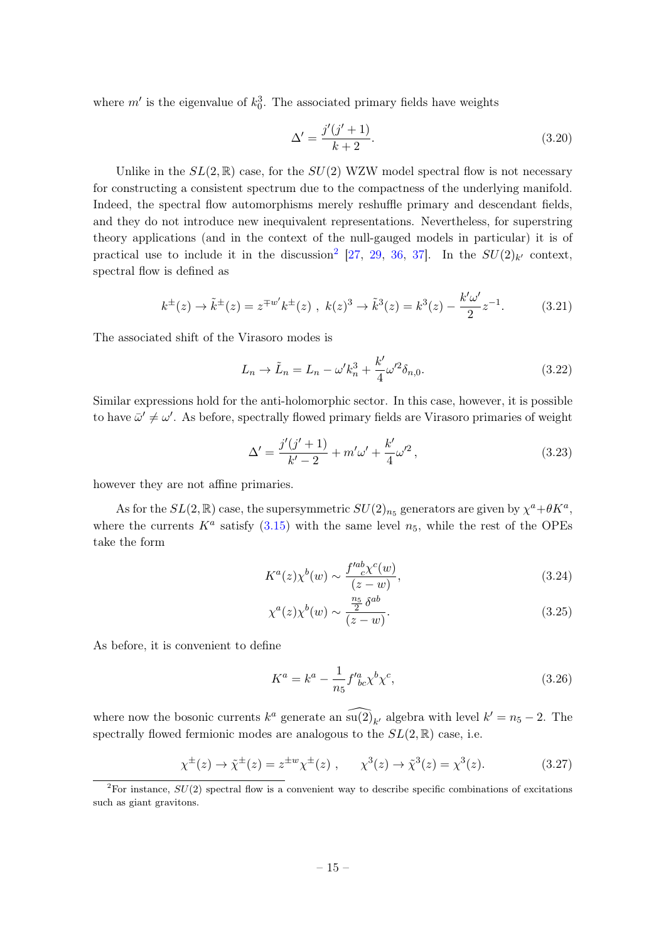where  $m'$  is the eigenvalue of  $k_0^3$ . The associated primary fields have weights

$$
\Delta' = \frac{j'(j'+1)}{k+2}.\tag{3.20}
$$

Unlike in the  $SL(2,\mathbb{R})$  case, for the  $SU(2)$  WZW model spectral flow is not necessary for constructing a consistent spectrum due to the compactness of the underlying manifold. Indeed, the spectral flow automorphisms merely reshuffle primary and descendant fields, and they do not introduce new inequivalent representations. Nevertheless, for superstring theory applications (and in the context of the null-gauged models in particular) it is of practical use to include it in the discussion<sup>[2](#page-15-0)</sup> [\[27,](#page-41-4) [29,](#page-41-6) [36,](#page-41-11) [37\]](#page-41-12). In the  $SU(2)_{k'}$  context, spectral flow is defined as

$$
k^{\pm}(z) \to \tilde{k}^{\pm}(z) = z^{\mp w'} k^{\pm}(z) , k(z)^3 \to \tilde{k}^3(z) = k^3(z) - \frac{k'\omega'}{2}z^{-1}.
$$
 (3.21)

The associated shift of the Virasoro modes is

$$
L_n \to \tilde{L}_n = L_n - \omega' k_n^3 + \frac{k'}{4} \omega'^2 \delta_{n,0}.
$$
 (3.22)

Similar expressions hold for the anti-holomorphic sector. In this case, however, it is possible to have  $\bar{\omega}' \neq \omega'$ . As before, spectrally flowed primary fields are Virasoro primaries of weight

<span id="page-15-2"></span>
$$
\Delta' = \frac{j'(j'+1)}{k'-2} + m'\omega' + \frac{k'}{4}\omega'^2,
$$
\n(3.23)

however they are not affine primaries.

As for the  $SL(2,\mathbb{R})$  case, the supersymmetric  $SU(2)_{n_5}$  generators are given by  $\chi^a + \theta K^a$ , where the currents  $K^a$  satisfy [\(3.15\)](#page-14-0) with the same level  $n_5$ , while the rest of the OPEs take the form

$$
K^{a}(z)\chi^{b}(w) \sim \frac{f'^{ab}_{c}\chi^{c}(w)}{(z-w)},
$$
\n(3.24)

$$
\chi^a(z)\chi^b(w) \sim \frac{\frac{n_5}{2}\,\delta^{ab}}{(z-w)}.\tag{3.25}
$$

As before, it is convenient to define

$$
K^{a} = k^{a} - \frac{1}{n_{5}} f^{\prime a}_{bc} \chi^{b} \chi^{c}, \qquad (3.26)
$$

where now the bosonic currents  $k^a$  generate an  $\widehat{\mathfrak{su}(2)}_{k'}$  algebra with level  $k' = n_5 - 2$ . The spectrally flowed fermionic modes are analogous to the  $SL(2,\mathbb{R})$  case, i.e.

<span id="page-15-1"></span>
$$
\chi^{\pm}(z) \to \tilde{\chi}^{\pm}(z) = z^{\pm w} \chi^{\pm}(z) , \qquad \chi^{3}(z) \to \tilde{\chi}^{3}(z) = \chi^{3}(z). \tag{3.27}
$$

<span id="page-15-0"></span><sup>&</sup>lt;sup>2</sup>For instance,  $SU(2)$  spectral flow is a convenient way to describe specific combinations of excitations such as giant gravitons.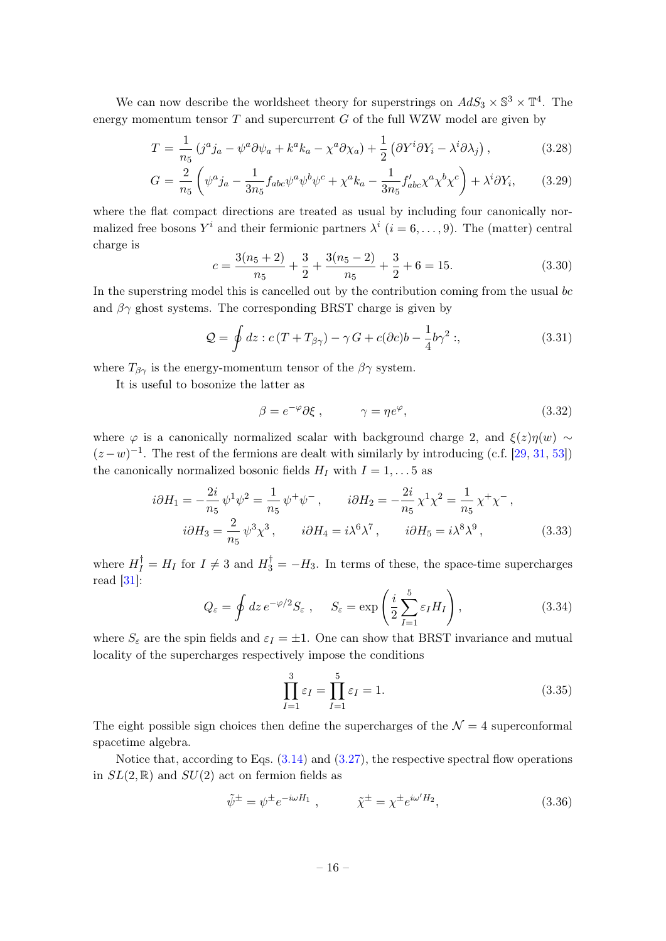We can now describe the worldsheet theory for superstrings on  $AdS_3 \times \mathbb{S}^3 \times \mathbb{T}^4$ . The energy momentum tensor  $T$  and supercurrent  $G$  of the full WZW model are given by

<span id="page-16-2"></span>
$$
T = \frac{1}{n_5} \left( j^a j_a - \psi^a \partial \psi_a + k^a k_a - \chi^a \partial \chi_a \right) + \frac{1}{2} \left( \partial Y^i \partial Y_i - \lambda^i \partial \chi_j \right), \tag{3.28}
$$

$$
G = \frac{2}{n_5} \left( \psi^a j_a - \frac{1}{3n_5} f_{abc} \psi^a \psi^b \psi^c + \chi^a k_a - \frac{1}{3n_5} f'_{abc} \chi^a \chi^b \chi^c \right) + \lambda^i \partial Y_i, \tag{3.29}
$$

where the flat compact directions are treated as usual by including four canonically normalized free bosons  $Y^i$  and their fermionic partners  $\lambda^i$   $(i = 6, \ldots, 9)$ . The (matter) central charge is

$$
c = \frac{3(n_5+2)}{n_5} + \frac{3}{2} + \frac{3(n_5-2)}{n_5} + \frac{3}{2} + 6 = 15.
$$
 (3.30)

In the superstring model this is cancelled out by the contribution coming from the usual bc and  $\beta\gamma$  ghost systems. The corresponding BRST charge is given by

$$
\mathcal{Q} = \oint dz : c(T + T_{\beta\gamma}) - \gamma G + c(\partial c)b - \frac{1}{4}b\gamma^2 ; \qquad (3.31)
$$

where  $T_{\beta\gamma}$  is the energy-momentum tensor of the  $\beta\gamma$  system.

It is useful to bosonize the latter as

$$
\beta = e^{-\varphi} \partial \xi , \qquad \gamma = \eta e^{\varphi}, \qquad (3.32)
$$

where  $\varphi$  is a canonically normalized scalar with background charge 2, and  $\xi(z)\eta(w) \sim$  $(z-w)^{-1}$ . The rest of the fermions are dealt with similarly by introducing (c.f. [\[29,](#page-41-6) [31,](#page-41-8) [53\]](#page-42-9)) the canonically normalized bosonic fields  $H_I$  with  $I = 1, \ldots 5$  as

$$
i\partial H_1 = -\frac{2i}{n_5} \psi^1 \psi^2 = \frac{1}{n_5} \psi^+ \psi^-, \qquad i\partial H_2 = -\frac{2i}{n_5} \chi^1 \chi^2 = \frac{1}{n_5} \chi^+ \chi^-,
$$
  
\n
$$
i\partial H_3 = \frac{2}{n_5} \psi^3 \chi^3, \qquad i\partial H_4 = i\lambda^6 \lambda^7, \qquad i\partial H_5 = i\lambda^8 \lambda^9,
$$
\n(3.33)

where  $H_I^{\dagger} = H_I$  for  $I \neq 3$  and  $H_3^{\dagger} = -H_3$ . In terms of these, the space-time supercharges read [\[31\]](#page-41-8):

<span id="page-16-1"></span>
$$
Q_{\varepsilon} = \oint dz \, e^{-\varphi/2} S_{\varepsilon} \;, \quad S_{\varepsilon} = \exp\left(\frac{i}{2} \sum_{I=1}^{5} \varepsilon_{I} H_{I}\right), \tag{3.34}
$$

where  $S_{\varepsilon}$  are the spin fields and  $\varepsilon_I = \pm 1$ . One can show that BRST invariance and mutual locality of the supercharges respectively impose the conditions

$$
\prod_{I=1}^{3} \varepsilon_I = \prod_{I=1}^{5} \varepsilon_I = 1.
$$
\n(3.35)

The eight possible sign choices then define the supercharges of the  $\mathcal{N}=4$  superconformal spacetime algebra.

Notice that, according to Eqs. [\(3.14\)](#page-14-1) and [\(3.27\)](#page-15-1), the respective spectral flow operations in  $SL(2,\mathbb{R})$  and  $SU(2)$  act on fermion fields as

<span id="page-16-0"></span>
$$
\tilde{\psi}^{\pm} = \psi^{\pm} e^{-i\omega H_1} , \qquad \tilde{\chi}^{\pm} = \chi^{\pm} e^{i\omega' H_2} , \qquad (3.36)
$$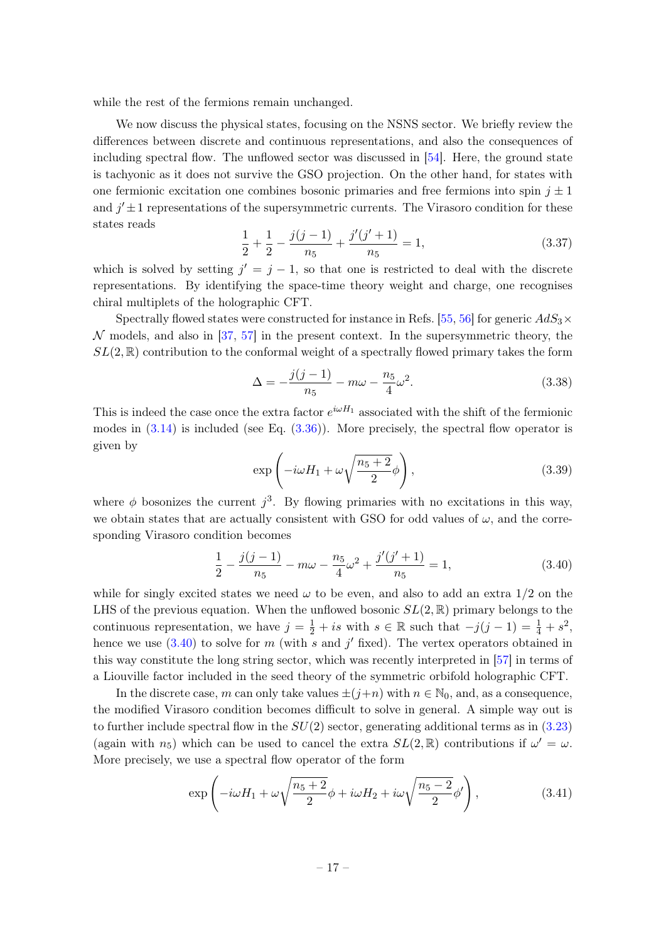while the rest of the fermions remain unchanged.

We now discuss the physical states, focusing on the NSNS sector. We briefly review the differences between discrete and continuous representations, and also the consequences of including spectral flow. The unflowed sector was discussed in [\[54\]](#page-42-10). Here, the ground state is tachyonic as it does not survive the GSO projection. On the other hand, for states with one fermionic excitation one combines bosonic primaries and free fermions into spin  $j \pm 1$ and  $j' \pm 1$  representations of the supersymmetric currents. The Virasoro condition for these states reads

$$
\frac{1}{2} + \frac{1}{2} - \frac{j(j-1)}{n_5} + \frac{j'(j'+1)}{n_5} = 1,
$$
\n(3.37)

which is solved by setting  $j' = j - 1$ , so that one is restricted to deal with the discrete representations. By identifying the space-time theory weight and charge, one recognises chiral multiplets of the holographic CFT.

Spectrally flowed states were constructed for instance in Refs. [\[55,](#page-42-11) [56\]](#page-42-12) for generic  $AdS_3\times$  $\mathcal N$  models, and also in [\[37,](#page-41-12) [57\]](#page-42-13) in the present context. In the supersymmetric theory, the  $SL(2,\mathbb{R})$  contribution to the conformal weight of a spectrally flowed primary takes the form

$$
\Delta = -\frac{j(j-1)}{n_5} - m\omega - \frac{n_5}{4}\omega^2.
$$
\n(3.38)

This is indeed the case once the extra factor  $e^{i\omega H_1}$  associated with the shift of the fermionic modes in  $(3.14)$  is included (see Eq.  $(3.36)$ ). More precisely, the spectral flow operator is given by

$$
\exp\left(-i\omega H_1 + \omega \sqrt{\frac{n_5 + 2}{2}}\phi\right),\tag{3.39}
$$

where  $\phi$  bosonizes the current  $j^3$ . By flowing primaries with no excitations in this way, we obtain states that are actually consistent with GSO for odd values of  $\omega$ , and the corresponding Virasoro condition becomes

<span id="page-17-0"></span>
$$
\frac{1}{2} - \frac{j(j-1)}{n_5} - m\omega - \frac{n_5}{4}\omega^2 + \frac{j'(j'+1)}{n_5} = 1,
$$
\n(3.40)

while for singly excited states we need  $\omega$  to be even, and also to add an extra  $1/2$  on the LHS of the previous equation. When the unflowed bosonic  $SL(2,\mathbb{R})$  primary belongs to the continuous representation, we have  $j = \frac{1}{2} + is$  with  $s \in \mathbb{R}$  such that  $-j(j-1) = \frac{1}{4} + s^2$ , hence we use  $(3.40)$  to solve for m (with s and j' fixed). The vertex operators obtained in this way constitute the long string sector, which was recently interpreted in [\[57\]](#page-42-13) in terms of a Liouville factor included in the seed theory of the symmetric orbifold holographic CFT.

In the discrete case, m can only take values  $\pm(j+n)$  with  $n \in \mathbb{N}_0$ , and, as a consequence, the modified Virasoro condition becomes difficult to solve in general. A simple way out is to further include spectral flow in the  $SU(2)$  sector, generating additional terms as in  $(3.23)$ (again with  $n_5$ ) which can be used to cancel the extra  $SL(2,\mathbb{R})$  contributions if  $\omega' = \omega$ . More precisely, we use a spectral flow operator of the form

<span id="page-17-1"></span>
$$
\exp\left(-i\omega H_1 + \omega \sqrt{\frac{n_5 + 2}{2}}\phi + i\omega H_2 + i\omega \sqrt{\frac{n_5 - 2}{2}}\phi'\right),\tag{3.41}
$$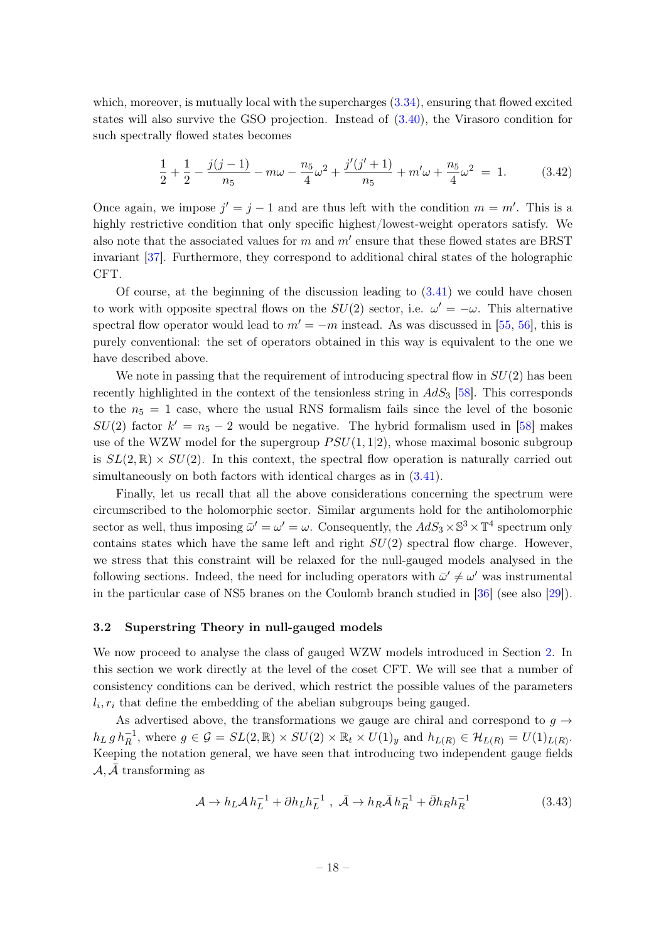which, moreover, is mutually local with the supercharges  $(3.34)$ , ensuring that flowed excited states will also survive the GSO projection. Instead of [\(3.40\)](#page-17-0), the Virasoro condition for such spectrally flowed states becomes

$$
\frac{1}{2} + \frac{1}{2} - \frac{j(j-1)}{n_5} - m\omega - \frac{n_5}{4}\omega^2 + \frac{j'(j'+1)}{n_5} + m'\omega + \frac{n_5}{4}\omega^2 = 1.
$$
 (3.42)

Once again, we impose  $j' = j - 1$  and are thus left with the condition  $m = m'$ . This is a highly restrictive condition that only specific highest/lowest-weight operators satisfy. We also note that the associated values for  $m$  and  $m'$  ensure that these flowed states are BRST invariant [\[37\]](#page-41-12). Furthermore, they correspond to additional chiral states of the holographic CFT.

Of course, at the beginning of the discussion leading to  $(3.41)$  we could have chosen to work with opposite spectral flows on the  $SU(2)$  sector, i.e.  $\omega' = -\omega$ . This alternative spectral flow operator would lead to  $m' = -m$  instead. As was discussed in [\[55,](#page-42-11) [56\]](#page-42-12), this is purely conventional: the set of operators obtained in this way is equivalent to the one we have described above.

We note in passing that the requirement of introducing spectral flow in  $SU(2)$  has been recently highlighted in the context of the tensionless string in  $AdS_3$  [\[58\]](#page-42-14). This corresponds to the  $n_5 = 1$  case, where the usual RNS formalism fails since the level of the bosonic  $SU(2)$  factor  $k' = n_5 - 2$  would be negative. The hybrid formalism used in [\[58\]](#page-42-14) makes use of the WZW model for the supergroup  $PSU(1, 1|2)$ , whose maximal bosonic subgroup is  $SL(2,\mathbb{R})\times SU(2)$ . In this context, the spectral flow operation is naturally carried out simultaneously on both factors with identical charges as in [\(3.41\)](#page-17-1).

Finally, let us recall that all the above considerations concerning the spectrum were circumscribed to the holomorphic sector. Similar arguments hold for the antiholomorphic sector as well, thus imposing  $\bar{\omega}' = \omega' = \omega$ . Consequently, the  $AdS_3 \times \mathbb{S}^3 \times \mathbb{T}^4$  spectrum only contains states which have the same left and right  $SU(2)$  spectral flow charge. However, we stress that this constraint will be relaxed for the null-gauged models analysed in the following sections. Indeed, the need for including operators with  $\bar{\omega}' \neq \omega'$  was instrumental in the particular case of NS5 branes on the Coulomb branch studied in [\[36\]](#page-41-11) (see also [\[29\]](#page-41-6)).

## <span id="page-18-0"></span>3.2 Superstring Theory in null-gauged models

We now proceed to analyse the class of gauged WZW models introduced in Section [2.](#page-4-0) In this section we work directly at the level of the coset CFT. We will see that a number of consistency conditions can be derived, which restrict the possible values of the parameters  $l_i, r_i$  that define the embedding of the abelian subgroups being gauged.

As advertised above, the transformations we gauge are chiral and correspond to  $g \rightarrow$  $h_L g h_R^{-1}$ , where  $g \in \mathcal{G} = SL(2,\mathbb{R}) \times SU(2) \times \mathbb{R}_t \times U(1)_y$  and  $h_{L(R)} \in \mathcal{H}_{L(R)} = U(1)_{L(R)}$ . Keeping the notation general, we have seen that introducing two independent gauge fields  $A, A$  transforming as

$$
\mathcal{A} \to h_L \mathcal{A} h_L^{-1} + \partial h_L h_L^{-1} , \ \bar{\mathcal{A}} \to h_R \bar{\mathcal{A}} h_R^{-1} + \bar{\partial} h_R h_R^{-1}
$$
(3.43)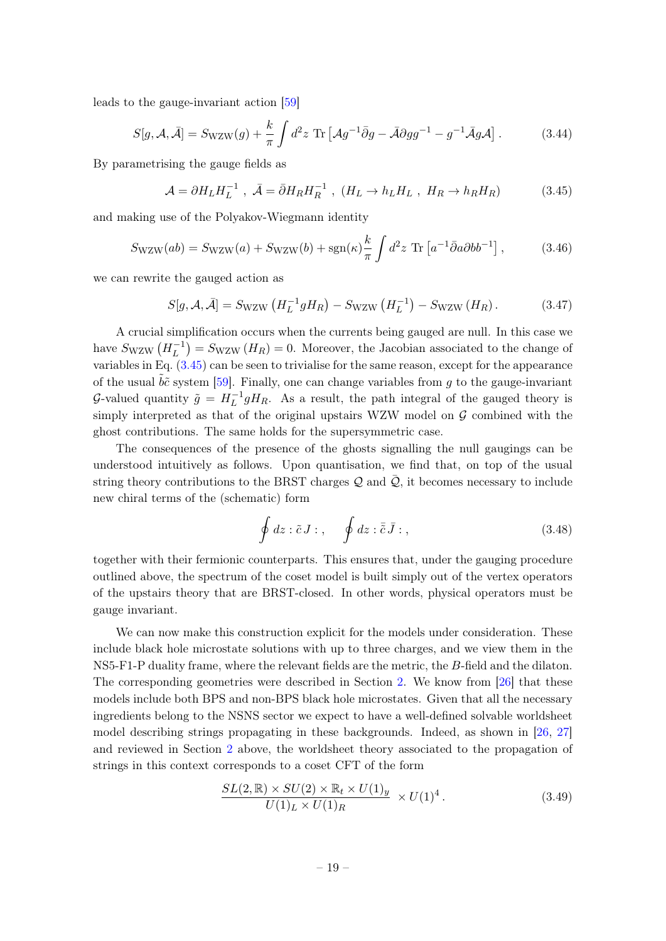leads to the gauge-invariant action [\[59\]](#page-42-15)

$$
S[g, \mathcal{A}, \bar{\mathcal{A}}] = S_{\text{WZW}}(g) + \frac{k}{\pi} \int d^2 z \text{ Tr} \left[ \mathcal{A}g^{-1} \bar{\partial}g - \bar{\mathcal{A}}\partial g g^{-1} - g^{-1} \bar{\mathcal{A}}g \mathcal{A} \right]. \tag{3.44}
$$

By parametrising the gauge fields as

<span id="page-19-0"></span>
$$
\mathcal{A} = \partial H_L H_L^{-1} , \ \bar{\mathcal{A}} = \bar{\partial} H_R H_R^{-1} , \ (H_L \to h_L H_L , \ H_R \to h_R H_R) \tag{3.45}
$$

and making use of the Polyakov-Wiegmann identity

$$
S_{\text{WZW}}(ab) = S_{\text{WZW}}(a) + S_{\text{WZW}}(b) + \text{sgn}(\kappa) \frac{k}{\pi} \int d^2 z \text{ Tr} \left[ a^{-1} \bar{\partial} a \partial b b^{-1} \right],\tag{3.46}
$$

we can rewrite the gauged action as

$$
S[g, \mathcal{A}, \bar{\mathcal{A}}] = S_{\text{WZW}} \left( H_L^{-1} g H_R \right) - S_{\text{WZW}} \left( H_L^{-1} \right) - S_{\text{WZW}} \left( H_R \right). \tag{3.47}
$$

A crucial simplification occurs when the currents being gauged are null. In this case we have  $S_{\text{WZW}}\left(H_L^{-1}\right)$  $\binom{-1}{L} = S_{\text{WZW}}(H_R) = 0.$  Moreover, the Jacobian associated to the change of variables in Eq. [\(3.45\)](#page-19-0) can be seen to trivialise for the same reason, except for the appearance of the usual  $\tilde{b}\tilde{c}$  system [\[59\]](#page-42-15). Finally, one can change variables from q to the gauge-invariant G-valued quantity  $\tilde{g} = H_L^{-1}$  $L^{-1}gH_R$ . As a result, the path integral of the gauged theory is simply interpreted as that of the original upstairs WZW model on  $\mathcal G$  combined with the ghost contributions. The same holds for the supersymmetric case.

The consequences of the presence of the ghosts signalling the null gaugings can be understood intuitively as follows. Upon quantisation, we find that, on top of the usual string theory contributions to the BRST charges  $\mathcal Q$  and  $\bar{\mathcal Q}$ , it becomes necessary to include new chiral terms of the (schematic) form

$$
\oint dz : \tilde{c} J : , \quad \oint dz : \overline{\tilde{c}} \, \overline{J} : , \tag{3.48}
$$

together with their fermionic counterparts. This ensures that, under the gauging procedure outlined above, the spectrum of the coset model is built simply out of the vertex operators of the upstairs theory that are BRST-closed. In other words, physical operators must be gauge invariant.

We can now make this construction explicit for the models under consideration. These include black hole microstate solutions with up to three charges, and we view them in the NS5-F1-P duality frame, where the relevant fields are the metric, the B-field and the dilaton. The corresponding geometries were described in Section [2.](#page-4-0) We know from [\[26\]](#page-41-3) that these models include both BPS and non-BPS black hole microstates. Given that all the necessary ingredients belong to the NSNS sector we expect to have a well-defined solvable worldsheet model describing strings propagating in these backgrounds. Indeed, as shown in [\[26,](#page-41-3) [27\]](#page-41-4) and reviewed in Section [2](#page-4-0) above, the worldsheet theory associated to the propagation of strings in this context corresponds to a coset CFT of the form

$$
\frac{SL(2,\mathbb{R})\times SU(2)\times \mathbb{R}_t\times U(1)_y}{U(1)_L\times U(1)_R} \times U(1)^4.
$$
\n(3.49)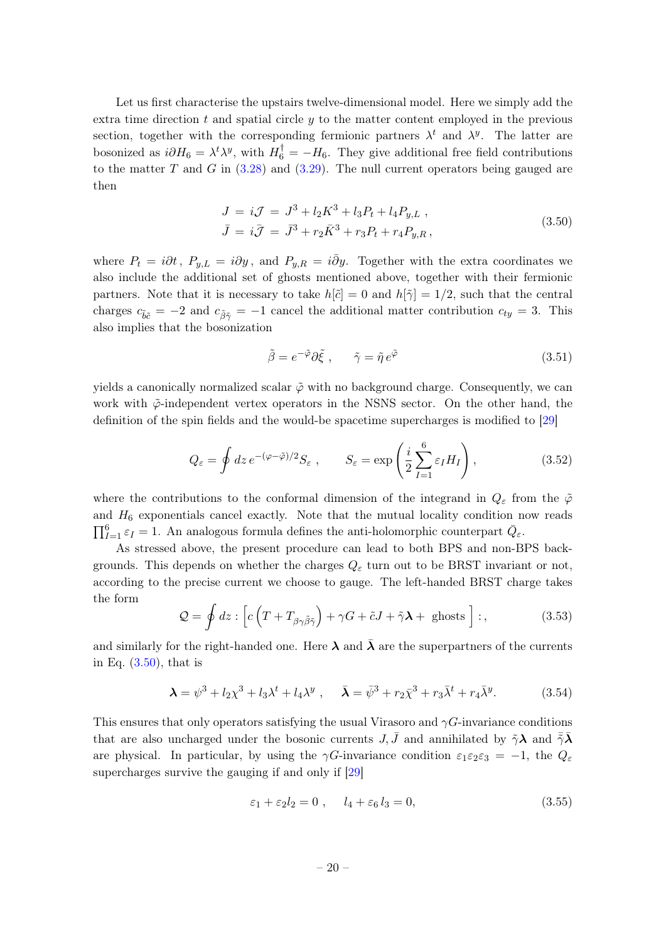Let us first characterise the upstairs twelve-dimensional model. Here we simply add the extra time direction t and spatial circle  $y$  to the matter content employed in the previous section, together with the corresponding fermionic partners  $\lambda^t$  and  $\lambda^y$ . The latter are bosonized as  $i\partial H_6 = \lambda^t \lambda^y$ , with  $H_6^{\dagger} = -H_6$ . They give additional free field contributions to the matter T and G in  $(3.28)$  and  $(3.29)$ . The null current operators being gauged are then

$$
J = iJ = J^3 + l_2 K^3 + l_3 P_t + l_4 P_{y,L} ,
$$
  
\n
$$
\bar{J} = i\bar{J} = \bar{J}^3 + r_2 \bar{K}^3 + r_3 P_t + r_4 P_{y,R} ,
$$
\n(3.50)

where  $P_t = i\partial t$ ,  $P_{y,L} = i\partial y$ , and  $P_{y,R} = i\overline{\partial} y$ . Together with the extra coordinates we also include the additional set of ghosts mentioned above, together with their fermionic partners. Note that it is necessary to take  $h[\tilde{c}] = 0$  and  $h[\tilde{\gamma}] = 1/2$ , such that the central charges  $c_{\tilde{b}\tilde{c}} = -2$  and  $c_{\tilde{\beta}\tilde{\gamma}} = -1$  cancel the additional matter contribution  $c_{ty} = 3$ . This also implies that the bosonization

<span id="page-20-0"></span>
$$
\tilde{\beta} = e^{-\tilde{\varphi}} \partial \tilde{\xi} , \qquad \tilde{\gamma} = \tilde{\eta} e^{\tilde{\varphi}} \tag{3.51}
$$

yields a canonically normalized scalar  $\tilde{\varphi}$  with no background charge. Consequently, we can work with  $\tilde{\varphi}$ -independent vertex operators in the NSNS sector. On the other hand, the definition of the spin fields and the would-be spacetime supercharges is modified to [\[29\]](#page-41-6)

$$
Q_{\varepsilon} = \oint dz \, e^{-(\varphi - \tilde{\varphi})/2} S_{\varepsilon} \;, \qquad S_{\varepsilon} = \exp\left(\frac{i}{2} \sum_{I=1}^{6} \varepsilon_{I} H_{I}\right), \tag{3.52}
$$

where the contributions to the conformal dimension of the integrand in  $Q_{\varepsilon}$  from the  $\tilde{\varphi}$ and  $H_6$  exponentials cancel exactly. Note that the mutual locality condition now reads  $\prod_{I=1}^{6} \varepsilon_I = 1$ . An analogous formula defines the anti-holomorphic counterpart  $\bar{Q}_{\varepsilon}$ .

As stressed above, the present procedure can lead to both BPS and non-BPS backgrounds. This depends on whether the charges  $Q_{\varepsilon}$  turn out to be BRST invariant or not, according to the precise current we choose to gauge. The left-handed BRST charge takes the form

<span id="page-20-1"></span>
$$
\mathcal{Q} = \oint dz : \left[ c \left( T + T_{\beta \gamma \tilde{\beta} \tilde{\gamma}} \right) + \gamma G + \tilde{c} J + \tilde{\gamma} \lambda + \text{ ghosts} \right] : , \tag{3.53}
$$

and similarly for the right-handed one. Here  $\lambda$  and  $\bar{\lambda}$  are the superpartners of the currents in Eq.  $(3.50)$ , that is

<span id="page-20-2"></span>
$$
\lambda = \psi^3 + l_2 \chi^3 + l_3 \lambda^t + l_4 \lambda^y , \quad \bar{\lambda} = \bar{\psi}^3 + r_2 \bar{\chi}^3 + r_3 \bar{\lambda}^t + r_4 \bar{\lambda}^y . \tag{3.54}
$$

This ensures that only operators satisfying the usual Virasoro and  $\gamma G$ -invariance conditions that are also uncharged under the bosonic currents  $J, \bar{J}$  and annihilated by  $\tilde{\gamma} \lambda$  and  $\bar{z} \bar{\lambda}$ are physical. In particular, by using the  $\gamma G$ -invariance condition  $\varepsilon_1 \varepsilon_2 \varepsilon_3 = -1$ , the  $Q_{\varepsilon}$ supercharges survive the gauging if and only if [\[29\]](#page-41-6)

<span id="page-20-3"></span>
$$
\varepsilon_1 + \varepsilon_2 l_2 = 0 , \t l_4 + \varepsilon_6 l_3 = 0,
$$
\n(3.55)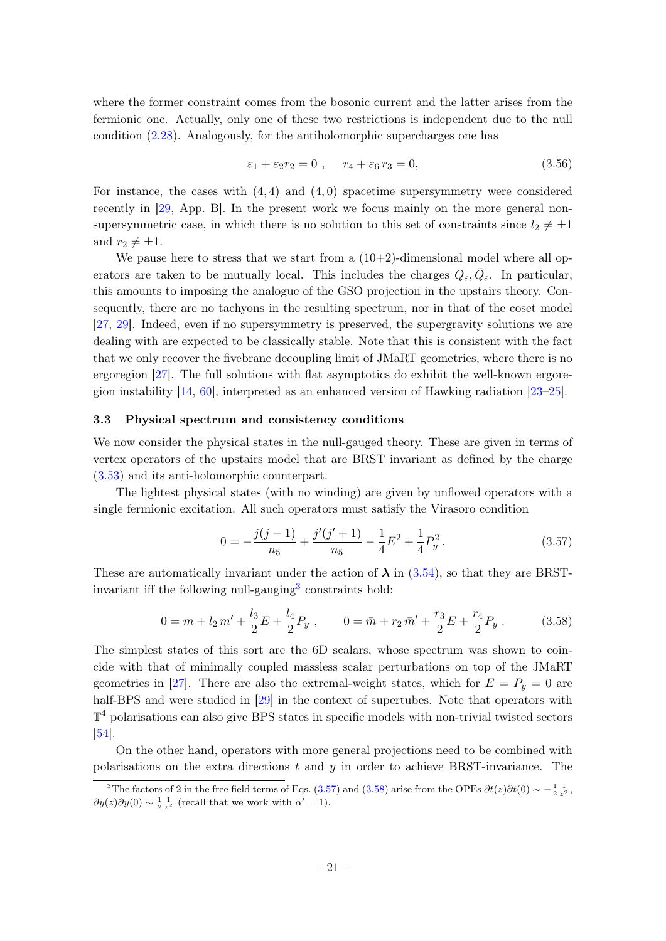where the former constraint comes from the bosonic current and the latter arises from the fermionic one. Actually, only one of these two restrictions is independent due to the null condition [\(2.28\)](#page-9-2). Analogously, for the antiholomorphic supercharges one has

<span id="page-21-4"></span>
$$
\varepsilon_1 + \varepsilon_2 r_2 = 0 , \quad r_4 + \varepsilon_6 r_3 = 0,
$$
\n
$$
(3.56)
$$

For instance, the cases with  $(4, 4)$  and  $(4, 0)$  spacetime supersymmetry were considered recently in [\[29,](#page-41-6) App. B]. In the present work we focus mainly on the more general nonsupersymmetric case, in which there is no solution to this set of constraints since  $l_2 \neq \pm 1$ and  $r_2 \neq \pm 1$ .

We pause here to stress that we start from a  $(10+2)$ -dimensional model where all operators are taken to be mutually local. This includes the charges  $Q_{\varepsilon}, \bar{Q}_{\varepsilon}$ . In particular, this amounts to imposing the analogue of the GSO projection in the upstairs theory. Consequently, there are no tachyons in the resulting spectrum, nor in that of the coset model [\[27,](#page-41-4) [29\]](#page-41-6). Indeed, even if no supersymmetry is preserved, the supergravity solutions we are dealing with are expected to be classically stable. Note that this is consistent with the fact that we only recover the fivebrane decoupling limit of JMaRT geometries, where there is no ergoregion [\[27\]](#page-41-4). The full solutions with flat asymptotics do exhibit the well-known ergoregion instability  $[14, 60]$  $[14, 60]$  $[14, 60]$ , interpreted as an enhanced version of Hawking radiation  $[23-25]$  $[23-25]$ .

## <span id="page-21-0"></span>3.3 Physical spectrum and consistency conditions

We now consider the physical states in the null-gauged theory. These are given in terms of vertex operators of the upstairs model that are BRST invariant as defined by the charge [\(3.53\)](#page-20-1) and its anti-holomorphic counterpart.

The lightest physical states (with no winding) are given by unflowed operators with a single fermionic excitation. All such operators must satisfy the Virasoro condition

<span id="page-21-2"></span>
$$
0 = -\frac{j(j-1)}{n_5} + \frac{j'(j'+1)}{n_5} - \frac{1}{4}E^2 + \frac{1}{4}P_y^2.
$$
 (3.57)

These are automatically invariant under the action of  $\lambda$  in [\(3.54\)](#page-20-2), so that they are BRST-invariant iff the following null-gauging<sup>[3](#page-21-1)</sup> constraints hold:

<span id="page-21-3"></span>
$$
0 = m + l_2 m' + \frac{l_3}{2} E + \frac{l_4}{2} P_y , \qquad 0 = \bar{m} + r_2 \,\bar{m}' + \frac{r_3}{2} E + \frac{r_4}{2} P_y . \tag{3.58}
$$

The simplest states of this sort are the 6D scalars, whose spectrum was shown to coincide with that of minimally coupled massless scalar perturbations on top of the JMaRT geometries in [\[27\]](#page-41-4). There are also the extremal-weight states, which for  $E = P_y = 0$  are half-BPS and were studied in [\[29\]](#page-41-6) in the context of supertubes. Note that operators with  $\mathbb{T}^4$  polarisations can also give BPS states in specific models with non-trivial twisted sectors [\[54\]](#page-42-10).

On the other hand, operators with more general projections need to be combined with polarisations on the extra directions  $t$  and  $y$  in order to achieve BRST-invariance. The

<span id="page-21-1"></span><sup>&</sup>lt;sup>3</sup>The factors of 2 in the free field terms of Eqs. [\(3.57\)](#page-21-2) and [\(3.58\)](#page-21-3) arise from the OPEs  $\partial t(z)\partial t(0) \sim -\frac{1}{2}\frac{1}{z^2}$ ,  $\partial y(z)\partial y(0) \sim \frac{1}{2} \frac{1}{z^2}$  (recall that we work with  $\alpha' = 1$ ).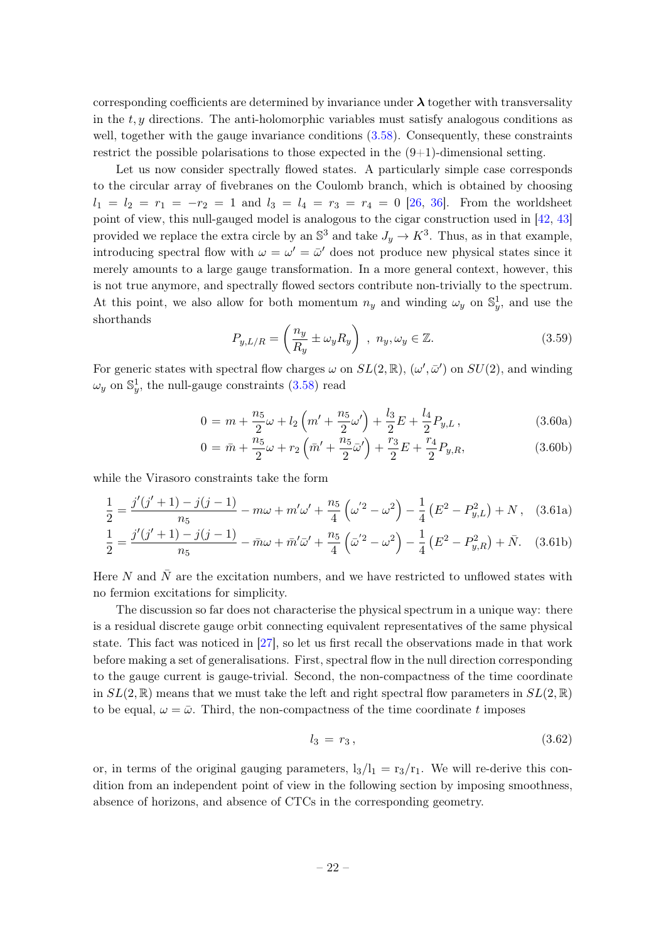corresponding coefficients are determined by invariance under  $\lambda$  together with transversality in the  $t, y$  directions. The anti-holomorphic variables must satisfy analogous conditions as well, together with the gauge invariance conditions  $(3.58)$ . Consequently, these constraints restrict the possible polarisations to those expected in the  $(9+1)$ -dimensional setting.

Let us now consider spectrally flowed states. A particularly simple case corresponds to the circular array of fivebranes on the Coulomb branch, which is obtained by choosing  $l_1 = l_2 = r_1 = -r_2 = 1$  and  $l_3 = l_4 = r_3 = r_4 = 0$  [\[26,](#page-41-3) [36\]](#page-41-11). From the worldsheet point of view, this null-gauged model is analogous to the cigar construction used in [\[42,](#page-42-17) [43\]](#page-42-1) provided we replace the extra circle by an  $\mathbb{S}^3$  and take  $J_y \to K^3$ . Thus, as in that example, introducing spectral flow with  $\omega = \omega' = \bar{\omega}'$  does not produce new physical states since it merely amounts to a large gauge transformation. In a more general context, however, this is not true anymore, and spectrally flowed sectors contribute non-trivially to the spectrum. At this point, we also allow for both momentum  $n_y$  and winding  $\omega_y$  on  $\mathbb{S}^1_y$ , and use the shorthands

<span id="page-22-1"></span>
$$
P_{y,L/R} = \left(\frac{n_y}{R_y} \pm \omega_y R_y\right) , n_y, \omega_y \in \mathbb{Z}.
$$
 (3.59)

For generic states with spectral flow charges  $\omega$  on  $SL(2,\mathbb{R})$ ,  $(\omega',\bar{\omega}')$  on  $SU(2)$ , and winding  $\omega_y$  on  $\mathbb{S}^1_y$ , the null-gauge constraints [\(3.58\)](#page-21-3) read

$$
0 = m + \frac{n_5}{2}\omega + l_2\left(m' + \frac{n_5}{2}\omega'\right) + \frac{l_3}{2}E + \frac{l_4}{2}P_{y,L},
$$
\n(3.60a)

<span id="page-22-0"></span>
$$
0 = \bar{m} + \frac{n_5}{2}\omega + r_2\left(\bar{m}' + \frac{n_5}{2}\bar{\omega}'\right) + \frac{r_3}{2}E + \frac{r_4}{2}P_{y,R},
$$
\n(3.60b)

while the Virasoro constraints take the form

$$
\frac{1}{2} = \frac{j'(j'+1) - j(j-1)}{n_5} - m\omega + m'\omega' + \frac{n_5}{4} (\omega'^2 - \omega^2) - \frac{1}{4} (E^2 - P_{y,L}^2) + N, \quad (3.61a)
$$

$$
\frac{1}{2} = \frac{j'(j'+1) - j(j-1)}{n_5} - \bar{m}\omega + \bar{m}'\bar{\omega}' + \frac{n_5}{4}(\bar{\omega}'^2 - \omega^2) - \frac{1}{4}(E^2 - P_{y,R}^2) + \bar{N}.
$$
 (3.61b)

Here N and  $\bar{N}$  are the excitation numbers, and we have restricted to unflowed states with no fermion excitations for simplicity.

The discussion so far does not characterise the physical spectrum in a unique way: there is a residual discrete gauge orbit connecting equivalent representatives of the same physical state. This fact was noticed in [\[27\]](#page-41-4), so let us first recall the observations made in that work before making a set of generalisations. First, spectral flow in the null direction corresponding to the gauge current is gauge-trivial. Second, the non-compactness of the time coordinate in  $SL(2,\mathbb{R})$  means that we must take the left and right spectral flow parameters in  $SL(2,\mathbb{R})$ to be equal,  $\omega = \bar{\omega}$ . Third, the non-compactness of the time coordinate t imposes

<span id="page-22-2"></span>
$$
l_3 = r_3, \t\t(3.62)
$$

or, in terms of the original gauging parameters,  $l_3/l_1 = r_3/r_1$ . We will re-derive this condition from an independent point of view in the following section by imposing smoothness, absence of horizons, and absence of CTCs in the corresponding geometry.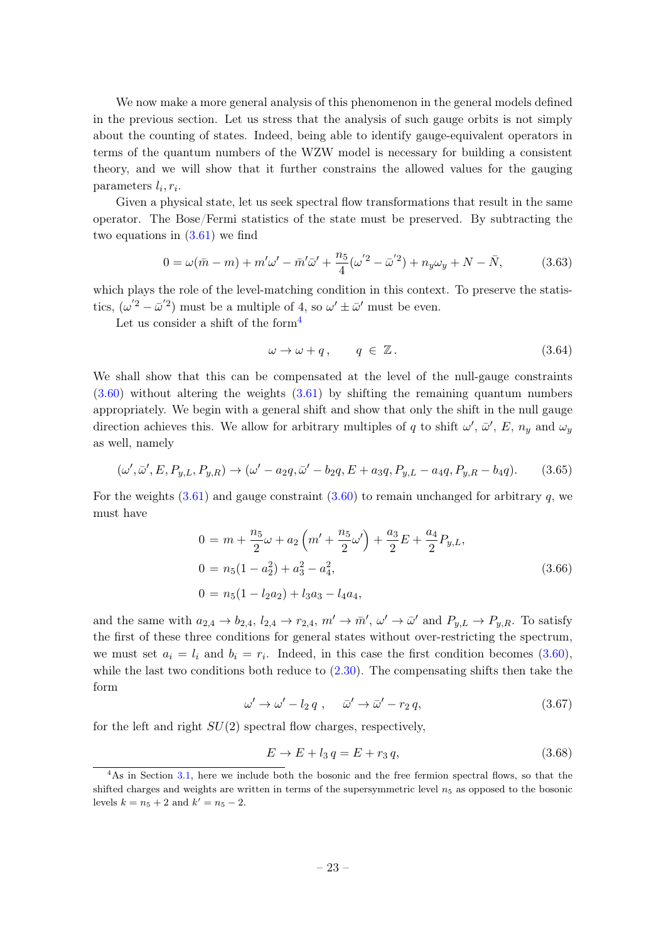We now make a more general analysis of this phenomenon in the general models defined in the previous section. Let us stress that the analysis of such gauge orbits is not simply about the counting of states. Indeed, being able to identify gauge-equivalent operators in terms of the quantum numbers of the WZW model is necessary for building a consistent theory, and we will show that it further constrains the allowed values for the gauging parameters  $l_i, r_i$ .

Given a physical state, let us seek spectral flow transformations that result in the same operator. The Bose/Fermi statistics of the state must be preserved. By subtracting the two equations in  $(3.61)$  we find

$$
0 = \omega(\bar{m} - m) + m'\omega' - \bar{m}'\bar{\omega}' + \frac{n_5}{4}(\omega'^2 - \bar{\omega}'^2) + n_y\omega_y + N - \bar{N},
$$
 (3.63)

which plays the role of the level-matching condition in this context. To preserve the statistics,  $(\omega'^2 - \bar{\omega}'^2)$  must be a multiple of 4, so  $\omega' \pm \bar{\omega}'$  must be even.

Let us consider a shift of the form<sup>[4](#page-23-0)</sup>

<span id="page-23-1"></span>
$$
\omega \to \omega + q, \qquad q \in \mathbb{Z} \,. \tag{3.64}
$$

We shall show that this can be compensated at the level of the null-gauge constraints [\(3.60\)](#page-22-1) without altering the weights [\(3.61\)](#page-22-0) by shifting the remaining quantum numbers appropriately. We begin with a general shift and show that only the shift in the null gauge direction achieves this. We allow for arbitrary multiples of q to shift  $\omega'$ ,  $\bar{\omega}'$ ,  $E$ ,  $n_y$  and  $\omega_y$ as well, namely

$$
(\omega', \bar{\omega}', E, P_{y,L}, P_{y,R}) \to (\omega' - a_2 q, \bar{\omega}' - b_2 q, E + a_3 q, P_{y,L} - a_4 q, P_{y,R} - b_4 q). \tag{3.65}
$$

For the weights  $(3.61)$  and gauge constraint  $(3.60)$  to remain unchanged for arbitrary q, we must have

$$
0 = m + \frac{n_5}{2}\omega + a_2\left(m' + \frac{n_5}{2}\omega'\right) + \frac{a_3}{2}E + \frac{a_4}{2}P_{y,L},
$$
  
\n
$$
0 = n_5(1 - a_2^2) + a_3^2 - a_4^2,
$$
  
\n
$$
0 = n_5(1 - l_2a_2) + l_3a_3 - l_4a_4,
$$
\n(3.66)

and the same with  $a_{2,4} \to b_{2,4}$ ,  $l_{2,4} \to r_{2,4}$ ,  $m' \to \bar{m}'$ ,  $\omega' \to \bar{\omega}'$  and  $P_{y,L} \to P_{y,R}$ . To satisfy the first of these three conditions for general states without over-restricting the spectrum, we must set  $a_i = l_i$  and  $b_i = r_i$ . Indeed, in this case the first condition becomes  $(3.60)$ , while the last two conditions both reduce to  $(2.30)$ . The compensating shifts then take the form

<span id="page-23-2"></span>
$$
\omega' \to \omega' - l_2 q \;, \quad \bar{\omega}' \to \bar{\omega}' - r_2 q,\tag{3.67}
$$

for the left and right  $SU(2)$  spectral flow charges, respectively,

<span id="page-23-3"></span>
$$
E \to E + l_3 q = E + r_3 q,\tag{3.68}
$$

<span id="page-23-0"></span><sup>&</sup>lt;sup>4</sup>As in Section [3.1,](#page-12-1) here we include both the bosonic and the free fermion spectral flows, so that the shifted charges and weights are written in terms of the supersymmetric level  $n<sub>5</sub>$  as opposed to the bosonic levels  $k = n_5 + 2$  and  $k' = n_5 - 2$ .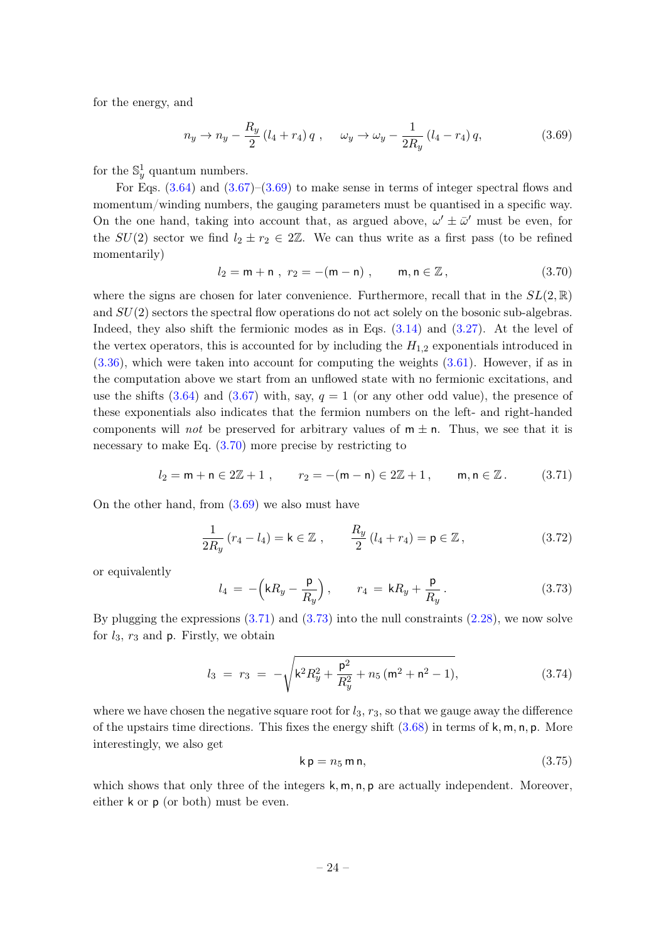for the energy, and

<span id="page-24-0"></span>
$$
n_y \to n_y - \frac{R_y}{2} (l_4 + r_4) q , \quad \omega_y \to \omega_y - \frac{1}{2R_y} (l_4 - r_4) q, \tag{3.69}
$$

for the  $\mathbb{S}^1_y$  quantum numbers.

For Eqs.  $(3.64)$  and  $(3.67)$ – $(3.69)$  to make sense in terms of integer spectral flows and momentum/winding numbers, the gauging parameters must be quantised in a specific way. On the one hand, taking into account that, as argued above,  $\omega' \pm \bar{\omega}'$  must be even, for the  $SU(2)$  sector we find  $l_2 \pm r_2 \in 2\mathbb{Z}$ . We can thus write as a first pass (to be refined momentarily)

<span id="page-24-1"></span>
$$
l_2 = m + n , r_2 = -(m - n) , \t m, n \in \mathbb{Z} , \t (3.70)
$$

where the signs are chosen for later convenience. Furthermore, recall that in the  $SL(2,\mathbb{R})$ and  $SU(2)$  sectors the spectral flow operations do not act solely on the bosonic sub-algebras. Indeed, they also shift the fermionic modes as in Eqs. [\(3.14\)](#page-14-1) and [\(3.27\)](#page-15-1). At the level of the vertex operators, this is accounted for by including the  $H_{1,2}$  exponentials introduced in [\(3.36\)](#page-16-0), which were taken into account for computing the weights [\(3.61\)](#page-22-0). However, if as in the computation above we start from an unflowed state with no fermionic excitations, and use the shifts  $(3.64)$  and  $(3.67)$  with, say,  $q = 1$  (or any other odd value), the presence of these exponentials also indicates that the fermion numbers on the left- and right-handed components will not be preserved for arbitrary values of  $m \pm n$ . Thus, we see that it is necessary to make Eq. [\(3.70\)](#page-24-1) more precise by restricting to

<span id="page-24-2"></span>
$$
l_2 = m + n \in 2\mathbb{Z} + 1
$$
,  $r_2 = -(m - n) \in 2\mathbb{Z} + 1$ ,  $m, n \in \mathbb{Z}$ . (3.71)

On the other hand, from [\(3.69\)](#page-24-0) we also must have

<span id="page-24-6"></span>
$$
\frac{1}{2R_y}(r_4 - l_4) = \mathsf{k} \in \mathbb{Z} \;, \qquad \frac{R_y}{2}(l_4 + r_4) = \mathsf{p} \in \mathbb{Z} \;, \tag{3.72}
$$

or equivalently

<span id="page-24-3"></span>
$$
l_4 = -\left(kR_y - \frac{\mathsf{p}}{R_y}\right), \qquad r_4 = kR_y + \frac{\mathsf{p}}{R_y} \,. \tag{3.73}
$$

By plugging the expressions  $(3.71)$  and  $(3.73)$  into the null constraints  $(2.28)$ , we now solve for  $l_3$ ,  $r_3$  and  $p$ . Firstly, we obtain

<span id="page-24-5"></span>
$$
l_3 = r_3 = -\sqrt{k^2 R_y^2 + \frac{p^2}{R_y^2} + n_5 (m^2 + n^2 - 1)},
$$
\n(3.74)

where we have chosen the negative square root for  $l_3$ ,  $r_3$ , so that we gauge away the difference of the upstairs time directions. This fixes the energy shift  $(3.68)$  in terms of k, m, n, p. More interestingly, we also get

<span id="page-24-4"></span>
$$
\mathsf{k}\,\mathsf{p}=n_5\,\mathsf{m}\,\mathsf{n},\tag{3.75}
$$

which shows that only three of the integers  $k, m, n, p$  are actually independent. Moreover, either k or p (or both) must be even.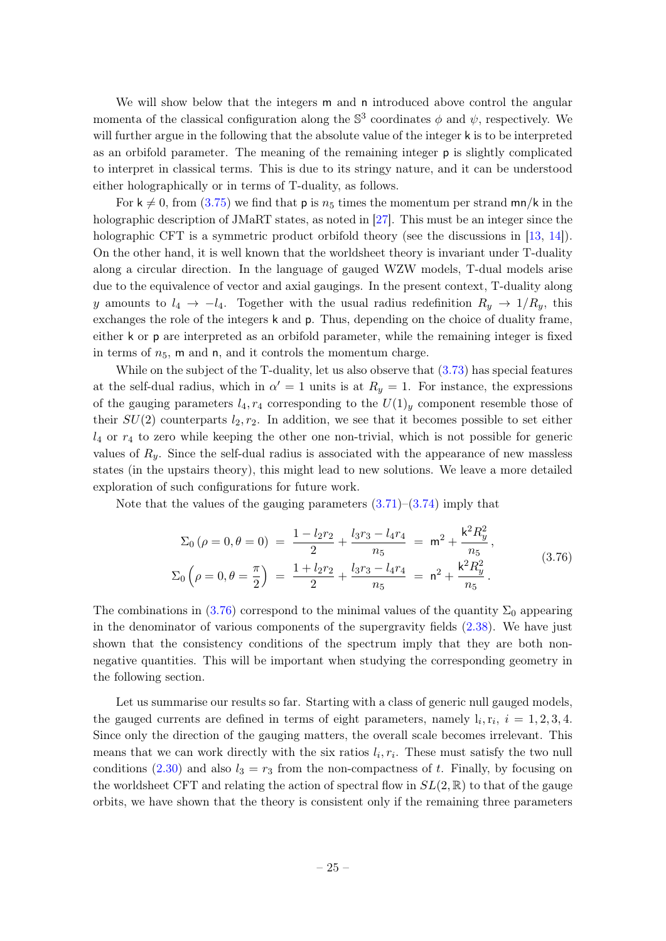We will show below that the integers m and n introduced above control the angular momenta of the classical configuration along the  $\mathbb{S}^3$  coordinates  $\phi$  and  $\psi$ , respectively. We will further argue in the following that the absolute value of the integer k is to be interpreted as an orbifold parameter. The meaning of the remaining integer  $p$  is slightly complicated to interpret in classical terms. This is due to its stringy nature, and it can be understood either holographically or in terms of T-duality, as follows.

For  $k \neq 0$ , from [\(3.75\)](#page-24-4) we find that p is  $n_5$  times the momentum per strand mn/k in the holographic description of JMaRT states, as noted in [\[27\]](#page-41-4). This must be an integer since the holographic CFT is a symmetric product orbifold theory (see the discussions in [\[13,](#page-40-6) [14\]](#page-40-7)). On the other hand, it is well known that the worldsheet theory is invariant under T-duality along a circular direction. In the language of gauged WZW models, T-dual models arise due to the equivalence of vector and axial gaugings. In the present context, T-duality along y amounts to  $l_4 \rightarrow -l_4$ . Together with the usual radius redefinition  $R_y \rightarrow 1/R_y$ , this exchanges the role of the integers k and p. Thus, depending on the choice of duality frame, either k or p are interpreted as an orbifold parameter, while the remaining integer is fixed in terms of  $n_5$ , m and n, and it controls the momentum charge.

While on the subject of the T-duality, let us also observe that [\(3.73\)](#page-24-3) has special features at the self-dual radius, which in  $\alpha' = 1$  units is at  $R_y = 1$ . For instance, the expressions of the gauging parameters  $l_4, r_4$  corresponding to the  $U(1)_y$  component resemble those of their  $SU(2)$  counterparts  $l_2, r_2$ . In addition, we see that it becomes possible to set either  $l_4$  or  $r_4$  to zero while keeping the other one non-trivial, which is not possible for generic values of  $R_y$ . Since the self-dual radius is associated with the appearance of new massless states (in the upstairs theory), this might lead to new solutions. We leave a more detailed exploration of such configurations for future work.

Note that the values of the gauging parameters  $(3.71)$ – $(3.74)$  imply that

<span id="page-25-0"></span>
$$
\Sigma_0 \left( \rho = 0, \theta = 0 \right) = \frac{1 - l_2 r_2}{2} + \frac{l_3 r_3 - l_4 r_4}{n_5} = m^2 + \frac{k^2 R_y^2}{n_5},
$$
\n
$$
\Sigma_0 \left( \rho = 0, \theta = \frac{\pi}{2} \right) = \frac{1 + l_2 r_2}{2} + \frac{l_3 r_3 - l_4 r_4}{n_5} = n^2 + \frac{k^2 R_y^2}{n_5}.
$$
\n(3.76)

The combinations in [\(3.76\)](#page-25-0) correspond to the minimal values of the quantity  $\Sigma_0$  appearing in the denominator of various components of the supergravity fields [\(2.38\)](#page-10-1). We have just shown that the consistency conditions of the spectrum imply that they are both nonnegative quantities. This will be important when studying the corresponding geometry in the following section.

Let us summarise our results so far. Starting with a class of generic null gauged models, the gauged currents are defined in terms of eight parameters, namely  $l_i, r_i, i = 1, 2, 3, 4$ . Since only the direction of the gauging matters, the overall scale becomes irrelevant. This means that we can work directly with the six ratios  $l_i, r_i$ . These must satisfy the two null conditions [\(2.30\)](#page-9-3) and also  $l_3 = r_3$  from the non-compactness of t. Finally, by focusing on the worldsheet CFT and relating the action of spectral flow in  $SL(2,\mathbb{R})$  to that of the gauge orbits, we have shown that the theory is consistent only if the remaining three parameters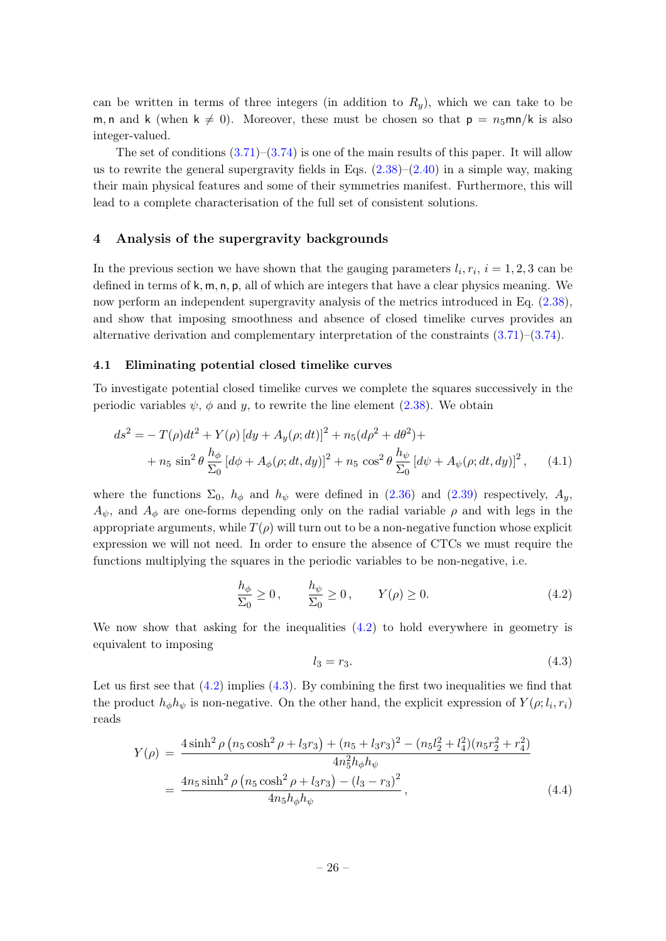can be written in terms of three integers (in addition to  $R_y$ ), which we can take to be m, n and k (when  $k \neq 0$ ). Moreover, these must be chosen so that  $p = n_5$ mn/k is also integer-valued.

The set of conditions  $(3.71)$ – $(3.74)$  is one of the main results of this paper. It will allow us to rewrite the general supergravity fields in Eqs.  $(2.38)$ – $(2.40)$  in a simple way, making their main physical features and some of their symmetries manifest. Furthermore, this will lead to a complete characterisation of the full set of consistent solutions.

## <span id="page-26-0"></span>4 Analysis of the supergravity backgrounds

In the previous section we have shown that the gauging parameters  $l_i, r_i, i = 1, 2, 3$  can be defined in terms of  $k, m, n, p$ , all of which are integers that have a clear physics meaning. We now perform an independent supergravity analysis of the metrics introduced in Eq.  $(2.38)$ , and show that imposing smoothness and absence of closed timelike curves provides an alternative derivation and complementary interpretation of the constraints [\(3.71\)](#page-24-2)–[\(3.74\)](#page-24-5).

## <span id="page-26-1"></span>4.1 Eliminating potential closed timelike curves

To investigate potential closed timelike curves we complete the squares successively in the periodic variables  $\psi$ ,  $\phi$  and  $\psi$ , to rewrite the line element [\(2.38\)](#page-10-1). We obtain

$$
ds^{2} = -T(\rho)dt^{2} + Y(\rho)[dy + A_{y}(\rho; dt)]^{2} + n_{5}(d\rho^{2} + d\theta^{2}) +
$$
  
+  $n_{5} \sin^{2} \theta \frac{h_{\phi}}{\Sigma_{0}} [d\phi + A_{\phi}(\rho; dt, dy)]^{2} + n_{5} \cos^{2} \theta \frac{h_{\psi}}{\Sigma_{0}} [d\psi + A_{\psi}(\rho; dt, dy)]^{2},$  (4.1)

where the functions  $\Sigma_0$ ,  $h_{\phi}$  and  $h_{\psi}$  were defined in [\(2.36\)](#page-10-2) and [\(2.39\)](#page-11-2) respectively,  $A_{\psi}$ ,  $A_{\psi}$ , and  $A_{\phi}$  are one-forms depending only on the radial variable  $\rho$  and with legs in the appropriate arguments, while  $T(\rho)$  will turn out to be a non-negative function whose explicit expression we will not need. In order to ensure the absence of CTCs we must require the functions multiplying the squares in the periodic variables to be non-negative, i.e.

$$
\frac{h_{\phi}}{\Sigma_0} \ge 0, \qquad \frac{h_{\psi}}{\Sigma_0} \ge 0, \qquad Y(\rho) \ge 0.
$$
\n(4.2)

We now show that asking for the inequalities  $(4.2)$  to hold everywhere in geometry is equivalent to imposing

<span id="page-26-4"></span><span id="page-26-3"></span><span id="page-26-2"></span>
$$
l_3 = r_3. \tag{4.3}
$$

Let us first see that  $(4.2)$  implies  $(4.3)$ . By combining the first two inequalities we find that the product  $h_{\phi}h_{\psi}$  is non-negative. On the other hand, the explicit expression of  $Y(\rho; l_i, r_i)$ reads

$$
Y(\rho) = \frac{4\sinh^2 \rho \left(n_5 \cosh^2 \rho + l_3 r_3\right) + (n_5 + l_3 r_3)^2 - (n_5 l_2^2 + l_4^2)(n_5 r_2^2 + r_4^2)}{4n_5^2 h_\phi h_\psi}
$$
  
= 
$$
\frac{4n_5 \sinh^2 \rho \left(n_5 \cosh^2 \rho + l_3 r_3\right) - (l_3 - r_3)^2}{4n_5 h_\phi h_\psi},
$$
 (4.4)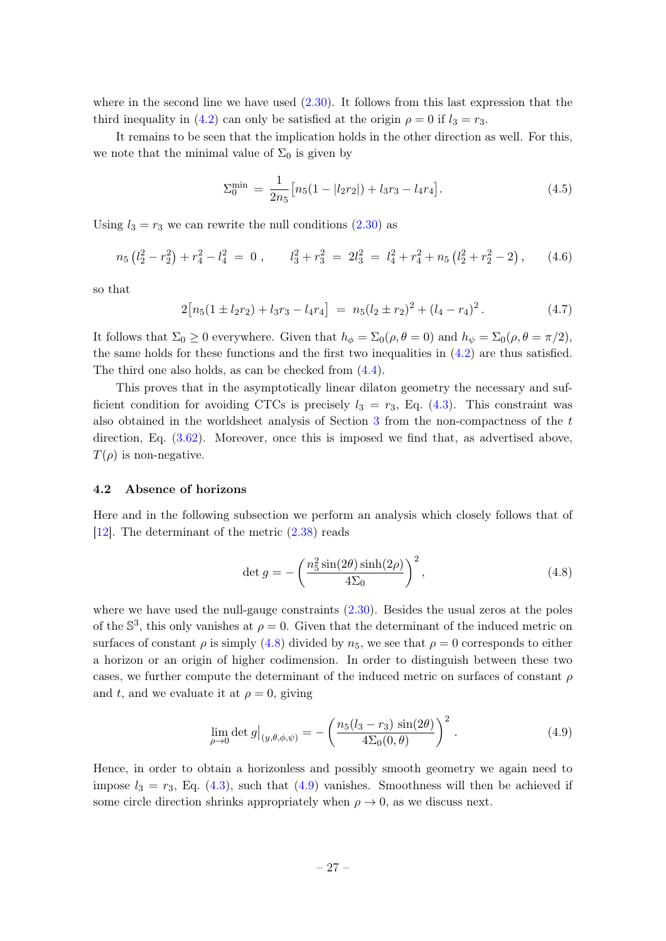where in the second line we have used  $(2.30)$ . It follows from this last expression that the third inequality in [\(4.2\)](#page-26-2) can only be satisfied at the origin  $\rho = 0$  if  $l_3 = r_3$ .

It remains to be seen that the implication holds in the other direction as well. For this, we note that the minimal value of  $\Sigma_0$  is given by

$$
\Sigma_0^{\min} = \frac{1}{2n_5} \left[ n_5(1 - |l_2r_2|) + l_3r_3 - l_4r_4 \right]. \tag{4.5}
$$

Using  $l_3 = r_3$  we can rewrite the null conditions  $(2.30)$  as

$$
n_5\left(l_2^2-r_2^2\right)+r_4^2-l_4^2=0\;, \qquad l_3^2+r_3^2=2l_3^2=l_4^2+r_4^2+n_5\left(l_2^2+r_2^2-2\right),\qquad(4.6)
$$

so that

$$
2[n_5(1 \pm l_2r_2) + l_3r_3 - l_4r_4] = n_5(l_2 \pm r_2)^2 + (l_4 - r_4)^2.
$$
 (4.7)

It follows that  $\Sigma_0 \geq 0$  everywhere. Given that  $h_{\phi} = \Sigma_0(\rho, \theta = 0)$  and  $h_{\psi} = \Sigma_0(\rho, \theta = \pi/2)$ , the same holds for these functions and the first two inequalities in  $(4.2)$  are thus satisfied. The third one also holds, as can be checked from [\(4.4\)](#page-26-4).

This proves that in the asymptotically linear dilaton geometry the necessary and sufficient condition for avoiding CTCs is precisely  $l_3 = r_3$ , Eq. [\(4.3\)](#page-26-3). This constraint was also obtained in the worldsheet analysis of Section [3](#page-12-0) from the non-compactness of the t direction, Eq. [\(3.62\)](#page-22-2). Moreover, once this is imposed we find that, as advertised above,  $T(\rho)$  is non-negative.

#### <span id="page-27-0"></span>4.2 Absence of horizons

Here and in the following subsection we perform an analysis which closely follows that of [\[12\]](#page-40-9). The determinant of the metric [\(2.38\)](#page-10-1) reads

<span id="page-27-1"></span>
$$
\det g = -\left(\frac{n_5^2 \sin(2\theta) \sinh(2\rho)}{4\Sigma_0}\right)^2,\tag{4.8}
$$

where we have used the null-gauge constraints  $(2.30)$ . Besides the usual zeros at the poles of the  $\mathbb{S}^3$ , this only vanishes at  $\rho = 0$ . Given that the determinant of the induced metric on surfaces of constant  $\rho$  is simply [\(4.8\)](#page-27-1) divided by  $n_5$ , we see that  $\rho = 0$  corresponds to either a horizon or an origin of higher codimension. In order to distinguish between these two cases, we further compute the determinant of the induced metric on surfaces of constant  $\rho$ and t, and we evaluate it at  $\rho = 0$ , giving

<span id="page-27-2"></span>
$$
\lim_{\rho \to 0} \det g \big|_{(y,\theta,\phi,\psi)} = -\left(\frac{n_5(l_3 - r_3) \sin(2\theta)}{4\Sigma_0(0,\theta)}\right)^2. \tag{4.9}
$$

Hence, in order to obtain a horizonless and possibly smooth geometry we again need to impose  $l_3 = r_3$ , Eq. [\(4.3\)](#page-26-3), such that [\(4.9\)](#page-27-2) vanishes. Smoothness will then be achieved if some circle direction shrinks appropriately when  $\rho \to 0$ , as we discuss next.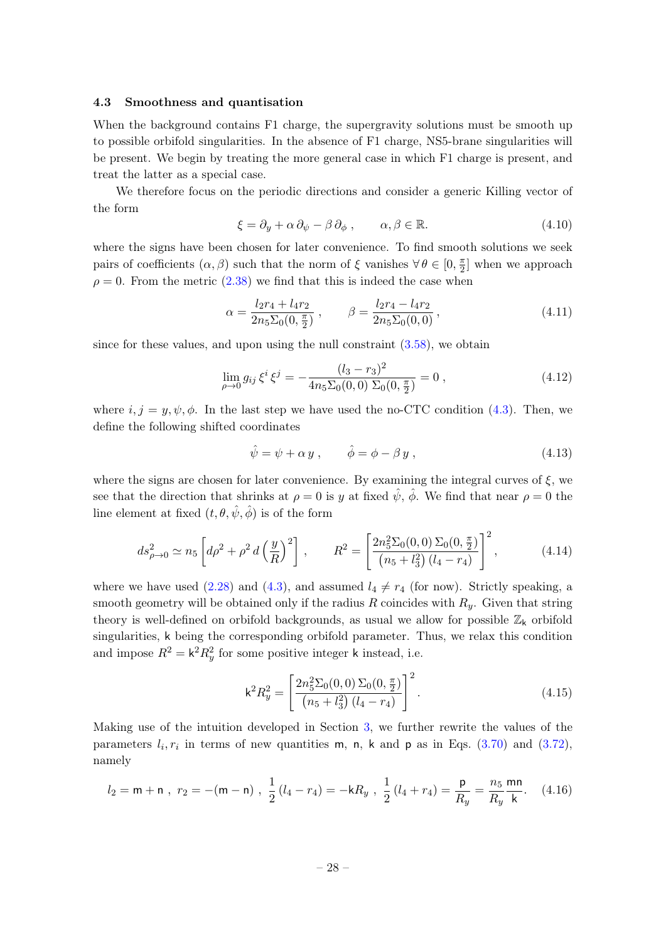#### <span id="page-28-0"></span>4.3 Smoothness and quantisation

When the background contains F1 charge, the supergravity solutions must be smooth up to possible orbifold singularities. In the absence of F1 charge, NS5-brane singularities will be present. We begin by treating the more general case in which F1 charge is present, and treat the latter as a special case.

We therefore focus on the periodic directions and consider a generic Killing vector of the form

<span id="page-28-3"></span>
$$
\xi = \partial_y + \alpha \, \partial_{\psi} - \beta \, \partial_{\phi} \,, \qquad \alpha, \beta \in \mathbb{R}.\tag{4.10}
$$

where the signs have been chosen for later convenience. To find smooth solutions we seek pairs of coefficients  $(\alpha, \beta)$  such that the norm of  $\xi$  vanishes  $\forall \theta \in [0, \frac{\pi}{2}]$  $\frac{\pi}{2}$  when we approach  $\rho = 0$ . From the metric [\(2.38\)](#page-10-1) we find that this is indeed the case when

$$
\alpha = \frac{l_2 r_4 + l_4 r_2}{2n_5 \Sigma_0(0, \frac{\pi}{2})}, \qquad \beta = \frac{l_2 r_4 - l_4 r_2}{2n_5 \Sigma_0(0, 0)}, \qquad (4.11)
$$

since for these values, and upon using the null constraint [\(3.58\)](#page-21-3), we obtain

$$
\lim_{\rho \to 0} g_{ij} \,\xi^i \,\xi^j = -\frac{(l_3 - r_3)^2}{4n_5 \Sigma_0(0, 0) \Sigma_0(0, \frac{\pi}{2})} = 0 \,, \tag{4.12}
$$

where  $i, j = y, \psi, \phi$ . In the last step we have used the no-CTC condition [\(4.3\)](#page-26-3). Then, we define the following shifted coordinates

$$
\hat{\psi} = \psi + \alpha y , \qquad \hat{\phi} = \phi - \beta y , \qquad (4.13)
$$

where the signs are chosen for later convenience. By examining the integral curves of  $\xi$ , we see that the direction that shrinks at  $\rho = 0$  is y at fixed  $\hat{\psi}$ ,  $\hat{\phi}$ . We find that near  $\rho = 0$  the line element at fixed  $(t, \theta, \hat{\psi}, \hat{\phi})$  is of the form

$$
ds_{\rho \to 0}^2 \simeq n_5 \left[ d\rho^2 + \rho^2 d \left( \frac{y}{R} \right)^2 \right] , \qquad R^2 = \left[ \frac{2n_5^2 \Sigma_0(0,0) \Sigma_0(0, \frac{\pi}{2})}{(n_5 + l_3^2) (l_4 - r_4)} \right]^2 ,
$$
 (4.14)

where we have used [\(2.28\)](#page-9-2) and [\(4.3\)](#page-26-3), and assumed  $l_4 \neq r_4$  (for now). Strictly speaking, a smooth geometry will be obtained only if the radius R coincides with  $R_y$ . Given that string theory is well-defined on orbifold backgrounds, as usual we allow for possible  $\mathbb{Z}_k$  orbifold singularities, k being the corresponding orbifold parameter. Thus, we relax this condition and impose  $R^2 = k^2 R_y^2$  for some positive integer k instead, i.e.

<span id="page-28-2"></span><span id="page-28-1"></span>
$$
k^{2}R_{y}^{2} = \left[\frac{2n_{5}^{2}\Sigma_{0}(0,0)\Sigma_{0}(0,\frac{\pi}{2})}{(n_{5}+l_{3}^{2})(l_{4}-r_{4})}\right]^{2}.
$$
\n(4.15)

Making use of the intuition developed in Section [3,](#page-12-0) we further rewrite the values of the parameters  $l_i, r_i$  in terms of new quantities m, n, k and p as in Eqs. [\(3.70\)](#page-24-1) and [\(3.72\)](#page-24-6), namely

$$
l_2 = \mathsf{m} + \mathsf{n} \ , \ r_2 = -(\mathsf{m} - \mathsf{n}) \ , \ \frac{1}{2} \left( l_4 - r_4 \right) = -\mathsf{k} R_y \ , \ \frac{1}{2} \left( l_4 + r_4 \right) = \frac{\mathsf{p}}{R_y} = \frac{n_5}{R_y} \frac{\mathsf{m} \mathsf{n}}{\mathsf{k}}. \tag{4.16}
$$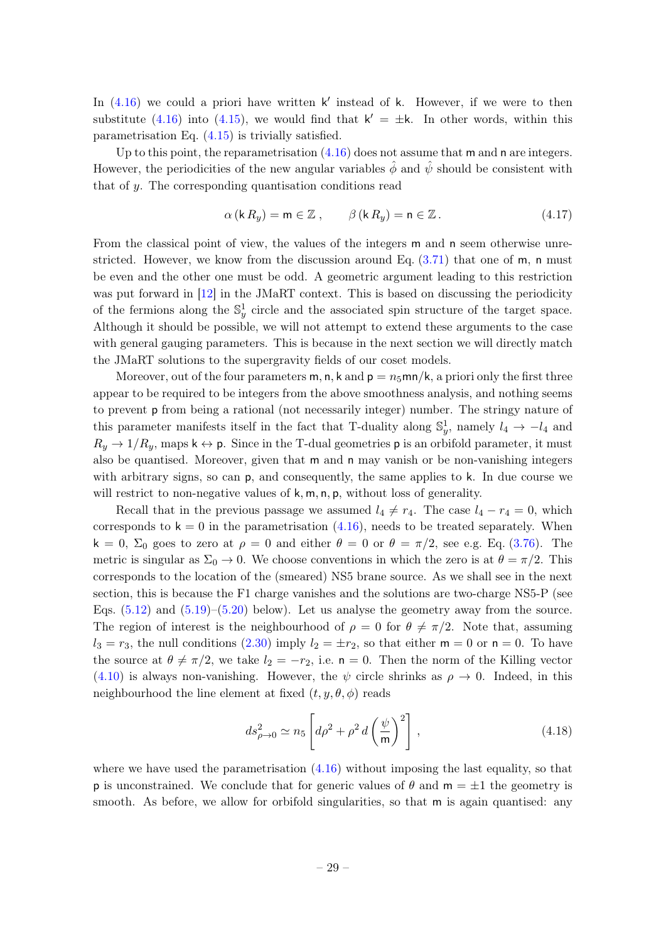In  $(4.16)$  we could a priori have written k' instead of k. However, if we were to then substitute [\(4.16\)](#page-28-1) into [\(4.15\)](#page-28-2), we would find that  $k' = \pm k$ . In other words, within this parametrisation Eq. [\(4.15\)](#page-28-2) is trivially satisfied.

Up to this point, the reparametrisation  $(4.16)$  does not assume that m and n are integers. However, the periodicities of the new angular variables  $\phi$  and  $\psi$  should be consistent with that of y. The corresponding quantisation conditions read

$$
\alpha(k R_y) = \mathsf{m} \in \mathbb{Z} \,, \qquad \beta(k R_y) = \mathsf{n} \in \mathbb{Z} \,. \tag{4.17}
$$

From the classical point of view, the values of the integers m and n seem otherwise unrestricted. However, we know from the discussion around Eq.  $(3.71)$  that one of m, n must be even and the other one must be odd. A geometric argument leading to this restriction was put forward in [\[12\]](#page-40-9) in the JMaRT context. This is based on discussing the periodicity of the fermions along the  $\mathbb{S}^1_y$  circle and the associated spin structure of the target space. Although it should be possible, we will not attempt to extend these arguments to the case with general gauging parameters. This is because in the next section we will directly match the JMaRT solutions to the supergravity fields of our coset models.

Moreover, out of the four parameters m, n, k and  $p = n_5$ mn/k, a priori only the first three appear to be required to be integers from the above smoothness analysis, and nothing seems to prevent p from being a rational (not necessarily integer) number. The stringy nature of this parameter manifests itself in the fact that T-duality along  $\mathbb{S}_y^1$ , namely  $l_4 \to -l_4$  and  $R_y \rightarrow 1/R_y$ , maps  $k \leftrightarrow p$ . Since in the T-dual geometries p is an orbifold parameter, it must also be quantised. Moreover, given that m and n may vanish or be non-vanishing integers with arbitrary signs, so can **p**, and consequently, the same applies to k. In due course we will restrict to non-negative values of  $k, m, n, p$ , without loss of generality.

Recall that in the previous passage we assumed  $l_4 \neq r_4$ . The case  $l_4 - r_4 = 0$ , which corresponds to  $k = 0$  in the parametrisation [\(4.16\)](#page-28-1), needs to be treated separately. When  $k = 0$ ,  $\Sigma_0$  goes to zero at  $\rho = 0$  and either  $\theta = 0$  or  $\theta = \pi/2$ , see e.g. Eq. [\(3.76\)](#page-25-0). The metric is singular as  $\Sigma_0 \to 0$ . We choose conventions in which the zero is at  $\theta = \pi/2$ . This corresponds to the location of the (smeared) NS5 brane source. As we shall see in the next section, this is because the F1 charge vanishes and the solutions are two-charge NS5-P (see Eqs.  $(5.12)$  and  $(5.19)$ – $(5.20)$  below). Let us analyse the geometry away from the source. The region of interest is the neighbourhood of  $\rho = 0$  for  $\theta \neq \pi/2$ . Note that, assuming  $l_3 = r_3$ , the null conditions [\(2.30\)](#page-9-3) imply  $l_2 = \pm r_2$ , so that either  $m = 0$  or  $n = 0$ . To have the source at  $\theta \neq \pi/2$ , we take  $l_2 = -r_2$ , i.e.  $n = 0$ . Then the norm of the Killing vector [\(4.10\)](#page-28-3) is always non-vanishing. However, the  $\psi$  circle shrinks as  $\rho \to 0$ . Indeed, in this neighbourhood the line element at fixed  $(t, y, \theta, \phi)$  reads

<span id="page-29-0"></span>
$$
ds_{\rho \to 0}^2 \simeq n_5 \left[ d\rho^2 + \rho^2 d \left( \frac{\psi}{\mathsf{m}} \right)^2 \right], \qquad (4.18)
$$

where we have used the parametrisation  $(4.16)$  without imposing the last equality, so that **p** is unconstrained. We conclude that for generic values of  $\theta$  and  $m = \pm 1$  the geometry is smooth. As before, we allow for orbifold singularities, so that m is again quantised: any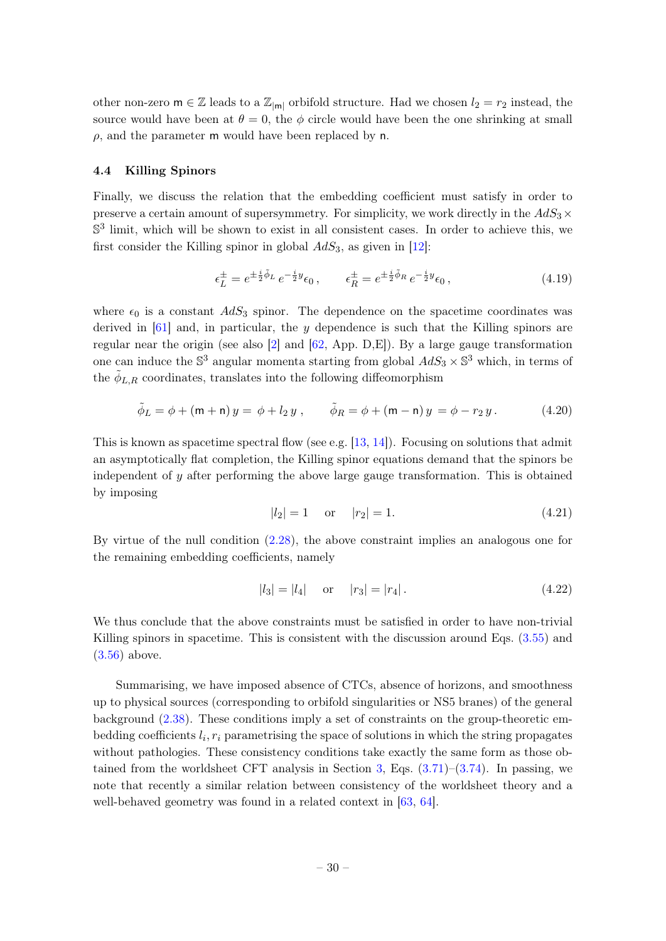other non-zero  $m \in \mathbb{Z}$  leads to a  $\mathbb{Z}_{|m|}$  orbifold structure. Had we chosen  $l_2 = r_2$  instead, the source would have been at  $\theta = 0$ , the  $\phi$  circle would have been the one shrinking at small  $\rho$ , and the parameter m would have been replaced by n.

#### <span id="page-30-0"></span>4.4 Killing Spinors

Finally, we discuss the relation that the embedding coefficient must satisfy in order to preserve a certain amount of supersymmetry. For simplicity, we work directly in the  $AdS_3\times$  $\mathbb{S}^3$  limit, which will be shown to exist in all consistent cases. In order to achieve this, we first consider the Killing spinor in global  $AdS_3$ , as given in [\[12\]](#page-40-9):

$$
\epsilon_L^{\pm} = e^{\pm \frac{i}{2}\tilde{\phi}_L} e^{-\frac{i}{2}y} \epsilon_0, \qquad \epsilon_R^{\pm} = e^{\pm \frac{i}{2}\tilde{\phi}_R} e^{-\frac{i}{2}y} \epsilon_0,
$$
\n(4.19)

where  $\epsilon_0$  is a constant  $AdS_3$  spinor. The dependence on the spacetime coordinates was derived in  $[61]$  and, in particular, the y dependence is such that the Killing spinors are regular near the origin (see also [\[2\]](#page-40-1) and  $[62, App. D,E]$  $[62, App. D,E]$ ). By a large gauge transformation one can induce the  $\mathbb{S}^3$  angular momenta starting from global  $AdS_3 \times \mathbb{S}^3$  which, in terms of the  $\tilde{\phi}_{L,R}$  coordinates, translates into the following diffeomorphism

$$
\tilde{\phi}_L = \phi + (\mathsf{m} + \mathsf{n}) y = \phi + l_2 y , \qquad \tilde{\phi}_R = \phi + (\mathsf{m} - \mathsf{n}) y = \phi - r_2 y . \tag{4.20}
$$

This is known as spacetime spectral flow (see e.g.  $[13, 14]$  $[13, 14]$  $[13, 14]$ ). Focusing on solutions that admit an asymptotically flat completion, the Killing spinor equations demand that the spinors be independent of y after performing the above large gauge transformation. This is obtained by imposing

$$
|l_2| = 1 \quad \text{or} \quad |r_2| = 1. \tag{4.21}
$$

By virtue of the null condition [\(2.28\)](#page-9-2), the above constraint implies an analogous one for the remaining embedding coefficients, namely

$$
|l_3| = |l_4| \quad \text{or} \quad |r_3| = |r_4| \,. \tag{4.22}
$$

We thus conclude that the above constraints must be satisfied in order to have non-trivial Killing spinors in spacetime. This is consistent with the discussion around Eqs. [\(3.55\)](#page-20-3) and [\(3.56\)](#page-21-4) above.

Summarising, we have imposed absence of CTCs, absence of horizons, and smoothness up to physical sources (corresponding to orbifold singularities or NS5 branes) of the general background [\(2.38\)](#page-10-1). These conditions imply a set of constraints on the group-theoretic embedding coefficients  $l_i$ ,  $r_i$  parametrising the space of solutions in which the string propagates without pathologies. These consistency conditions take exactly the same form as those ob-tained from the worldsheet CFT analysis in Section [3,](#page-12-0) Eqs.  $(3.71)$ – $(3.74)$ . In passing, we note that recently a similar relation between consistency of the worldsheet theory and a well-behaved geometry was found in a related context in [\[63,](#page-43-1) [64\]](#page-43-2).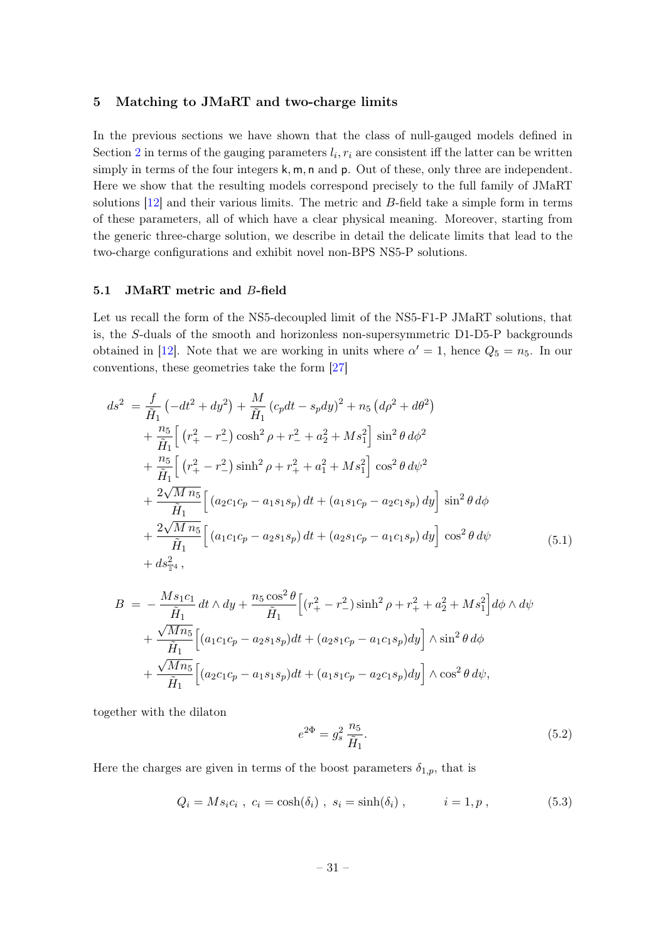### <span id="page-31-0"></span>5 Matching to JMaRT and two-charge limits

In the previous sections we have shown that the class of null-gauged models defined in Section [2](#page-4-0) in terms of the gauging parameters  $l_i$ ,  $r_i$  are consistent iff the latter can be written simply in terms of the four integers  $k, m, n$  and  $p$ . Out of these, only three are independent. Here we show that the resulting models correspond precisely to the full family of JMaRT solutions  $[12]$  and their various limits. The metric and B-field take a simple form in terms of these parameters, all of which have a clear physical meaning. Moreover, starting from the generic three-charge solution, we describe in detail the delicate limits that lead to the two-charge configurations and exhibit novel non-BPS NS5-P solutions.

### <span id="page-31-1"></span>5.1 JMaRT metric and B-field

Let us recall the form of the NS5-decoupled limit of the NS5-F1-P JMaRT solutions, that is, the S-duals of the smooth and horizonless non-supersymmetric D1-D5-P backgrounds obtained in [\[12\]](#page-40-9). Note that we are working in units where  $\alpha' = 1$ , hence  $Q_5 = n_5$ . In our conventions, these geometries take the form [\[27\]](#page-41-4)

$$
ds^{2} = \frac{f}{\tilde{H}_{1}} \left( -dt^{2} + dy^{2} \right) + \frac{M}{\tilde{H}_{1}} \left( c_{p}dt - s_{p}dy \right)^{2} + n_{5} \left( d\rho^{2} + d\theta^{2} \right)
$$
  
+  $\frac{n_{5}}{\tilde{H}_{1}} \left[ \left( r_{+}^{2} - r_{-}^{2} \right) \cosh^{2} \rho + r_{-}^{2} + a_{2}^{2} + M s_{1}^{2} \right] \sin^{2} \theta d\phi^{2}$   
+  $\frac{n_{5}}{\tilde{H}_{1}} \left[ \left( r_{+}^{2} - r_{-}^{2} \right) \sinh^{2} \rho + r_{+}^{2} + a_{1}^{2} + M s_{1}^{2} \right] \cos^{2} \theta d\psi^{2}$   
+  $\frac{2\sqrt{M} n_{5}}{\tilde{H}_{1}} \left[ \left( a_{2}c_{1}c_{p} - a_{1}s_{1}s_{p} \right) dt + \left( a_{1}s_{1}c_{p} - a_{2}c_{1}s_{p} \right) dy \right] \sin^{2} \theta d\phi$   
+  $\frac{2\sqrt{M} n_{5}}{\tilde{H}_{1}} \left[ \left( a_{1}c_{1}c_{p} - a_{2}s_{1}s_{p} \right) dt + \left( a_{2}s_{1}c_{p} - a_{1}c_{1}s_{p} \right) dy \right] \cos^{2} \theta d\psi$   
+  $ds_{\mathbb{T}^{4}}^{2},$  (5.1)

$$
B = -\frac{Ms_1c_1}{\tilde{H}_1} dt \wedge dy + \frac{n_5 \cos^2 \theta}{\tilde{H}_1} \Big[ (r_+^2 - r_-^2) \sinh^2 \rho + r_+^2 + a_2^2 + Ms_1^2 \Big] d\phi \wedge d\psi
$$
  
+ 
$$
\frac{\sqrt{Mn_5}}{\tilde{H}_1} \Big[ (a_1c_1c_p - a_2s_1s_p)dt + (a_2s_1c_p - a_1c_1s_p)dy \Big] \wedge \sin^2 \theta d\phi
$$
  
+ 
$$
\frac{\sqrt{Mn_5}}{\tilde{H}_1} \Big[ (a_2c_1c_p - a_1s_1s_p)dt + (a_1s_1c_p - a_2c_1s_p)dy \Big] \wedge \cos^2 \theta d\psi,
$$

together with the dilaton

<span id="page-31-3"></span><span id="page-31-2"></span>
$$
e^{2\Phi} = g_s^2 \frac{n_5}{\tilde{H}_1}.
$$
\n(5.2)

Here the charges are given in terms of the boost parameters  $\delta_{1,p}$ , that is

$$
Q_i = M s_i c_i , c_i = \cosh(\delta_i) , s_i = \sinh(\delta_i) , \qquad i = 1, p , \qquad (5.3)
$$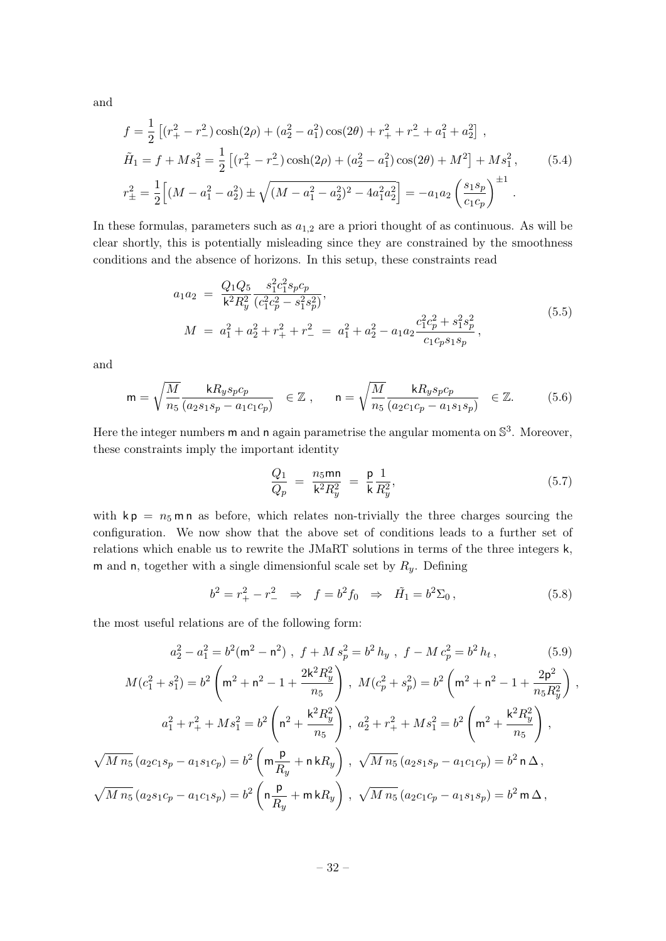and

$$
f = \frac{1}{2} \left[ (r_+^2 - r_-^2) \cosh(2\rho) + (a_2^2 - a_1^2) \cos(2\theta) + r_+^2 + r_-^2 + a_1^2 + a_2^2 \right],
$$
  
\n
$$
\tilde{H}_1 = f + M s_1^2 = \frac{1}{2} \left[ (r_+^2 - r_-^2) \cosh(2\rho) + (a_2^2 - a_1^2) \cos(2\theta) + M^2 \right] + M s_1^2,
$$
\n
$$
r_+^2 = \frac{1}{2} \left[ (M - a_1^2 - a_2^2) \pm \sqrt{(M - a_1^2 - a_2^2)^2 - 4a_1^2 a_2^2} \right] = -a_1 a_2 \left( \frac{s_1 s_p}{c_1 c_p} \right)^{\pm 1}.
$$
\n(5.4)

In these formulas, parameters such as  $a_{1,2}$  are a priori thought of as continuous. As will be clear shortly, this is potentially misleading since they are constrained by the smoothness conditions and the absence of horizons. In this setup, these constraints read

$$
a_1 a_2 = \frac{Q_1 Q_5}{k^2 R_y^2} \frac{s_1^2 c_1^2 s_p c_p}{(c_1^2 c_p^2 - s_1^2 s_p^2)},
$$
  
\n
$$
M = a_1^2 + a_2^2 + r_+^2 + r_-^2 = a_1^2 + a_2^2 - a_1 a_2 \frac{c_1^2 c_p^2 + s_1^2 s_p^2}{c_1 c_p s_1 s_p},
$$
\n(5.5)

and

$$
\mathsf{m} = \sqrt{\frac{M}{n_5}} \frac{\mathsf{k} R_y s_p c_p}{(a_2 s_1 s_p - a_1 c_1 c_p)} \quad \in \mathbb{Z} \;, \qquad \mathsf{n} = \sqrt{\frac{M}{n_5}} \frac{\mathsf{k} R_y s_p c_p}{(a_2 c_1 c_p - a_1 s_1 s_p)} \quad \in \mathbb{Z}.\tag{5.6}
$$

Here the integer numbers **m** and **n** again parametrise the angular momenta on  $\mathbb{S}^3$ . Moreover, these constraints imply the important identity

<span id="page-32-1"></span>
$$
\frac{Q_1}{Q_p} = \frac{n_5 \text{mn}}{\mathsf{k}^2 R_y^2} = \frac{\mathsf{p}}{\mathsf{k}} \frac{1}{R_y^2},\tag{5.7}
$$

with  $kp = n_5$  m n as before, which relates non-trivially the three charges sourcing the configuration. We now show that the above set of conditions leads to a further set of relations which enable us to rewrite the JMaRT solutions in terms of the three integers k, m and n, together with a single dimensionful scale set by  $R_y$ . Defining

<span id="page-32-0"></span>
$$
b^2 = r_+^2 - r_-^2 \Rightarrow f = b^2 f_0 \Rightarrow \tilde{H}_1 = b^2 \Sigma_0, \qquad (5.8)
$$

the most useful relations are of the following form:

$$
a_2^2 - a_1^2 = b^2(\mathsf{m}^2 - \mathsf{n}^2) , \ f + M s_p^2 = b^2 h_y , \ f - M c_p^2 = b^2 h_t , \tag{5.9}
$$

$$
M(c_1^2 + s_1^2) = b^2 \left( \mathbf{m}^2 + \mathbf{n}^2 - 1 + \frac{2\mathbf{k}^2 R_y^2}{n_5} \right), \quad M(c_p^2 + s_p^2) = b^2 \left( \mathbf{m}^2 + \mathbf{n}^2 - 1 + \frac{2\mathbf{p}^2}{n_5 R_y^2} \right),
$$
  

$$
a_1^2 + r_+^2 + M s_1^2 = b^2 \left( \mathbf{n}^2 + \frac{\mathbf{k}^2 R_y^2}{n_5} \right), \quad a_2^2 + r_+^2 + M s_1^2 = b^2 \left( \mathbf{m}^2 + \frac{\mathbf{k}^2 R_y^2}{n_5} \right),
$$
  

$$
\sqrt{M n_5} (a_2 c_1 s_p - a_1 s_1 c_p) = b^2 \left( \mathbf{m} \frac{\mathbf{p}}{R_y} + \mathbf{n} \mathbf{k} R_y \right), \quad \sqrt{M n_5} (a_2 s_1 s_p - a_1 c_1 c_p) = b^2 \mathbf{n} \Delta,
$$
  

$$
\sqrt{M n_5} (a_2 s_1 c_p - a_1 c_1 s_p) = b^2 \left( \mathbf{n} \frac{\mathbf{p}}{R_y} + \mathbf{m} \mathbf{k} R_y \right), \quad \sqrt{M n_5} (a_2 c_1 c_p - a_1 s_1 s_p) = b^2 \mathbf{m} \Delta,
$$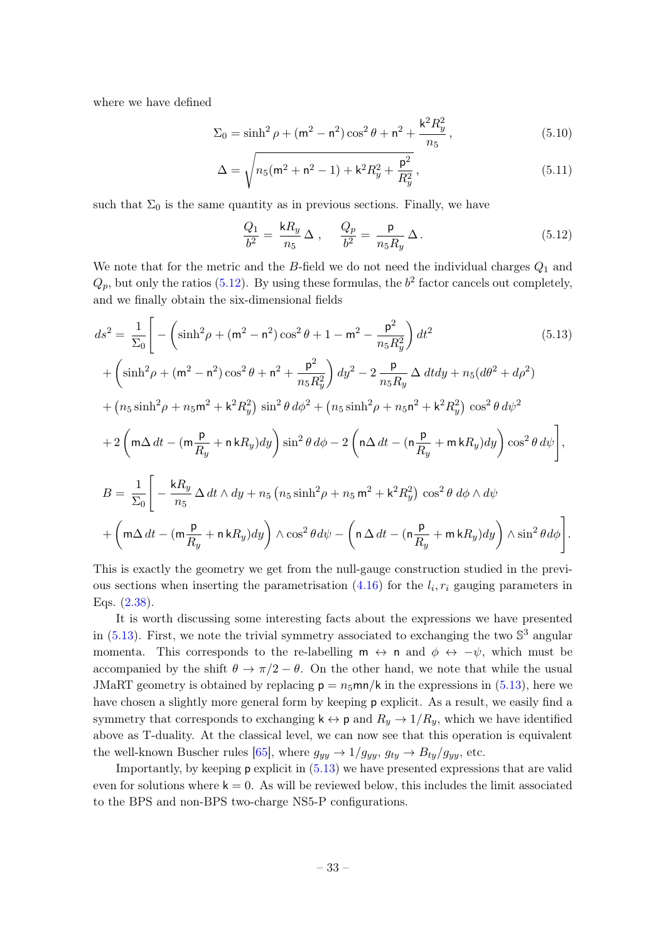where we have defined

$$
\Sigma_0 = \sinh^2 \rho + (m^2 - n^2) \cos^2 \theta + n^2 + \frac{k^2 R_y^2}{n_5},
$$
\n(5.10)

$$
\Delta = \sqrt{n_5(m^2 + n^2 - 1) + k^2 R_y^2 + \frac{p^2}{R_y^2}},
$$
\n(5.11)

such that  $\Sigma_0$  is the same quantity as in previous sections. Finally, we have

<span id="page-33-3"></span><span id="page-33-2"></span><span id="page-33-1"></span><span id="page-33-0"></span>
$$
\frac{Q_1}{b^2} = \frac{kR_y}{n_5} \Delta , \quad \frac{Q_p}{b^2} = \frac{p}{n_5 R_y} \Delta . \tag{5.12}
$$

We note that for the metric and the  $B$ -field we do not need the individual charges  $Q_1$  and  $Q_p$ , but only the ratios [\(5.12\)](#page-33-0). By using these formulas, the  $b^2$  factor cancels out completely, and we finally obtain the six-dimensional fields

$$
ds^{2} = \frac{1}{\Sigma_{0}} \Bigg[ -\left( \sinh^{2} \rho + (m^{2} - n^{2}) \cos^{2} \theta + 1 - m^{2} - \frac{p^{2}}{n_{5}R_{y}^{2}} \right) dt^{2} \qquad (5.13)
$$
  
+  $\left( \sinh^{2} \rho + (m^{2} - n^{2}) \cos^{2} \theta + n^{2} + \frac{p^{2}}{n_{5}R_{y}^{2}} \right) dy^{2} - 2 \frac{p}{n_{5}R_{y}} \Delta dt dy + n_{5} (d\theta^{2} + d\rho^{2})$   
+  $(n_{5} \sinh^{2} \rho + n_{5} m^{2} + k^{2} R_{y}^{2}) \sin^{2} \theta d\phi^{2} + (n_{5} \sinh^{2} \rho + n_{5} n^{2} + k^{2} R_{y}^{2}) \cos^{2} \theta d\psi^{2}$   
+  $2 \left( m \Delta dt - (m \frac{p}{R_{y}} + n k R_{y}) dy \right) \sin^{2} \theta d\phi - 2 \left( n \Delta dt - (n \frac{p}{R_{y}} + m k R_{y}) dy \right) \cos^{2} \theta d\psi \Bigg],$   

$$
B = \frac{1}{\Sigma_{0}} \Bigg[ -\frac{k R_{y}}{n_{5}} \Delta dt \wedge dy + n_{5} (n_{5} \sinh^{2} \rho + n_{5} m^{2} + k^{2} R_{y}^{2}) \cos^{2} \theta d\phi \wedge d\psi
$$
  
+  $\left( m \Delta dt - (m \frac{p}{R_{y}} + n k R_{y}) dy \right) \wedge \cos^{2} \theta d\psi - \left( n \Delta dt - (n \frac{p}{R_{y}} + m k R_{y}) dy \right) \wedge \sin^{2} \theta d\phi \Bigg].$ 

This is exactly the geometry we get from the null-gauge construction studied in the previous sections when inserting the parametrisation  $(4.16)$  for the  $l_i, r_i$  gauging parameters in Eqs. [\(2.38\)](#page-10-1).

It is worth discussing some interesting facts about the expressions we have presented in  $(5.13)$ . First, we note the trivial symmetry associated to exchanging the two  $\mathbb{S}^3$  angular momenta. This corresponds to the re-labelling  $m \leftrightarrow n$  and  $\phi \leftrightarrow -\psi$ , which must be accompanied by the shift  $\theta \to \pi/2 - \theta$ . On the other hand, we note that while the usual JMaRT geometry is obtained by replacing  $p = n_5$ mn/k in the expressions in [\(5.13\)](#page-33-1), here we have chosen a slightly more general form by keeping **p** explicit. As a result, we easily find a symmetry that corresponds to exchanging  $k \leftrightarrow p$  and  $R_y \rightarrow 1/R_y$ , which we have identified above as T-duality. At the classical level, we can now see that this operation is equivalent the well-known Buscher rules [\[65\]](#page-43-3), where  $g_{yy} \rightarrow 1/g_{yy}$ ,  $g_{ty} \rightarrow B_{ty}/g_{yy}$ , etc.

Importantly, by keeping  $p$  explicit in  $(5.13)$  we have presented expressions that are valid even for solutions where  $k = 0$ . As will be reviewed below, this includes the limit associated to the BPS and non-BPS two-charge NS5-P configurations.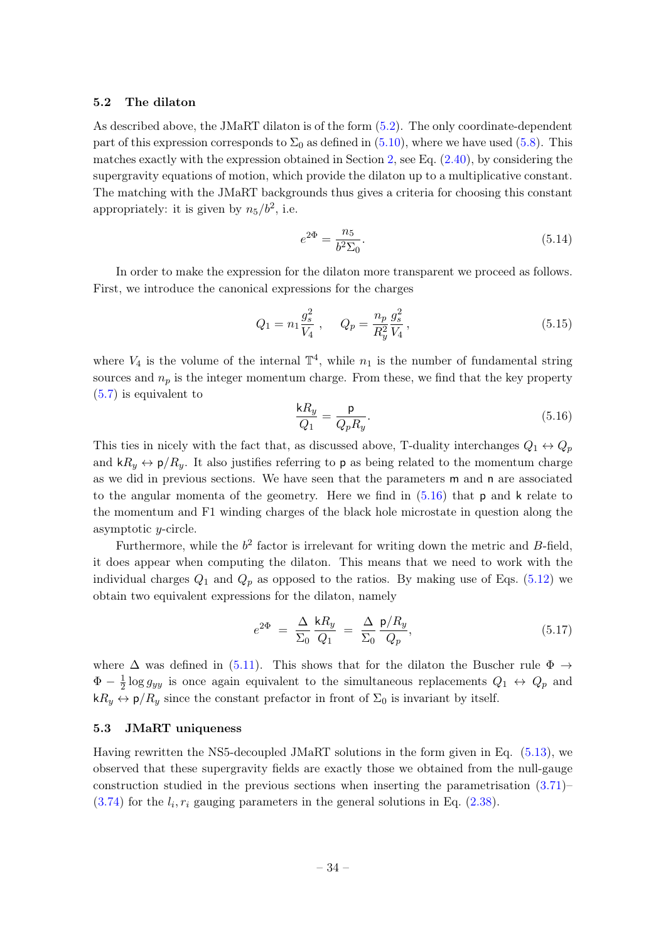## <span id="page-34-0"></span>5.2 The dilaton

As described above, the JMaRT dilaton is of the form [\(5.2\)](#page-31-2). The only coordinate-dependent part of this expression corresponds to  $\Sigma_0$  as defined in [\(5.10\)](#page-33-2), where we have used [\(5.8\)](#page-32-0). This matches exactly with the expression obtained in Section [2,](#page-4-0) see Eq.  $(2.40)$ , by considering the supergravity equations of motion, which provide the dilaton up to a multiplicative constant. The matching with the JMaRT backgrounds thus gives a criteria for choosing this constant appropriately: it is given by  $n_5/b^2$ , i.e.

$$
e^{2\Phi} = \frac{n_5}{b^2 \Sigma_0}.\tag{5.14}
$$

In order to make the expression for the dilaton more transparent we proceed as follows. First, we introduce the canonical expressions for the charges

$$
Q_1 = n_1 \frac{g_s^2}{V_4} , \qquad Q_p = \frac{n_p}{R_y^2} \frac{g_s^2}{V_4} , \qquad (5.15)
$$

where  $V_4$  is the volume of the internal  $\mathbb{T}^4$ , while  $n_1$  is the number of fundamental string sources and  $n_p$  is the integer momentum charge. From these, we find that the key property [\(5.7\)](#page-32-1) is equivalent to

<span id="page-34-2"></span>
$$
\frac{\mathsf{k}R_y}{Q_1} = \frac{\mathsf{p}}{Q_p R_y}.\tag{5.16}
$$

This ties in nicely with the fact that, as discussed above, T-duality interchanges  $Q_1 \leftrightarrow Q_p$ and  $kR_y \leftrightarrow p/R_y$ . It also justifies referring to p as being related to the momentum charge as we did in previous sections. We have seen that the parameters m and n are associated to the angular momenta of the geometry. Here we find in  $(5.16)$  that p and k relate to the momentum and F1 winding charges of the black hole microstate in question along the asymptotic y-circle.

Furthermore, while the  $b^2$  factor is irrelevant for writing down the metric and B-field, it does appear when computing the dilaton. This means that we need to work with the individual charges  $Q_1$  and  $Q_p$  as opposed to the ratios. By making use of Eqs. [\(5.12\)](#page-33-0) we obtain two equivalent expressions for the dilaton, namely

<span id="page-34-3"></span>
$$
e^{2\Phi} = \frac{\Delta}{\Sigma_0} \frac{kR_y}{Q_1} = \frac{\Delta}{\Sigma_0} \frac{\mathsf{p}/R_y}{Q_p},\tag{5.17}
$$

where  $\Delta$  was defined in [\(5.11\)](#page-33-3). This shows that for the dilaton the Buscher rule  $\Phi \rightarrow$  $\Phi - \frac{1}{2}$  $\frac{1}{2} \log g_{yy}$  is once again equivalent to the simultaneous replacements  $Q_1 \leftrightarrow Q_p$  and  $kR_y \leftrightarrow p/R_y$  since the constant prefactor in front of  $\Sigma_0$  is invariant by itself.

## <span id="page-34-1"></span>5.3 JMaRT uniqueness

Having rewritten the NS5-decoupled JMaRT solutions in the form given in Eq. [\(5.13\)](#page-33-1), we observed that these supergravity fields are exactly those we obtained from the null-gauge construction studied in the previous sections when inserting the parametrisation  $(3.71)$  $(3.74)$  for the  $l_i, r_i$  gauging parameters in the general solutions in Eq.  $(2.38)$ .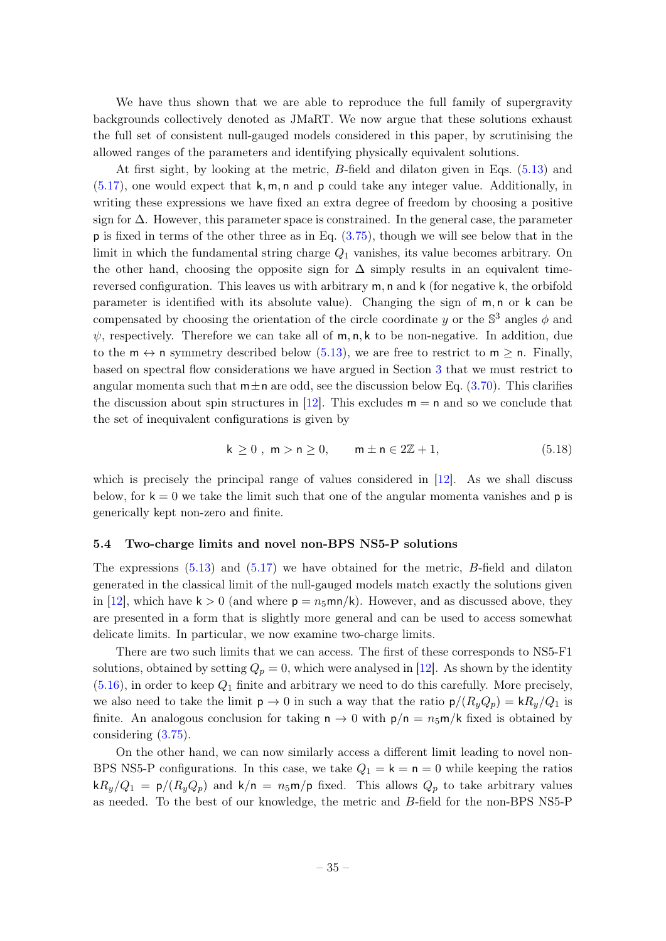We have thus shown that we are able to reproduce the full family of supergravity backgrounds collectively denoted as JMaRT. We now argue that these solutions exhaust the full set of consistent null-gauged models considered in this paper, by scrutinising the allowed ranges of the parameters and identifying physically equivalent solutions.

At first sight, by looking at the metric, B-field and dilaton given in Eqs. [\(5.13\)](#page-33-1) and  $(5.17)$ , one would expect that k, m, n and p could take any integer value. Additionally, in writing these expressions we have fixed an extra degree of freedom by choosing a positive sign for ∆. However, this parameter space is constrained. In the general case, the parameter p is fixed in terms of the other three as in Eq. [\(3.75\)](#page-24-4), though we will see below that in the limit in which the fundamental string charge  $Q_1$  vanishes, its value becomes arbitrary. On the other hand, choosing the opposite sign for  $\Delta$  simply results in an equivalent timereversed configuration. This leaves us with arbitrary m, n and k (for negative k, the orbifold parameter is identified with its absolute value). Changing the sign of m, n or k can be compensated by choosing the orientation of the circle coordinate y or the  $\mathbb{S}^3$  angles  $\phi$  and  $\psi$ , respectively. Therefore we can take all of m, n, k to be non-negative. In addition, due to the  $m \leftrightarrow n$  symmetry described below [\(5.13\)](#page-33-1), we are free to restrict to  $m \ge n$ . Finally, based on spectral flow considerations we have argued in Section [3](#page-12-0) that we must restrict to angular momenta such that  $m \pm n$  are odd, see the discussion below Eq. [\(3.70\)](#page-24-1). This clarifies the discussion about spin structures in [\[12\]](#page-40-9). This excludes  $m = n$  and so we conclude that the set of inequivalent configurations is given by

$$
k \ge 0, \ m > n \ge 0, \qquad m \pm n \in 2\mathbb{Z} + 1,\tag{5.18}
$$

which is precisely the principal range of values considered in [\[12\]](#page-40-9). As we shall discuss below, for  $k = 0$  we take the limit such that one of the angular momenta vanishes and  $p$  is generically kept non-zero and finite.

### <span id="page-35-0"></span>5.4 Two-charge limits and novel non-BPS NS5-P solutions

The expressions  $(5.13)$  and  $(5.17)$  we have obtained for the metric, B-field and dilaton generated in the classical limit of the null-gauged models match exactly the solutions given in [\[12\]](#page-40-9), which have  $k > 0$  (and where  $p = n_5mn/k$ ). However, and as discussed above, they are presented in a form that is slightly more general and can be used to access somewhat delicate limits. In particular, we now examine two-charge limits.

There are two such limits that we can access. The first of these corresponds to NS5-F1 solutions, obtained by setting  $Q_p = 0$ , which were analysed in [\[12\]](#page-40-9). As shown by the identity  $(5.16)$ , in order to keep  $Q_1$  finite and arbitrary we need to do this carefully. More precisely, we also need to take the limit  $p \to 0$  in such a way that the ratio  $p/(R_u Q_p) = kR_u/Q_1$  is finite. An analogous conclusion for taking  $n \to 0$  with  $p/n = n_5 m/k$  fixed is obtained by considering [\(3.75\)](#page-24-4).

On the other hand, we can now similarly access a different limit leading to novel non-BPS NS5-P configurations. In this case, we take  $Q_1 = \mathsf{k} = \mathsf{n} = 0$  while keeping the ratios  $kR_y/Q_1 = p/(R_yQ_p)$  and  $k/n = n_5m/p$  fixed. This allows  $Q_p$  to take arbitrary values as needed. To the best of our knowledge, the metric and B-field for the non-BPS NS5-P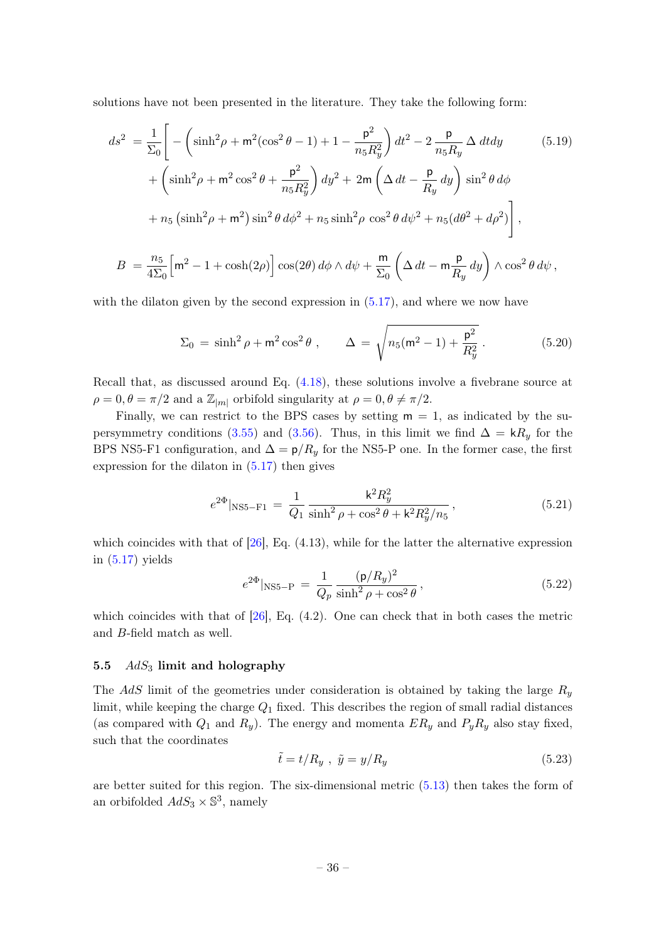solutions have not been presented in the literature. They take the following form:

$$
ds^{2} = \frac{1}{\Sigma_{0}} \Bigg[ -\left( \sinh^{2}\rho + m^{2}(\cos^{2}\theta - 1) + 1 - \frac{p^{2}}{n_{5}R_{y}^{2}} \right) dt^{2} - 2 \frac{p}{n_{5}R_{y}} \Delta dt dy \qquad (5.19)
$$
  
+  $\left( \sinh^{2}\rho + m^{2}\cos^{2}\theta + \frac{p^{2}}{n_{5}R_{y}^{2}} \right) dy^{2} + 2m \left( \Delta dt - \frac{p}{R_{y}} dy \right) \sin^{2}\theta d\phi$   
+  $n_{5} \left( \sinh^{2}\rho + m^{2} \right) \sin^{2}\theta d\phi^{2} + n_{5} \sinh^{2}\rho \cos^{2}\theta d\psi^{2} + n_{5} (d\theta^{2} + d\rho^{2}) \Bigg],$   

$$
B = \frac{n_{5}}{4\Sigma_{0}} \Big[ m^{2} - 1 + \cosh(2\rho) \Big] \cos(2\theta) d\phi \wedge d\psi + \frac{m}{\Sigma_{0}} \left( \Delta dt - m \frac{p}{R_{y}} dy \right) \wedge \cos^{2}\theta d\psi,
$$
 (5.19)

with the dilaton given by the second expression in  $(5.17)$ , and where we now have

<span id="page-36-2"></span><span id="page-36-1"></span>
$$
\Sigma_0 = \sinh^2 \rho + m^2 \cos^2 \theta , \qquad \Delta = \sqrt{n_5(m^2 - 1) + \frac{p^2}{R_y^2}} . \tag{5.20}
$$

Recall that, as discussed around Eq. [\(4.18\)](#page-29-0), these solutions involve a fivebrane source at  $\rho = 0, \theta = \pi/2$  and a  $\mathbb{Z}_{|m|}$  orbifold singularity at  $\rho = 0, \theta \neq \pi/2$ .

Finally, we can restrict to the BPS cases by setting  $m = 1$ , as indicated by the su-persymmetry conditions [\(3.55\)](#page-20-3) and [\(3.56\)](#page-21-4). Thus, in this limit we find  $\Delta = kR_y$  for the BPS NS5-F1 configuration, and  $\Delta = p/R_y$  for the NS5-P one. In the former case, the first expression for the dilaton in [\(5.17\)](#page-34-3) then gives

$$
e^{2\Phi}|_{\text{NS5-F1}} = \frac{1}{Q_1} \frac{k^2 R_y^2}{\sinh^2 \rho + \cos^2 \theta + k^2 R_y^2 / n_5},\tag{5.21}
$$

which coincides with that of  $[26]$ , Eq.  $(4.13)$ , while for the latter the alternative expression in  $(5.17)$  yields

$$
e^{2\Phi}|_{\text{NS5}-\text{P}} = \frac{1}{Q_p} \frac{(\text{p}/R_y)^2}{\sinh^2 \rho + \cos^2 \theta},\tag{5.22}
$$

which coincides with that of  $[26]$ , Eq.  $(4.2)$ . One can check that in both cases the metric and B-field match as well.

## <span id="page-36-0"></span>5.5  $AdS_3$  limit and holography

The AdS limit of the geometries under consideration is obtained by taking the large  $R_y$ limit, while keeping the charge  $Q_1$  fixed. This describes the region of small radial distances (as compared with  $Q_1$  and  $R_y$ ). The energy and momenta  $ER_y$  and  $P_yR_y$  also stay fixed, such that the coordinates

$$
\tilde{t} = t/R_y \ , \ \tilde{y} = y/R_y \tag{5.23}
$$

are better suited for this region. The six-dimensional metric [\(5.13\)](#page-33-1) then takes the form of an orbifolded  $AdS_3 \times \mathbb{S}^3$ , namely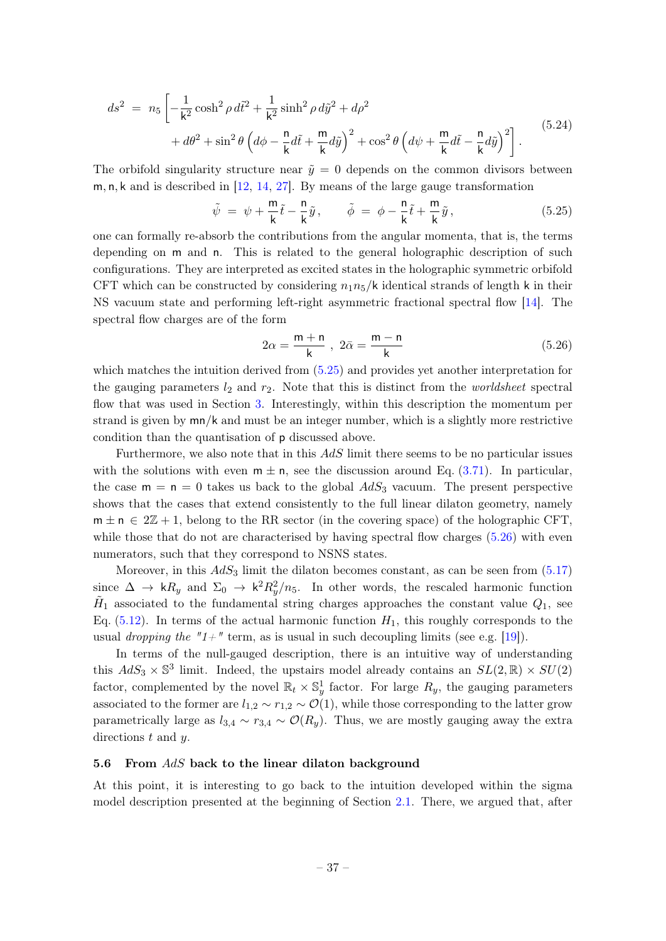$$
ds^{2} = n_{5} \left[ -\frac{1}{k^{2}} \cosh^{2} \rho d\tilde{t}^{2} + \frac{1}{k^{2}} \sinh^{2} \rho d\tilde{y}^{2} + d\rho^{2} + d\theta^{2} + \sin^{2} \theta \left( d\phi - \frac{n}{k} d\tilde{t} + \frac{m}{k} d\tilde{y} \right)^{2} + \cos^{2} \theta \left( d\psi + \frac{m}{k} d\tilde{t} - \frac{n}{k} d\tilde{y} \right)^{2} \right].
$$
\n(5.24)

The orbifold singularity structure near  $\tilde{y} = 0$  depends on the common divisors between m, n, k and is described in [\[12,](#page-40-9) [14,](#page-40-7) [27\]](#page-41-4). By means of the large gauge transformation

<span id="page-37-1"></span>
$$
\tilde{\psi} = \psi + \frac{\mathsf{m}}{\mathsf{k}} \tilde{t} - \frac{\mathsf{n}}{\mathsf{k}} \tilde{y}, \qquad \tilde{\phi} = \phi - \frac{\mathsf{n}}{\mathsf{k}} \tilde{t} + \frac{\mathsf{m}}{\mathsf{k}} \tilde{y}, \tag{5.25}
$$

one can formally re-absorb the contributions from the angular momenta, that is, the terms depending on m and n. This is related to the general holographic description of such configurations. They are interpreted as excited states in the holographic symmetric orbifold CFT which can be constructed by considering  $n_1n_5/k$  identical strands of length k in their NS vacuum state and performing left-right asymmetric fractional spectral flow [\[14\]](#page-40-7). The spectral flow charges are of the form

<span id="page-37-2"></span>
$$
2\alpha = \frac{m+n}{k}, \ 2\bar{\alpha} = \frac{m-n}{k} \tag{5.26}
$$

which matches the intuition derived from [\(5.25\)](#page-37-1) and provides yet another interpretation for the gauging parameters  $l_2$  and  $r_2$ . Note that this is distinct from the *worldsheet* spectral flow that was used in Section [3.](#page-12-0) Interestingly, within this description the momentum per strand is given by mn/k and must be an integer number, which is a slightly more restrictive condition than the quantisation of p discussed above.

Furthermore, we also note that in this AdS limit there seems to be no particular issues with the solutions with even  $m \pm n$ , see the discussion around Eq. [\(3.71\)](#page-24-2). In particular, the case  $m = n = 0$  takes us back to the global  $AdS_3$  vacuum. The present perspective shows that the cases that extend consistently to the full linear dilaton geometry, namely  $m \pm n \in 2\mathbb{Z} + 1$ , belong to the RR sector (in the covering space) of the holographic CFT. while those that do not are characterised by having spectral flow charges [\(5.26\)](#page-37-2) with even numerators, such that they correspond to NSNS states.

Moreover, in this  $AdS_3$  limit the dilaton becomes constant, as can be seen from  $(5.17)$ since  $\Delta \to kR_y$  and  $\Sigma_0 \to k^2R_y^2/n_5$ . In other words, the rescaled harmonic function  $\tilde{H}_1$  associated to the fundamental string charges approaches the constant value  $Q_1$ , see Eq.  $(5.12)$ . In terms of the actual harmonic function  $H_1$ , this roughly corresponds to the usual *dropping the* " $1+$ " term, as is usual in such decoupling limits (see e.g. [\[19\]](#page-40-11)).

In terms of the null-gauged description, there is an intuitive way of understanding this  $AdS_3 \times \mathbb{S}^3$  limit. Indeed, the upstairs model already contains an  $SL(2,\mathbb{R}) \times SU(2)$ factor, complemented by the novel  $\mathbb{R}_t \times \mathbb{S}^1_y$  factor. For large  $R_y$ , the gauging parameters associated to the former are  $l_{1,2} \sim r_{1,2} \sim \mathcal{O}(1)$ , while those corresponding to the latter grow parametrically large as  $l_{3,4} \sim r_{3,4} \sim \mathcal{O}(R_y)$ . Thus, we are mostly gauging away the extra directions t and y.

## <span id="page-37-0"></span>5.6 From  $AdS$  back to the linear dilaton background

At this point, it is interesting to go back to the intuition developed within the sigma model description presented at the beginning of Section [2.1.](#page-5-0) There, we argued that, after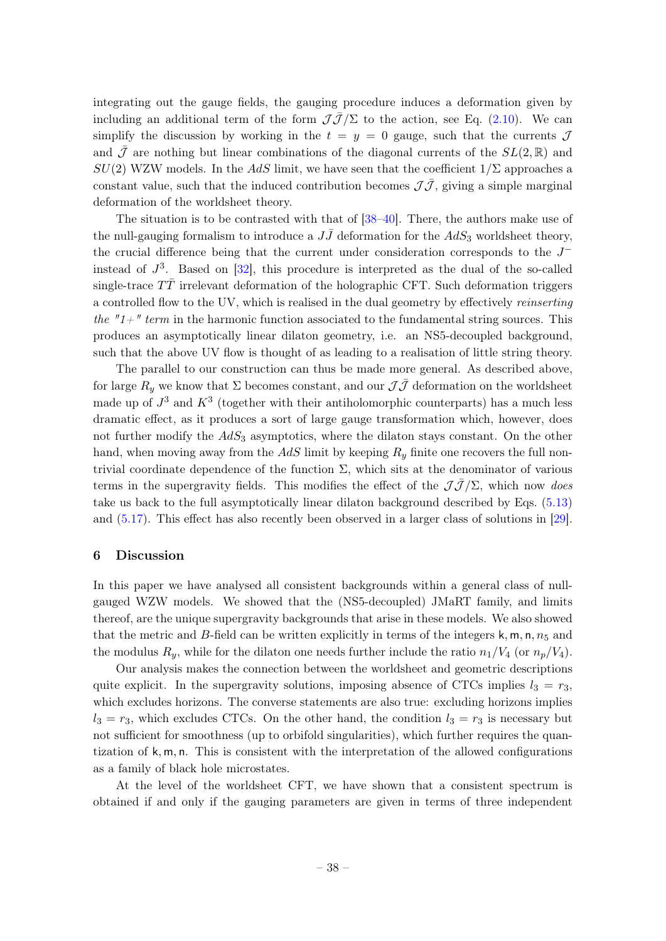integrating out the gauge fields, the gauging procedure induces a deformation given by including an additional term of the form  $\mathcal{J}\bar{\mathcal{J}}/\Sigma$  to the action, see Eq. [\(2.10\)](#page-6-3). We can simplify the discussion by working in the  $t = y = 0$  gauge, such that the currents  $\mathcal{J}$ and  $\bar{\mathcal{J}}$  are nothing but linear combinations of the diagonal currents of the  $SL(2,\mathbb{R})$  and  $SU(2)$  WZW models. In the AdS limit, we have seen that the coefficient  $1/\Sigma$  approaches a constant value, such that the induced contribution becomes  $\mathcal{J}\bar{\mathcal{J}}$ , giving a simple marginal deformation of the worldsheet theory.

The situation is to be contrasted with that of [\[38](#page-41-13)[–40\]](#page-41-14). There, the authors make use of the null-gauging formalism to introduce a  $J\bar{J}$  deformation for the  $AdS_3$  worldsheet theory, the crucial difference being that the current under consideration corresponds to the J<sup>−</sup> instead of  $J^3$ . Based on  $[32]$ , this procedure is interpreted as the dual of the so-called single-trace  $TT$  irrelevant deformation of the holographic CFT. Such deformation triggers a controlled flow to the UV, which is realised in the dual geometry by effectively reinserting the " $1+\pi$ " term in the harmonic function associated to the fundamental string sources. This produces an asymptotically linear dilaton geometry, i.e. an NS5-decoupled background, such that the above UV flow is thought of as leading to a realisation of little string theory.

The parallel to our construction can thus be made more general. As described above, for large  $R_y$  we know that  $\Sigma$  becomes constant, and our  $\mathcal{J}\bar{\mathcal{J}}$  deformation on the worldsheet made up of  $J^3$  and  $K^3$  (together with their antiholomorphic counterparts) has a much less dramatic effect, as it produces a sort of large gauge transformation which, however, does not further modify the  $AdS_3$  asymptotics, where the dilaton stays constant. On the other hand, when moving away from the  $AdS$  limit by keeping  $R_y$  finite one recovers the full nontrivial coordinate dependence of the function Σ, which sits at the denominator of various terms in the supergravity fields. This modifies the effect of the  $J\bar{J}/\Sigma$ , which now does take us back to the full asymptotically linear dilaton background described by Eqs. [\(5.13\)](#page-33-1) and [\(5.17\)](#page-34-3). This effect has also recently been observed in a larger class of solutions in [\[29\]](#page-41-6).

## <span id="page-38-0"></span>6 Discussion

In this paper we have analysed all consistent backgrounds within a general class of nullgauged WZW models. We showed that the (NS5-decoupled) JMaRT family, and limits thereof, are the unique supergravity backgrounds that arise in these models. We also showed that the metric and B-field can be written explicitly in terms of the integers  $k, m, n, n<sub>5</sub>$  and the modulus  $R_y$ , while for the dilaton one needs further include the ratio  $n_1/V_4$  (or  $n_p/V_4$ ).

Our analysis makes the connection between the worldsheet and geometric descriptions quite explicit. In the supergravity solutions, imposing absence of CTCs implies  $l_3 = r_3$ , which excludes horizons. The converse statements are also true: excluding horizons implies  $l_3 = r_3$ , which excludes CTCs. On the other hand, the condition  $l_3 = r_3$  is necessary but not sufficient for smoothness (up to orbifold singularities), which further requires the quantization of k, m, n. This is consistent with the interpretation of the allowed configurations as a family of black hole microstates.

At the level of the worldsheet CFT, we have shown that a consistent spectrum is obtained if and only if the gauging parameters are given in terms of three independent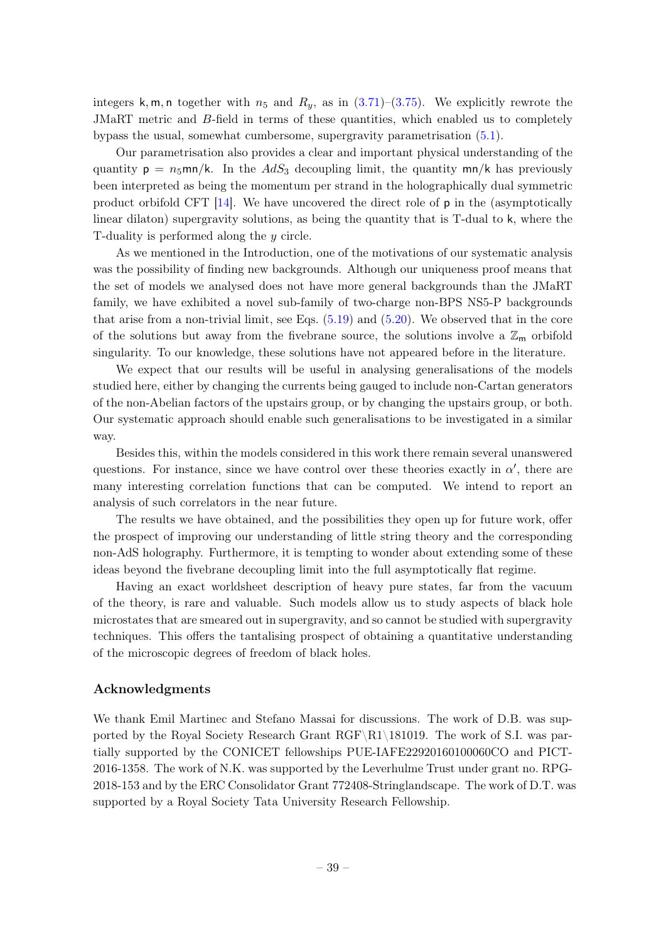integers k, m, n together with  $n_5$  and  $R_y$ , as in  $(3.71)-(3.75)$  $(3.71)-(3.75)$  $(3.71)-(3.75)$ . We explicitly rewrote the JMaRT metric and B-field in terms of these quantities, which enabled us to completely bypass the usual, somewhat cumbersome, supergravity parametrisation [\(5.1\)](#page-31-3).

Our parametrisation also provides a clear and important physical understanding of the quantity  $p = n_5$ mn/k. In the  $AdS_3$  decoupling limit, the quantity mn/k has previously been interpreted as being the momentum per strand in the holographically dual symmetric product orbifold CFT  $[14]$ . We have uncovered the direct role of p in the (asymptotically linear dilaton) supergravity solutions, as being the quantity that is T-dual to k, where the T-duality is performed along the y circle.

As we mentioned in the Introduction, one of the motivations of our systematic analysis was the possibility of finding new backgrounds. Although our uniqueness proof means that the set of models we analysed does not have more general backgrounds than the JMaRT family, we have exhibited a novel sub-family of two-charge non-BPS NS5-P backgrounds that arise from a non-trivial limit, see Eqs. [\(5.19\)](#page-36-1) and [\(5.20\)](#page-36-2). We observed that in the core of the solutions but away from the fivebrane source, the solutions involve a  $\mathbb{Z}_m$  orbifold singularity. To our knowledge, these solutions have not appeared before in the literature.

We expect that our results will be useful in analysing generalisations of the models studied here, either by changing the currents being gauged to include non-Cartan generators of the non-Abelian factors of the upstairs group, or by changing the upstairs group, or both. Our systematic approach should enable such generalisations to be investigated in a similar way.

Besides this, within the models considered in this work there remain several unanswered questions. For instance, since we have control over these theories exactly in  $\alpha'$ , there are many interesting correlation functions that can be computed. We intend to report an analysis of such correlators in the near future.

The results we have obtained, and the possibilities they open up for future work, offer the prospect of improving our understanding of little string theory and the corresponding non-AdS holography. Furthermore, it is tempting to wonder about extending some of these ideas beyond the fivebrane decoupling limit into the full asymptotically flat regime.

Having an exact worldsheet description of heavy pure states, far from the vacuum of the theory, is rare and valuable. Such models allow us to study aspects of black hole microstates that are smeared out in supergravity, and so cannot be studied with supergravity techniques. This offers the tantalising prospect of obtaining a quantitative understanding of the microscopic degrees of freedom of black holes.

## Acknowledgments

We thank Emil Martinec and Stefano Massai for discussions. The work of D.B. was supported by the Royal Society Research Grant RGF\R1\181019. The work of S.I. was partially supported by the CONICET fellowships PUE-IAFE22920160100060CO and PICT-2016-1358. The work of N.K. was supported by the Leverhulme Trust under grant no. RPG-2018-153 and by the ERC Consolidator Grant 772408-Stringlandscape. The work of D.T. was supported by a Royal Society Tata University Research Fellowship.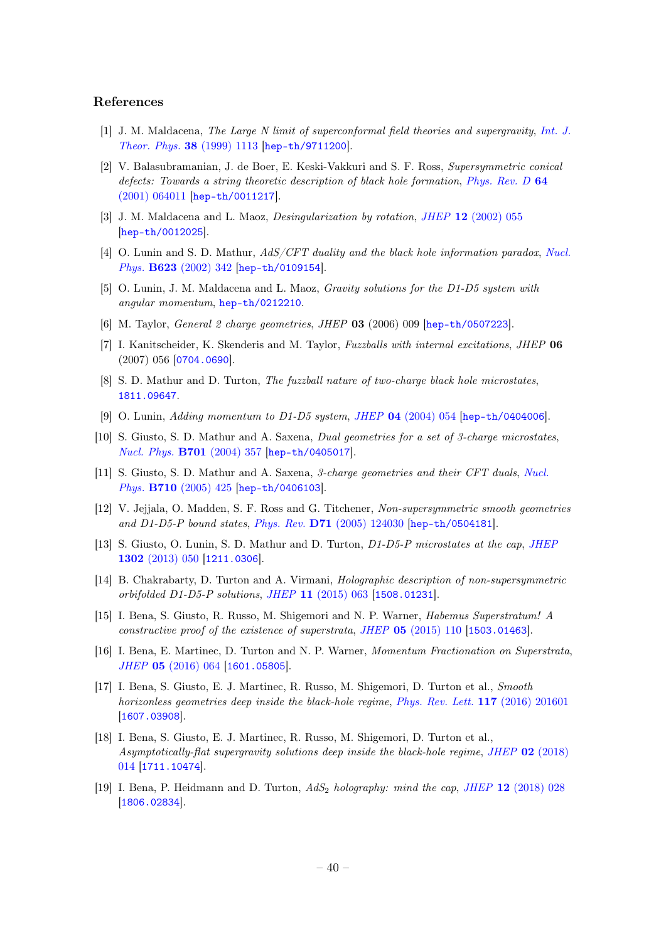### References

- <span id="page-40-0"></span>[1] J. M. Maldacena, The Large N limit of superconformal field theories and supergravity, [Int. J.](https://doi.org/10.1023/A:1026654312961, 10.4310/ATMP.1998.v2.n2.a1) [Theor. Phys.](https://doi.org/10.1023/A:1026654312961, 10.4310/ATMP.1998.v2.n2.a1) 38 (1999) 1113 [[hep-th/9711200](https://arxiv.org/abs/hep-th/9711200)].
- <span id="page-40-1"></span>[2] V. Balasubramanian, J. de Boer, E. Keski-Vakkuri and S. F. Ross, Supersymmetric conical defects: Towards a string theoretic description of black hole formation, [Phys. Rev. D](https://doi.org/10.1103/PhysRevD.64.064011) 64 [\(2001\) 064011](https://doi.org/10.1103/PhysRevD.64.064011) [[hep-th/0011217](https://arxiv.org/abs/hep-th/0011217)].
- <span id="page-40-2"></span>[3] J. M. Maldacena and L. Maoz, *Desingularization by rotation, JHEP* 12 [\(2002\) 055](https://doi.org/10.1088/1126-6708/2002/12/055) [[hep-th/0012025](https://arxiv.org/abs/hep-th/0012025)].
- <span id="page-40-3"></span>[4] O. Lunin and S. D. Mathur, AdS/CFT duality and the black hole information paradox, [Nucl.](https://doi.org/10.1016/S0550-3213(01)00620-4) Phys. B623 [\(2002\) 342](https://doi.org/10.1016/S0550-3213(01)00620-4) [[hep-th/0109154](https://arxiv.org/abs/hep-th/0109154)].
- [5] O. Lunin, J. M. Maldacena and L. Maoz, Gravity solutions for the D1-D5 system with angular momentum, [hep-th/0212210](https://arxiv.org/abs/hep-th/0212210).
- [6] M. Taylor, General 2 charge geometries, JHEP 03 (2006) 009 [[hep-th/0507223](https://arxiv.org/abs/hep-th/0507223)].
- [7] I. Kanitscheider, K. Skenderis and M. Taylor, Fuzzballs with internal excitations, JHEP 06 (2007) 056 [[0704.0690](https://arxiv.org/abs/0704.0690)].
- <span id="page-40-4"></span>[8] S. D. Mathur and D. Turton, The fuzzball nature of two-charge black hole microstates, [1811.09647](https://arxiv.org/abs/1811.09647).
- <span id="page-40-5"></span>[9] O. Lunin, Adding momentum to D1-D5 system, JHEP 04 [\(2004\) 054](https://doi.org/10.1088/1126-6708/2004/04/054) [[hep-th/0404006](https://arxiv.org/abs/hep-th/0404006)].
- <span id="page-40-10"></span>[10] S. Giusto, S. D. Mathur and A. Saxena, Dual geometries for a set of 3-charge microstates, [Nucl. Phys.](https://doi.org/10.1016/j.nuclphysb.2004.09.001) B701 (2004) 357 [[hep-th/0405017](https://arxiv.org/abs/hep-th/0405017)].
- [11] S. Giusto, S. D. Mathur and A. Saxena, 3-charge geometries and their CFT duals, [Nucl.](https://doi.org/10.1016/j.nuclphysb.2005.01.009) Phys. B710 [\(2005\) 425](https://doi.org/10.1016/j.nuclphysb.2005.01.009) [[hep-th/0406103](https://arxiv.org/abs/hep-th/0406103)].
- <span id="page-40-9"></span>[12] V. Jejiala, O. Madden, S. F. Ross and G. Titchener, Non-supersymmetric smooth geometries and D1-D5-P bound states, Phys. Rev. D71 [\(2005\) 124030](https://doi.org/10.1103/PhysRevD.71.124030) [[hep-th/0504181](https://arxiv.org/abs/hep-th/0504181)].
- <span id="page-40-6"></span>[13] S. Giusto, O. Lunin, S. D. Mathur and D. Turton, D1-D5-P microstates at the cap, [JHEP](https://doi.org/10.1007/JHEP02(2013)050) 1302 [\(2013\) 050](https://doi.org/10.1007/JHEP02(2013)050) [[1211.0306](https://arxiv.org/abs/1211.0306)].
- <span id="page-40-7"></span>[14] B. Chakrabarty, D. Turton and A. Virmani, Holographic description of non-supersymmetric orbifolded D1-D5-P solutions, JHEP 11 [\(2015\) 063](https://doi.org/10.1007/JHEP11(2015)063) [[1508.01231](https://arxiv.org/abs/1508.01231)].
- <span id="page-40-8"></span>[15] I. Bena, S. Giusto, R. Russo, M. Shigemori and N. P. Warner, Habemus Superstratum! A constructive proof of the existence of superstrata, JHEP 05 [\(2015\) 110](https://doi.org/10.1007/JHEP05(2015)110) [[1503.01463](https://arxiv.org/abs/1503.01463)].
- [16] I. Bena, E. Martinec, D. Turton and N. P. Warner, Momentum Fractionation on Superstrata, JHEP 05 [\(2016\) 064](https://doi.org/10.1007/JHEP05(2016)064) [[1601.05805](https://arxiv.org/abs/1601.05805)].
- [17] I. Bena, S. Giusto, E. J. Martinec, R. Russo, M. Shigemori, D. Turton et al., Smooth horizonless geometries deep inside the black-hole regime, [Phys. Rev. Lett.](https://doi.org/10.1103/PhysRevLett.117.201601) 117 (2016) 201601 [[1607.03908](https://arxiv.org/abs/1607.03908)].
- [18] I. Bena, S. Giusto, E. J. Martinec, R. Russo, M. Shigemori, D. Turton et al., Asymptotically-flat supergravity solutions deep inside the black-hole regime, JHEP 02 [\(2018\)](https://doi.org/10.1007/JHEP02(2018)014) [014](https://doi.org/10.1007/JHEP02(2018)014) [[1711.10474](https://arxiv.org/abs/1711.10474)].
- <span id="page-40-11"></span>[19] I. Bena, P. Heidmann and D. Turton,  $AdS_2$  holography: mind the cap, JHEP 12 [\(2018\) 028](https://doi.org/10.1007/JHEP12(2018)028) [[1806.02834](https://arxiv.org/abs/1806.02834)].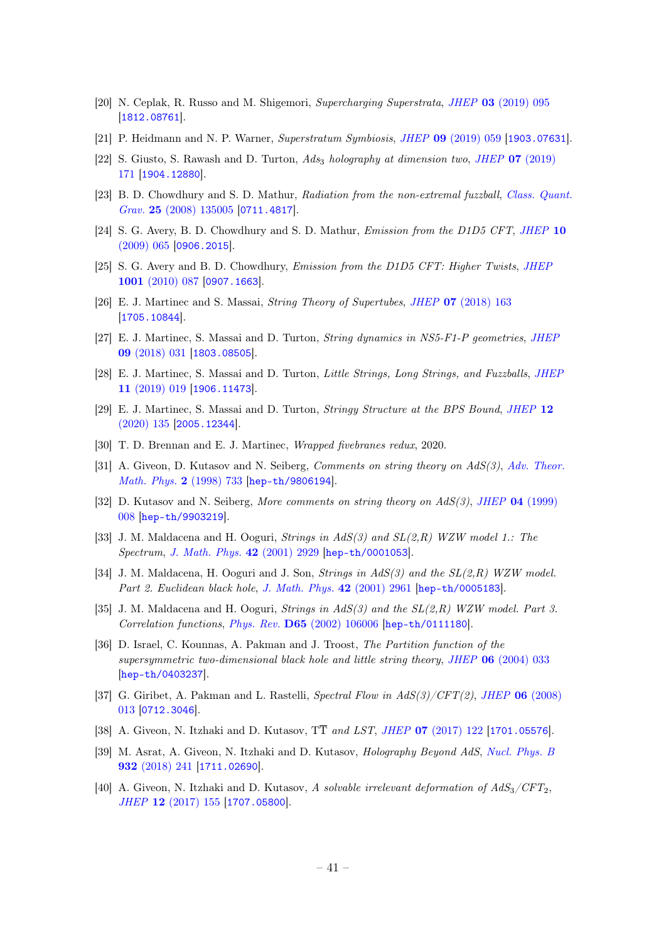- [20] N. Ceplak, R. Russo and M. Shigemori, Supercharging Superstrata, JHEP 03 [\(2019\) 095](https://doi.org/10.1007/JHEP03(2019)095) [[1812.08761](https://arxiv.org/abs/1812.08761)].
- [21] P. Heidmann and N. P. Warner, Superstratum Symbiosis, JHEP 09 [\(2019\) 059](https://doi.org/10.1007/JHEP09(2019)059) [[1903.07631](https://arxiv.org/abs/1903.07631)].
- <span id="page-41-0"></span>[22] S. Giusto, S. Rawash and D. Turton,  $Ads<sub>3</sub>$  holography at dimension two, JHEP 07 [\(2019\)](https://doi.org/10.1007/JHEP07(2019)171) [171](https://doi.org/10.1007/JHEP07(2019)171) [[1904.12880](https://arxiv.org/abs/1904.12880)].
- <span id="page-41-1"></span>[23] B. D. Chowdhury and S. D. Mathur, Radiation from the non-extremal fuzzball, [Class. Quant.](https://doi.org/10.1088/0264-9381/25/13/135005) Grav. 25 [\(2008\) 135005](https://doi.org/10.1088/0264-9381/25/13/135005) [[0711.4817](https://arxiv.org/abs/0711.4817)].
- [24] S. G. Avery, B. D. Chowdhury and S. D. Mathur, *Emission from the D1D5 CFT*, *[JHEP](https://doi.org/10.1088/1126-6708/2009/10/065)* 10 [\(2009\) 065](https://doi.org/10.1088/1126-6708/2009/10/065) [[0906.2015](https://arxiv.org/abs/0906.2015)].
- <span id="page-41-2"></span>[25] S. G. Avery and B. D. Chowdhury, Emission from the D1D5 CFT: Higher Twists, [JHEP](https://doi.org/10.1007/JHEP01(2010)087) 1001 [\(2010\) 087](https://doi.org/10.1007/JHEP01(2010)087) [[0907.1663](https://arxiv.org/abs/0907.1663)].
- <span id="page-41-3"></span>[26] E. J. Martinec and S. Massai, String Theory of Supertubes, JHEP 07 [\(2018\) 163](https://doi.org/10.1007/JHEP07(2018)163) [[1705.10844](https://arxiv.org/abs/1705.10844)].
- <span id="page-41-4"></span>[27] E. J. Martinec, S. Massai and D. Turton, String dynamics in NS5-F1-P geometries, [JHEP](https://doi.org/10.1007/JHEP09(2018)031) 09 [\(2018\) 031](https://doi.org/10.1007/JHEP09(2018)031) [[1803.08505](https://arxiv.org/abs/1803.08505)].
- <span id="page-41-5"></span>[28] E. J. Martinec, S. Massai and D. Turton, Little Strings, Long Strings, and Fuzzballs, [JHEP](https://doi.org/10.1007/JHEP11(2019)019) 11 [\(2019\) 019](https://doi.org/10.1007/JHEP11(2019)019) [[1906.11473](https://arxiv.org/abs/1906.11473)].
- <span id="page-41-6"></span>[29] E. J. Martinec, S. Massai and D. Turton, Stringy Structure at the BPS Bound, [JHEP](https://doi.org/10.1007/JHEP12(2020)135) 12 [\(2020\) 135](https://doi.org/10.1007/JHEP12(2020)135) [[2005.12344](https://arxiv.org/abs/2005.12344)].
- <span id="page-41-7"></span>[30] T. D. Brennan and E. J. Martinec, Wrapped fivebranes redux, 2020.
- <span id="page-41-8"></span>[31] A. Giveon, D. Kutasov and N. Seiberg, Comments on string theory on AdS(3), [Adv. Theor.](https://doi.org/10.4310/ATMP.1998.v2.n4.a3) [Math. Phys.](https://doi.org/10.4310/ATMP.1998.v2.n4.a3) 2 (1998) 733 [[hep-th/9806194](https://arxiv.org/abs/hep-th/9806194)].
- <span id="page-41-15"></span>[32] D. Kutasov and N. Seiberg, More comments on string theory on  $AdS(3)$ , JHEP 04 [\(1999\)](https://doi.org/10.1088/1126-6708/1999/04/008) [008](https://doi.org/10.1088/1126-6708/1999/04/008) [[hep-th/9903219](https://arxiv.org/abs/hep-th/9903219)].
- <span id="page-41-10"></span>[33] J. M. Maldacena and H. Ooguri, Strings in AdS(3) and SL(2,R) WZW model 1.: The Spectrum, [J. Math. Phys.](https://doi.org/10.1063/1.1377273) 42 (2001) 2929 [[hep-th/0001053](https://arxiv.org/abs/hep-th/0001053)].
- [34] J. M. Maldacena, H. Ooguri and J. Son, *Strings in AdS(3)* and the  $SL(2,R)$  WZW model. Part 2. Euclidean black hole, [J. Math. Phys.](https://doi.org/10.1063/1.1377039) 42 (2001) 2961 [[hep-th/0005183](https://arxiv.org/abs/hep-th/0005183)].
- <span id="page-41-9"></span>[35] J. M. Maldacena and H. Ooguri, Strings in  $AdS(3)$  and the  $SL(2,R)$  WZW model. Part 3. Correlation functions, Phys. Rev. D65 [\(2002\) 106006](https://doi.org/10.1103/PhysRevD.65.106006) [[hep-th/0111180](https://arxiv.org/abs/hep-th/0111180)].
- <span id="page-41-11"></span>[36] D. Israel, C. Kounnas, A. Pakman and J. Troost, The Partition function of the supersymmetric two-dimensional black hole and little string theory, JHEP  $06$  [\(2004\) 033](https://doi.org/10.1088/1126-6708/2004/06/033) [[hep-th/0403237](https://arxiv.org/abs/hep-th/0403237)].
- <span id="page-41-12"></span>[37] G. Giribet, A. Pakman and L. Rastelli, Spectral Flow in  $AdS(3)/CFT(2)$ , JHEP 06 [\(2008\)](https://doi.org/10.1088/1126-6708/2008/06/013) [013](https://doi.org/10.1088/1126-6708/2008/06/013) [[0712.3046](https://arxiv.org/abs/0712.3046)].
- <span id="page-41-13"></span>[38] A. Giveon, N. Itzhaki and D. Kutasov, TT and LST, JHEP 07 [\(2017\) 122](https://doi.org/10.1007/JHEP07(2017)122) [[1701.05576](https://arxiv.org/abs/1701.05576)].
- [39] M. Asrat, A. Giveon, N. Itzhaki and D. Kutasov, Holography Beyond AdS, [Nucl. Phys. B](https://doi.org/10.1016/j.nuclphysb.2018.05.005) 932 [\(2018\) 241](https://doi.org/10.1016/j.nuclphysb.2018.05.005) [[1711.02690](https://arxiv.org/abs/1711.02690)].
- <span id="page-41-14"></span>[40] A. Giveon, N. Itzhaki and D. Kutasov, A solvable irrelevant deformation of  $AdS_3/CFT_2$ , JHEP 12 [\(2017\) 155](https://doi.org/10.1007/JHEP12(2017)155) [[1707.05800](https://arxiv.org/abs/1707.05800)].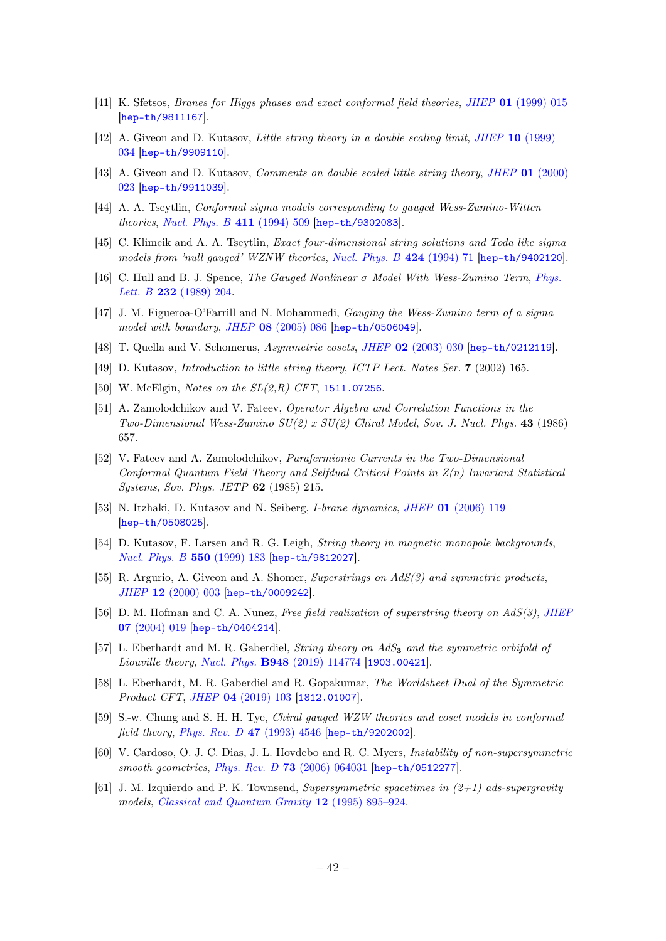- <span id="page-42-0"></span>[41] K. Sfetsos, Branes for Higgs phases and exact conformal field theories, JHEP 01 [\(1999\) 015](https://doi.org/10.1088/1126-6708/1999/01/015) [[hep-th/9811167](https://arxiv.org/abs/hep-th/9811167)].
- <span id="page-42-17"></span>[42] A. Giveon and D. Kutasov, Little string theory in a double scaling limit, JHEP 10 [\(1999\)](https://doi.org/10.1088/1126-6708/1999/10/034) [034](https://doi.org/10.1088/1126-6708/1999/10/034) [[hep-th/9909110](https://arxiv.org/abs/hep-th/9909110)].
- <span id="page-42-1"></span>[43] A. Giveon and D. Kutasov, *Comments on double scaled little string theory, JHEP* 01 [\(2000\)](https://doi.org/10.1088/1126-6708/2000/01/023) [023](https://doi.org/10.1088/1126-6708/2000/01/023) [[hep-th/9911039](https://arxiv.org/abs/hep-th/9911039)].
- <span id="page-42-2"></span>[44] A. A. Tseytlin, Conformal sigma models corresponding to gauged Wess-Zumino-Witten theories, [Nucl. Phys. B](https://doi.org/10.1016/0550-3213(94)90461-8) 411 (1994) 509 [[hep-th/9302083](https://arxiv.org/abs/hep-th/9302083)].
- [45] C. Klimcik and A. A. Tseytlin, Exact four-dimensional string solutions and Toda like sigma models from 'null gauged' WZNW theories, [Nucl. Phys. B](https://doi.org/10.1016/0550-3213(94)90089-2) 424 (1994) 71 [[hep-th/9402120](https://arxiv.org/abs/hep-th/9402120)].
- [46] C. Hull and B. J. Spence, The Gauged Nonlinear  $\sigma$  Model With Wess-Zumino Term, [Phys.](https://doi.org/10.1016/0370-2693(89)91688-2) Lett. B **232** [\(1989\) 204.](https://doi.org/10.1016/0370-2693(89)91688-2)
- <span id="page-42-3"></span>[47] J. M. Figueroa-O'Farrill and N. Mohammedi, *Gauging the Wess-Zumino term of a sigma* model with boundary, JHEP 08 [\(2005\) 086](https://doi.org/10.1088/1126-6708/2005/08/086) [[hep-th/0506049](https://arxiv.org/abs/hep-th/0506049)].
- <span id="page-42-4"></span>[48] T. Quella and V. Schomerus, Asymmetric cosets, JHEP 02 [\(2003\) 030](https://doi.org/10.1088/1126-6708/2003/02/030) [[hep-th/0212119](https://arxiv.org/abs/hep-th/0212119)].
- <span id="page-42-5"></span>[49] D. Kutasov, Introduction to little string theory, ICTP Lect. Notes Ser. 7 (2002) 165.
- <span id="page-42-6"></span>[50] W. McElgin, *Notes on the*  $SL(2,R)$  *CFT*, [1511.07256](https://arxiv.org/abs/1511.07256).
- <span id="page-42-7"></span>[51] A. Zamolodchikov and V. Fateev, Operator Algebra and Correlation Functions in the Two-Dimensional Wess-Zumino SU(2) x SU(2) Chiral Model, Sov. J. Nucl. Phys. 43 (1986) 657.
- <span id="page-42-8"></span>[52] V. Fateev and A. Zamolodchikov, Parafermionic Currents in the Two-Dimensional Conformal Quantum Field Theory and Selfdual Critical Points in Z(n) Invariant Statistical Systems, Sov. Phys. JETP 62 (1985) 215.
- <span id="page-42-9"></span>[53] N. Itzhaki, D. Kutasov and N. Seiberg, I-brane dynamics, JHEP 01 [\(2006\) 119](https://doi.org/10.1088/1126-6708/2006/01/119) [[hep-th/0508025](https://arxiv.org/abs/hep-th/0508025)].
- <span id="page-42-10"></span>[54] D. Kutasov, F. Larsen and R. G. Leigh, String theory in magnetic monopole backgrounds, [Nucl. Phys. B](https://doi.org/10.1016/S0550-3213(99)00144-3) 550 (1999) 183 [[hep-th/9812027](https://arxiv.org/abs/hep-th/9812027)].
- <span id="page-42-11"></span>[55] R. Argurio, A. Giveon and A. Shomer, Superstrings on  $AdS(3)$  and symmetric products, JHEP 12 [\(2000\) 003](https://doi.org/10.1088/1126-6708/2000/12/003) [[hep-th/0009242](https://arxiv.org/abs/hep-th/0009242)].
- <span id="page-42-12"></span>[56] D. M. Hofman and C. A. Nunez, Free field realization of superstring theory on  $AdS(3)$ , [JHEP](https://doi.org/10.1088/1126-6708/2004/07/019) 07 [\(2004\) 019](https://doi.org/10.1088/1126-6708/2004/07/019) [[hep-th/0404214](https://arxiv.org/abs/hep-th/0404214)].
- <span id="page-42-13"></span>[57] L. Eberhardt and M. R. Gaberdiel, *String theory on AdS*<sub>3</sub> and the symmetric orbifold of Liouville theory, Nucl. Phys. B948 [\(2019\) 114774](https://doi.org/10.1016/j.nuclphysb.2019.114774) [[1903.00421](https://arxiv.org/abs/1903.00421)].
- <span id="page-42-14"></span>[58] L. Eberhardt, M. R. Gaberdiel and R. Gopakumar, The Worldsheet Dual of the Symmetric Product CFT, JHEP 04 [\(2019\) 103](https://doi.org/10.1007/JHEP04(2019)103) [[1812.01007](https://arxiv.org/abs/1812.01007)].
- <span id="page-42-15"></span>[59] S.-w. Chung and S. H. H. Tye, Chiral gauged WZW theories and coset models in conformal field theory, [Phys. Rev. D](https://doi.org/10.1103/PhysRevD.47.4546) 47 (1993) 4546 [[hep-th/9202002](https://arxiv.org/abs/hep-th/9202002)].
- <span id="page-42-16"></span>[60] V. Cardoso, O. J. C. Dias, J. L. Hovdebo and R. C. Myers, Instability of non-supersymmetric smooth geometries, Phys. Rev. D 73 [\(2006\) 064031](https://doi.org/10.1103/PhysRevD.73.064031) [[hep-th/0512277](https://arxiv.org/abs/hep-th/0512277)].
- <span id="page-42-18"></span>[61] J. M. Izquierdo and P. K. Townsend, Supersymmetric spacetimes in  $(2+1)$  ads-supergravity models, [Classical and Quantum Gravity](https://doi.org/10.1088/0264-9381/12/4/003) 12 (1995) 895–924.